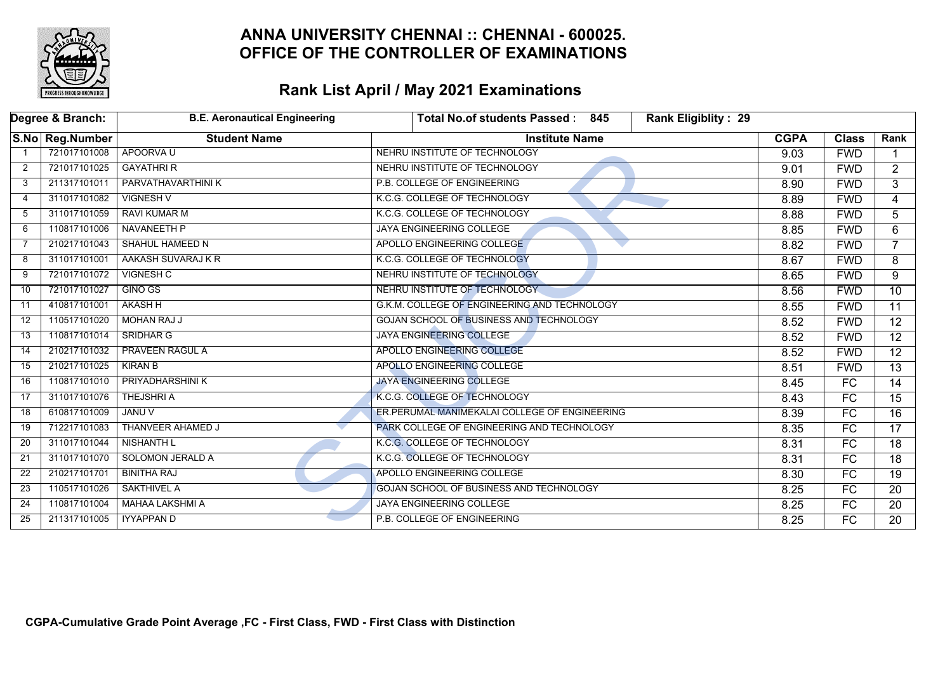

|    | Degree & Branch: | <b>B.E. Aeronautical Engineering</b> | Rank Eligiblity: 29<br>Total No.of students Passed: 845 |             |                 |                 |
|----|------------------|--------------------------------------|---------------------------------------------------------|-------------|-----------------|-----------------|
|    | S.No Reg.Number  | <b>Student Name</b>                  | <b>Institute Name</b>                                   | <b>CGPA</b> | <b>Class</b>    | Rank            |
|    | 721017101008     | APOORVA U                            | NEHRU INSTITUTE OF TECHNOLOGY                           | 9.03        | <b>FWD</b>      |                 |
| 2  | 721017101025     | <b>GAYATHRI R</b>                    | NEHRU INSTITUTE OF TECHNOLOGY                           | 9.01        | <b>FWD</b>      | $\overline{2}$  |
| 3  | 211317101011     | <b>PARVATHAVARTHINI K</b>            | P.B. COLLEGE OF ENGINEERING                             | 8.90        | <b>FWD</b>      | 3               |
| 4  | 311017101082     | <b>VIGNESH V</b>                     | K.C.G. COLLEGE OF TECHNOLOGY                            | 8.89        | <b>FWD</b>      | 4               |
| 5  | 311017101059     | <b>RAVI KUMAR M</b>                  | K.C.G. COLLEGE OF TECHNOLOGY                            | 8.88        | <b>FWD</b>      | 5               |
| 6  | 110817101006     | <b>NAVANEETH P</b>                   | <b>JAYA ENGINEERING COLLEGE</b>                         | 8.85        | <b>FWD</b>      | 6               |
| 7  | 210217101043     | SHAHUL HAMEED N                      | APOLLO ENGINEERING COLLEGE                              | 8.82        | <b>FWD</b>      | $\overline{7}$  |
| 8  | 311017101001     | AAKASH SUVARAJ K R                   | K.C.G. COLLEGE OF TECHNOLOGY                            | 8.67        | <b>FWD</b>      | 8               |
| 9  | 721017101072     | VIGNESH C                            | NEHRU INSTITUTE OF TECHNOLOGY                           | 8.65        | <b>FWD</b>      | 9               |
| 10 | 721017101027     | <b>GINO GS</b>                       | NEHRU INSTITUTE OF TECHNOLOGY                           | 8.56        | <b>FWD</b>      | $\overline{10}$ |
| 11 | 410817101001     | <b>AKASH H</b>                       | G.K.M. COLLEGE OF ENGINEERING AND TECHNOLOGY            | 8.55        | <b>FWD</b>      | $\overline{11}$ |
| 12 | 110517101020     | <b>MOHAN RAJ J</b>                   | <b>GOJAN SCHOOL OF BUSINESS AND TECHNOLOGY</b>          | 8.52        | <b>FWD</b>      | 12              |
| 13 | 110817101014     | <b>SRIDHAR G</b>                     | <b>JAYA ENGINEERING COLLEGE</b>                         | 8.52        | <b>FWD</b>      | $\overline{12}$ |
| 14 | 210217101032     | <b>PRAVEEN RAGUL A</b>               | APOLLO ENGINEERING COLLEGE                              | 8.52        | <b>FWD</b>      | $\overline{12}$ |
| 15 | 210217101025     | <b>KIRAN B</b>                       | <b>APOLLO ENGINEERING COLLEGE</b>                       | 8.51        | <b>FWD</b>      | $\overline{13}$ |
| 16 | 110817101010     | <b>PRIYADHARSHINI K</b>              | <b>JAYA ENGINEERING COLLEGE</b>                         | 8.45        | FC              | $\overline{14}$ |
| 17 | 311017101076     | <b>THEJSHRIA</b>                     | K.C.G. COLLEGE OF TECHNOLOGY                            | 8.43        | FC              | 15              |
| 18 | 610817101009     | <b>JANU V</b>                        | <b>ER.PERUMAL MANIMEKALAI COLLEGE OF ENGINEERING</b>    | 8.39        | $\overline{FC}$ | $\overline{16}$ |
| 19 | 712217101083     | THANVEER AHAMED J                    | PARK COLLEGE OF ENGINEERING AND TECHNOLOGY              | 8.35        | FC              | $\overline{17}$ |
| 20 | 311017101044     | <b>NISHANTH L</b>                    | K.C.G. COLLEGE OF TECHNOLOGY                            | 8.31        | FC              | 18              |
| 21 | 311017101070     | <b>SOLOMON JERALD A</b>              | K.C.G. COLLEGE OF TECHNOLOGY                            | 8.31        | $\overline{FC}$ | $\overline{18}$ |
| 22 | 210217101701     | <b>BINITHA RAJ</b>                   | <b>APOLLO ENGINEERING COLLEGE</b>                       | 8.30        | FC              | $\overline{19}$ |
| 23 | 110517101026     | <b>SAKTHIVEL A</b>                   | GOJAN SCHOOL OF BUSINESS AND TECHNOLOGY                 | 8.25        | FC.             | 20              |
| 24 | 110817101004     | MAHAA LAKSHMI A                      | JAYA ENGINEERING COLLEGE                                | 8.25        | FC              | 20              |
| 25 | 211317101005     | <b>IYYAPPAN D</b>                    | P.B. COLLEGE OF ENGINEERING                             | 8.25        | $\overline{FC}$ | 20              |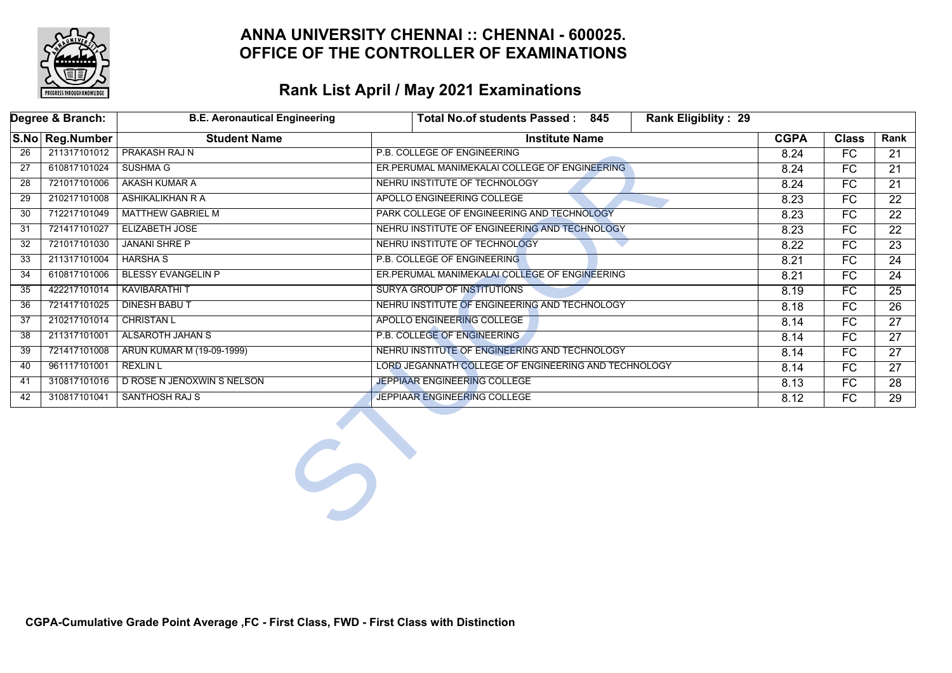

|     | Degree & Branch: | <b>B.E. Aeronautical Engineering</b> | Total No.of students Passed: 845<br><b>Rank Eligiblity: 29</b> |             |              |                 |
|-----|------------------|--------------------------------------|----------------------------------------------------------------|-------------|--------------|-----------------|
|     | S.No Reg.Number  | <b>Student Name</b>                  | <b>Institute Name</b>                                          | <b>CGPA</b> | <b>Class</b> | Rank            |
| 26  | 211317101012     | <b>PRAKASH RAJ N</b>                 | P.B. COLLEGE OF ENGINEERING                                    | 8.24        | FC           | 21              |
| 27  | 610817101024     | <b>SUSHMA G</b>                      | ER.PERUMAL MANIMEKALAI COLLEGE OF ENGINEERING                  | 8.24        | FC           | 21              |
| 28  | 721017101006     | AKASH KUMAR A                        | NEHRU INSTITUTE OF TECHNOLOGY                                  | 8.24        | FC           | 21              |
| 29  | 210217101008     | ASHIKALIKHAN R A                     | APOLLO ENGINEERING COLLEGE                                     | 8.23        | FC           | 22              |
| 30  | 712217101049     | <b>MATTHEW GABRIEL M</b>             | PARK COLLEGE OF ENGINEERING AND TECHNOLOGY                     | 8.23        | FC           | $\overline{22}$ |
| -31 | 721417101027     | <b>ELIZABETH JOSE</b>                | NEHRU INSTITUTE OF ENGINEERING AND TECHNOLOGY                  | 8.23        | FC           | 22              |
| 32  | 721017101030     | <b>JANANI SHRE P</b>                 | NEHRU INSTITUTE OF TECHNOLOGY                                  | 8.22        | FC           | $\overline{23}$ |
| 33  | 211317101004     | <b>HARSHA S</b>                      | P.B. COLLEGE OF ENGINEERING                                    | 8.21        | FC           | 24              |
| 34  | 610817101006     | <b>BLESSY EVANGELIN P</b>            | ER.PERUMAL MANIMEKALAI COLLEGE OF ENGINEERING                  | 8.21        | FC           | 24              |
| 35  | 422217101014     | <b>KAVIBARATHI T</b>                 | SURYA GROUP OF INSTITUTIONS                                    | 8.19        | FC           | 25              |
| 36  | 721417101025     | <b>DINESH BABUT</b>                  | NEHRU INSTITUTE OF ENGINEERING AND TECHNOLOGY                  | 8.18        | FC           | $\overline{26}$ |
| 37  | 210217101014     | <b>CHRISTAN L</b>                    | APOLLO ENGINEERING COLLEGE                                     |             | FC.          | 27              |
| 38  | 211317101001     | <b>ALSAROTH JAHAN S</b>              | <b>P.B. COLLEGE OF ENGINEERING</b>                             | 8.14        | FC           | 27              |
| 39  | 721417101008     | ARUN KUMAR M (19-09-1999)            | NEHRU INSTITUTE OF ENGINEERING AND TECHNOLOGY                  | 8.14        | FC           | 27              |
| 40  | 961117101001     | <b>REXLIN L</b>                      | LORD JEGANNATH COLLEGE OF ENGINEERING AND TECHNOLOGY           | 8.14        | FC           | 27              |
| 41  | 310817101016     | D ROSE N JENOXWIN S NELSON           | JEPPIAAR ENGINEERING COLLEGE                                   | 8.13        | FC           | 28              |
| 42  | 310817101041     | <b>SANTHOSH RAJ S</b>                | JEPPIAAR ENGINEERING COLLEGE                                   | 8.12        | FC           | 29              |
|     |                  | $\mathcal{L}$                        |                                                                |             |              |                 |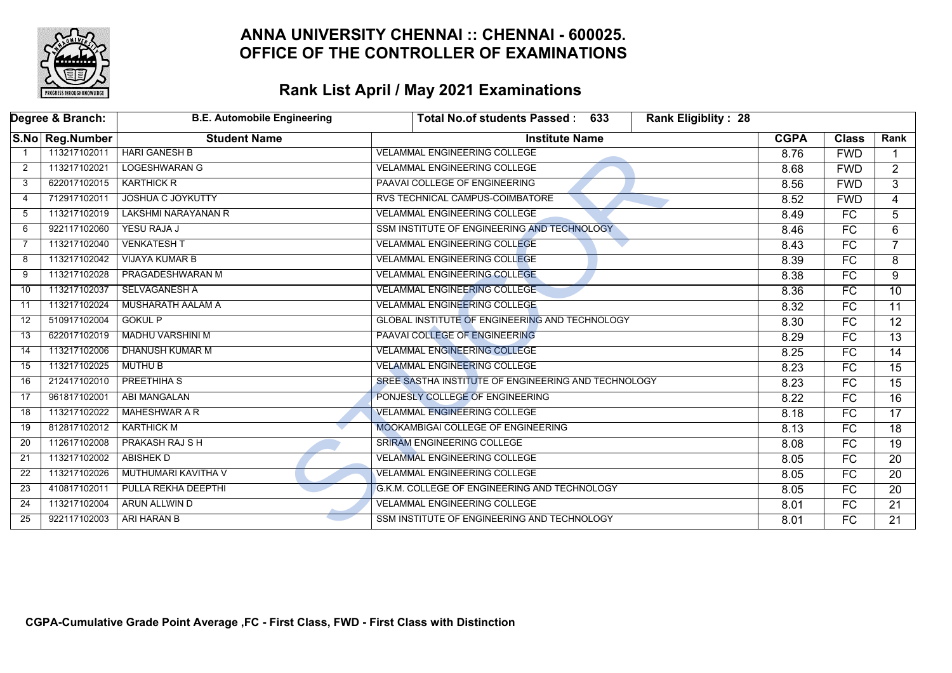

|                 | Degree & Branch: | <b>B.E. Automobile Engineering</b> | 633<br><b>Rank Eligiblity: 28</b><br><b>Total No.of students Passed:</b> |             |                          |                 |
|-----------------|------------------|------------------------------------|--------------------------------------------------------------------------|-------------|--------------------------|-----------------|
|                 | S.No Reg.Number  | <b>Student Name</b>                | <b>Institute Name</b>                                                    | <b>CGPA</b> | <b>Class</b>             | Rank            |
|                 | 113217102011     | <b>HARI GANESH B</b>               | <b>VELAMMAL ENGINEERING COLLEGE</b>                                      | 8.76        | <b>FWD</b>               |                 |
| 2               | 113217102021     | <b>LOGESHWARAN G</b>               | <b>VELAMMAL ENGINEERING COLLEGE</b>                                      | 8.68        | <b>FWD</b>               | $\overline{2}$  |
| 3               | 622017102015     | <b>KARTHICK R</b>                  | PAAVAI COLLEGE OF ENGINEERING                                            | 8.56        | <b>FWD</b>               | $\overline{3}$  |
| 4               | 712917102011     | <b>JOSHUA C JOYKUTTY</b>           | RVS TECHNICAL CAMPUS-COIMBATORE                                          | 8.52        | <b>FWD</b>               | $\overline{4}$  |
| 5               | 113217102019     | LAKSHMI NARAYANAN R                | <b>VELAMMAL ENGINEERING COLLEGE</b>                                      | 8.49        | FC                       | 5               |
| 6               | 922117102060     | YESU RAJA J                        | SSM INSTITUTE OF ENGINEERING AND TECHNOLOGY                              | 8.46        | FC                       | 6               |
| 7               | 113217102040     | <b>VENKATESH T</b>                 | <b>VELAMMAL ENGINEERING COLLEGE</b>                                      | 8.43        | $\overline{FC}$          | $\overline{7}$  |
| 8               | 113217102042     | <b>VIJAYA KUMAR B</b>              | <b>VELAMMAL ENGINEERING COLLEGE</b>                                      | 8.39        | FC                       | 8               |
| 9               | 113217102028     | PRAGADESHWARAN M                   | <b>VELAMMAL ENGINEERING COLLEGE</b>                                      | 8.38        | FC                       | 9               |
| 10              | 113217102037     | <b>SELVAGANESH A</b>               | <b>VELAMMAL ENGINEERING COLLEGE</b>                                      | 8.36        | $\overline{\mathsf{FC}}$ | $\overline{10}$ |
| 11              | 113217102024     | <b>MUSHARATH AALAM A</b>           | <b>VELAMMAL ENGINEERING COLLEGE</b>                                      | 8.32        | FC                       | $\overline{11}$ |
| 12              | 510917102004     | <b>GOKUL P</b>                     | <b>GLOBAL INSTITUTE OF ENGINEERING AND TECHNOLOGY</b>                    | 8.30        | $\overline{FC}$          | $\overline{12}$ |
| 13              | 622017102019     | <b>MADHU VARSHINI M</b>            | PAAVAI COLLEGE OF ENGINEERING                                            | 8.29        | FC                       | $\overline{13}$ |
| $\overline{14}$ | 113217102006     | DHANUSH KUMAR M                    | <b>VELAMMAL ENGINEERING COLLEGE</b>                                      | 8.25        | $\overline{FC}$          | $\overline{14}$ |
| 15              | 113217102025     | <b>MUTHU B</b>                     | <b>VELAMMAL ENGINEERING COLLEGE</b>                                      | 8.23        | FC                       | $\overline{15}$ |
| 16              | 212417102010     | PREETHIHA S                        | SREE SASTHA INSTITUTE OF ENGINEERING AND TECHNOLOGY                      | 8.23        | FC                       | $\overline{15}$ |
| 17              | 961817102001     | <b>ABI MANGALAN</b>                | PONJESLY COLLEGE OF ENGINEERING                                          | 8.22        | FC                       | $\overline{16}$ |
| 18              | 113217102022     | MAHESHWAR A R                      | <b>VELAMMAL ENGINEERING COLLEGE</b>                                      | 8.18        | FC                       | $\overline{17}$ |
| 19              | 812817102012     | <b>KARTHICK M</b>                  | <b>MOOKAMBIGAI COLLEGE OF ENGINEERING</b>                                | 8.13        | FC                       | 18              |
| 20              | 112617102008     | <b>PRAKASH RAJ S H</b>             | SRIRAM ENGINEERING COLLEGE                                               | 8.08        | FC                       | 19              |
| 21              | 113217102002     | ABISHEK D                          | <b>VELAMMAL ENGINEERING COLLEGE</b>                                      | 8.05        | FC                       | $\overline{20}$ |
| 22              | 113217102026     | MUTHUMARI KAVITHA V                | <b>VELAMMAL ENGINEERING COLLEGE</b>                                      | 8.05        | $\overline{FC}$          | 20              |
| 23              | 410817102011     | PULLA REKHA DEEPTHI                | G.K.M. COLLEGE OF ENGINEERING AND TECHNOLOGY                             | 8.05        | $\overline{FC}$          | 20              |
| 24              | 113217102004     | ARUN ALLWIN D                      | <b>VELAMMAL ENGINEERING COLLEGE</b>                                      | 8.01        | FC                       | $\overline{21}$ |
| 25              | 922117102003     | ARI HARAN B                        | SSM INSTITUTE OF ENGINEERING AND TECHNOLOGY                              | 8.01        | $\overline{\mathsf{FC}}$ | $\overline{21}$ |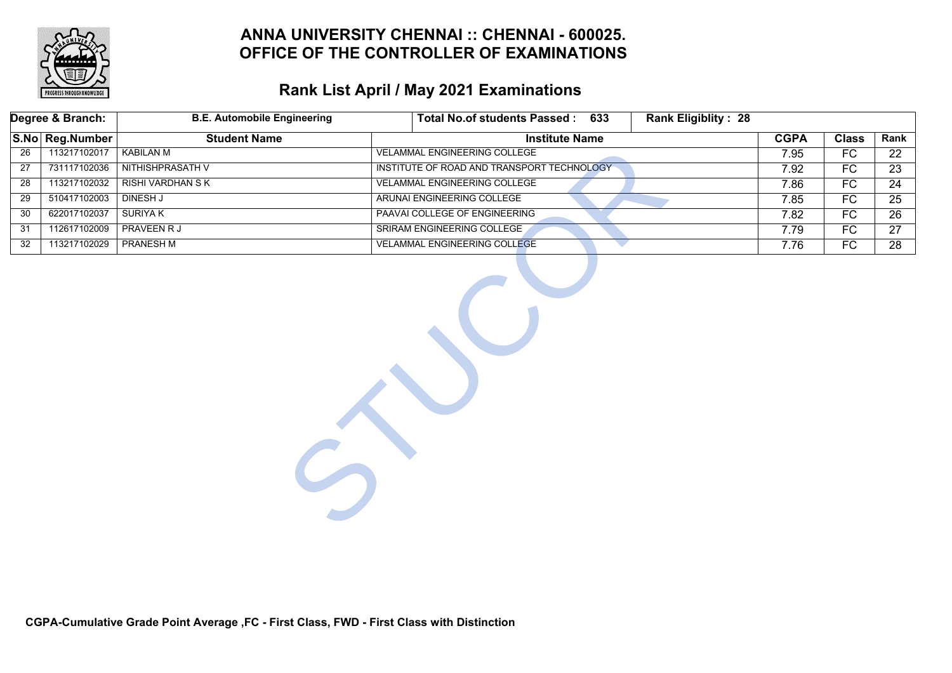

|                 | Degree & Branch: | <b>B.E. Automobile Engineering</b> | Total No.of students Passed: 633<br><b>Rank Eligiblity: 28</b> |             |                 |                 |
|-----------------|------------------|------------------------------------|----------------------------------------------------------------|-------------|-----------------|-----------------|
|                 | S.No Reg.Number  | <b>Student Name</b>                | <b>Institute Name</b>                                          | <b>CGPA</b> | <b>Class</b>    | Rank            |
| $\overline{26}$ | 113217102017     | <b>KABILAN M</b>                   | <b>VELAMMAL ENGINEERING COLLEGE</b>                            | 7.95        | FC              | 22              |
| $\overline{27}$ | 731117102036     | NITHISHPRASATH V                   | INSTITUTE OF ROAD AND TRANSPORT TECHNOLOGY                     | 7.92        | FC              | $\overline{23}$ |
| 28              | 113217102032     | <b>RISHI VARDHAN S K</b>           | <b>VELAMMAL ENGINEERING COLLEGE</b>                            | 7.86        | $\overline{FC}$ | $\overline{24}$ |
| $\overline{29}$ | 510417102003     | <b>DINESH J</b>                    | ARUNAI ENGINEERING COLLEGE                                     | 7.85        | FC              | $\overline{25}$ |
| 30              | 622017102037     | <b>SURIYAK</b>                     | PAAVAI COLLEGE OF ENGINEERING                                  | 7.82        | FC              | $\overline{26}$ |
| 31              | 112617102009     | <b>PRAVEEN R J</b>                 | SRIRAM ENGINEERING COLLEGE                                     | 7.79        | FC              | 27              |
| $\overline{32}$ | 113217102029     | <b>PRANESH M</b>                   | <b>VELAMMAL ENGINEERING COLLEGE</b>                            | 7.76        | $\overline{FC}$ | $\overline{28}$ |
|                 |                  |                                    |                                                                |             |                 |                 |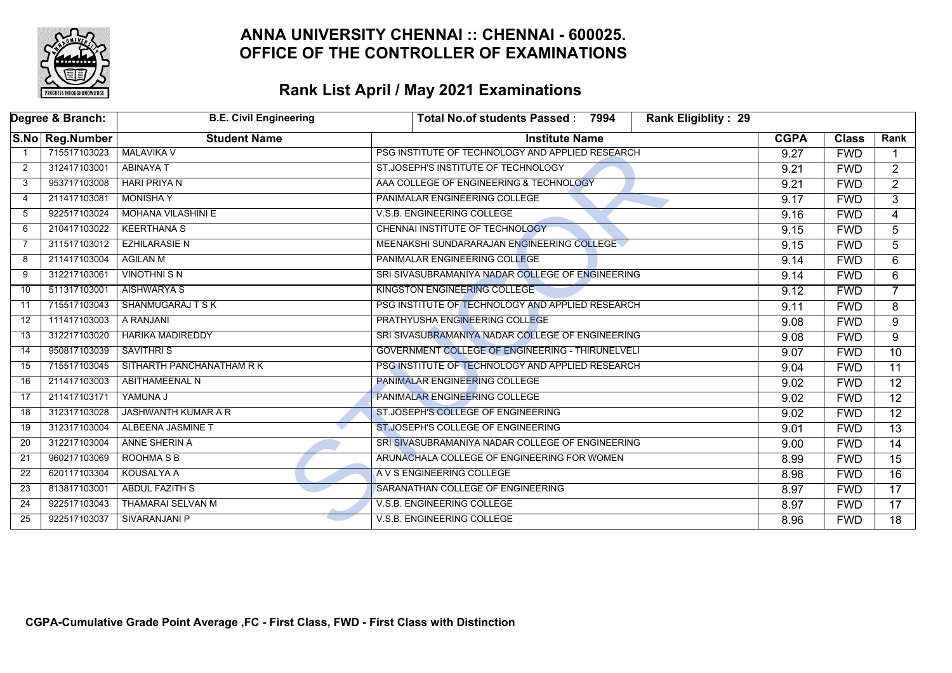

|                 | Degree & Branch: | <b>B.E. Civil Engineering</b> | <b>Rank Eligiblity: 29</b><br>Total No.of students Passed: 7994 |             |              |                 |
|-----------------|------------------|-------------------------------|-----------------------------------------------------------------|-------------|--------------|-----------------|
|                 | S.No Reg.Number  | <b>Student Name</b>           | <b>Institute Name</b>                                           | <b>CGPA</b> | <b>Class</b> | Rank            |
|                 | 715517103023     | <b>MALAVIKA V</b>             | PSG INSTITUTE OF TECHNOLOGY AND APPLIED RESEARCH                | 9.27        | <b>FWD</b>   |                 |
| 2               | 312417103001     | <b>ABINAYA T</b>              | ST.JOSEPH'S INSTITUTE OF TECHNOLOGY                             | 9.21        | <b>FWD</b>   | $\overline{2}$  |
| 3               | 953717103008     | <b>HARI PRIYAN</b>            | AAA COLLEGE OF ENGINEERING & TECHNOLOGY                         | 9.21        | <b>FWD</b>   | $\overline{2}$  |
| 4               | 211417103081     | <b>MONISHA Y</b>              | PANIMALAR ENGINEERING COLLEGE                                   | 9.17        | <b>FWD</b>   | 3               |
| -5              | 922517103024     | <b>MOHANA VILASHINI E</b>     | V.S.B. ENGINEERING COLLEGE                                      | 9.16        | <b>FWD</b>   | $\overline{4}$  |
| 6               | 210417103022     | <b>KEERTHANA S</b>            | CHENNAI INSTITUTE OF TECHNOLOGY                                 | 9.15        | <b>FWD</b>   | 5               |
| 7               | 311517103012     | <b>EZHILARASIE N</b>          | MEENAKSHI SUNDARARAJAN ENGINEERING COLLEGE                      | 9.15        | <b>FWD</b>   | 5               |
| 8               | 211417103004     | <b>AGILAN M</b>               | PANIMALAR ENGINEERING COLLEGE                                   | 9.14        | <b>FWD</b>   | 6               |
| 9               | 312217103061     | <b>VINOTHNI S N</b>           | SRI SIVASUBRAMANIYA NADAR COLLEGE OF ENGINEERING                | 9.14        | <b>FWD</b>   | 6               |
| 10              | 511317103001     | <b>AISHWARYA S</b>            | KINGSTON ENGINEERING COLLEGE                                    | 9.12        | <b>FWD</b>   | $\overline{7}$  |
| 11              | 715517103043     | <b>SHANMUGARAJ T S K</b>      | PSG INSTITUTE OF TECHNOLOGY AND APPLIED RESEARCH                | 9.11        | <b>FWD</b>   | 8               |
| 12              | 111417103003     | A RANJANI                     | PRATHYUSHA ENGINEERING COLLEGE                                  | 9.08        | <b>FWD</b>   | 9               |
| 13              | 312217103020     | <b>HARIKA MADIREDDY</b>       | SRI SIVASUBRAMANIYA NADAR COLLEGE OF ENGINEERING                | 9.08        | <b>FWD</b>   | 9               |
| 14              | 950817103039     | <b>SAVITHRIS</b>              | GOVERNMENT COLLEGE OF ENGINEERING - THIRUNELVELI                | 9.07        | <b>FWD</b>   | $\overline{10}$ |
| 15              | 715517103045     | SITHARTH PANCHANATHAM R K     | PSG INSTITUTE OF TECHNOLOGY AND APPLIED RESEARCH                | 9.04        | <b>FWD</b>   | 11              |
| 16              | 211417103003     | <b>ABITHAMEENAL N</b>         | <b>PANIMALAR ENGINEERING COLLEGE</b>                            | 9.02        | <b>FWD</b>   | $\overline{12}$ |
| 17              | 211417103171     | YAMUNA J                      | PANIMALAR ENGINEERING COLLEGE                                   | 9.02        | <b>FWD</b>   | $\overline{12}$ |
| 18              | 312317103028     | <b>JASHWANTH KUMAR A R</b>    | ST.JOSEPH'S COLLEGE OF ENGINEERING                              | 9.02        | <b>FWD</b>   | $\overline{12}$ |
| 19              | 312317103004     | <b>ALBEENA JASMINE T</b>      | ST.JOSEPH'S COLLEGE OF ENGINEERING                              | 9.01        | <b>FWD</b>   | $\overline{13}$ |
| 20              | 312217103004     | ANNE SHERIN A                 | SRI SIVASUBRAMANIYA NADAR COLLEGE OF ENGINEERING                | 9.00        | <b>FWD</b>   | 14              |
| $\overline{21}$ | 960217103069     | <b>ROOHMA S B</b>             | ARUNACHALA COLLEGE OF ENGINEERING FOR WOMEN                     | 8.99        | <b>FWD</b>   | $\overline{15}$ |
| 22              | 620117103304     | <b>KOUSALYA A</b>             | A V S ENGINEERING COLLEGE                                       | 8.98        | <b>FWD</b>   | $\overline{16}$ |
| 23              | 813817103001     | <b>ABDUL FAZITH S</b>         | SARANATHAN COLLEGE OF ENGINEERING                               | 8.97        | <b>FWD</b>   | $\overline{17}$ |
| 24              | 922517103043     | <b>THAMARAI SELVAN M</b>      | V.S.B. ENGINEERING COLLEGE                                      | 8.97        | <b>FWD</b>   | $\overline{17}$ |
| 25              | 922517103037     | <b>SIVARANJANI P</b>          | <b>V.S.B. ENGINEERING COLLEGE</b>                               | 8.96        | <b>FWD</b>   | $\overline{18}$ |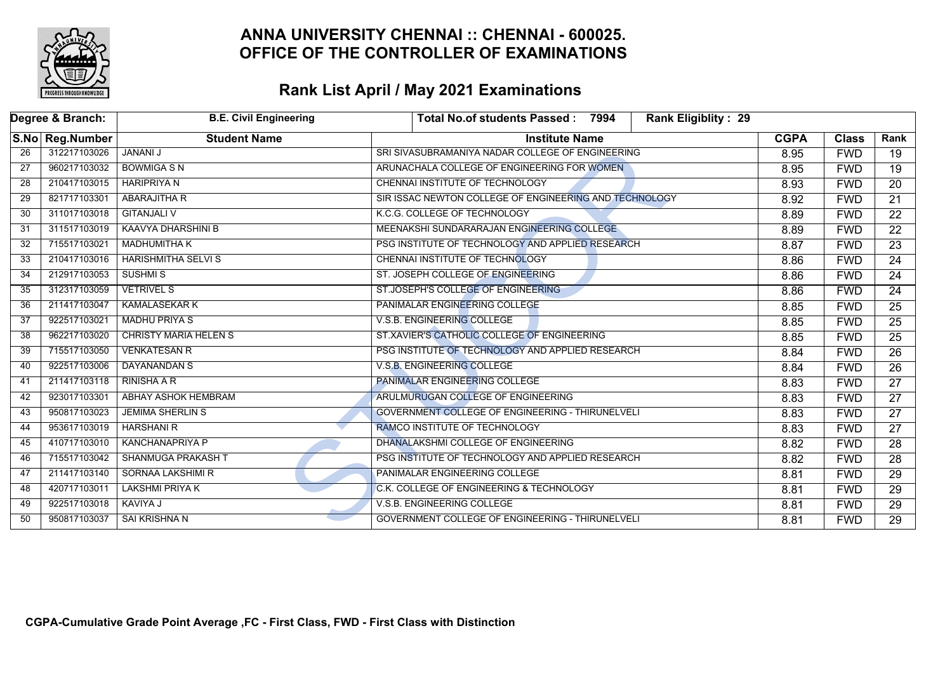

| Degree & Branch: |                 | <b>B.E. Civil Engineering</b> | Rank Eligiblity: 29<br>Total No.of students Passed: 7994 |             |              |                 |
|------------------|-----------------|-------------------------------|----------------------------------------------------------|-------------|--------------|-----------------|
|                  | S.No Reg.Number | <b>Student Name</b>           | <b>Institute Name</b>                                    | <b>CGPA</b> | <b>Class</b> | Rank            |
| 26               | 312217103026    | <b>JANANI J</b>               | SRI SIVASUBRAMANIYA NADAR COLLEGE OF ENGINEERING         | 8.95        | <b>FWD</b>   | 19              |
| $\overline{27}$  | 960217103032    | <b>BOWMIGASN</b>              | ARUNACHALA COLLEGE OF ENGINEERING FOR WOMEN              | 8.95        | <b>FWD</b>   | $\overline{19}$ |
| 28               | 210417103015    | <b>HARIPRIYA N</b>            | <b>CHENNAI INSTITUTE OF TECHNOLOGY</b>                   | 8.93        | <b>FWD</b>   | $\overline{20}$ |
| 29               | 821717103301    | <b>ABARAJITHA R</b>           | SIR ISSAC NEWTON COLLEGE OF ENGINEERING AND TECHNOLOGY   | 8.92        | <b>FWD</b>   | $\overline{21}$ |
| 30               | 311017103018    | <b>GITANJALI V</b>            | K.C.G. COLLEGE OF TECHNOLOGY                             | 8.89        | <b>FWD</b>   | $\overline{22}$ |
| 31               | 311517103019    | <b>KAAVYA DHARSHINI B</b>     | MEENAKSHI SUNDARARAJAN ENGINEERING COLLEGE               | 8.89        | <b>FWD</b>   | $\overline{22}$ |
| 32               | 715517103021    | <b>MADHUMITHA K</b>           | PSG INSTITUTE OF TECHNOLOGY AND APPLIED RESEARCH         | 8.87        | <b>FWD</b>   | $\overline{23}$ |
| 33               | 210417103016    | <b>HARISHMITHA SELVI S</b>    | CHENNAI INSTITUTE OF TECHNOLOGY                          | 8.86        | <b>FWD</b>   | $\overline{24}$ |
| 34               | 212917103053    | <b>SUSHMIS</b>                | ST. JOSEPH COLLEGE OF ENGINEERING                        | 8.86        | <b>FWD</b>   | 24              |
| 35               | 312317103059    | <b>VETRIVEL S</b>             | ST.JOSEPH'S COLLEGE OF ENGINEERING                       | 8.86        | <b>FWD</b>   | $\overline{24}$ |
| 36               | 211417103047    | <b>KAMALASEKAR K</b>          | <b>PANIMALAR ENGINEERING COLLEGE</b>                     |             | <b>FWD</b>   | $\overline{25}$ |
| 37               | 922517103021    | <b>MADHU PRIYA S</b>          | V.S.B. ENGINEERING COLLEGE                               |             | <b>FWD</b>   | $\overline{25}$ |
| 38               | 962217103020    | <b>CHRISTY MARIA HELEN S</b>  | ST.XAVIER'S CATHOLIC COLLEGE OF ENGINEERING              |             | <b>FWD</b>   | $\overline{25}$ |
| 39               | 715517103050    | <b>VENKATESAN R</b>           | PSG INSTITUTE OF TECHNOLOGY AND APPLIED RESEARCH         | 8.84        | <b>FWD</b>   | $\overline{26}$ |
| 40               | 922517103006    | DAYANANDAN S                  | <b>V.S.B. ENGINEERING COLLEGE</b>                        | 8.84        | <b>FWD</b>   | $\overline{26}$ |
| 41               | 211417103118    | RINISHA A R                   | PANIMALAR ENGINEERING COLLEGE                            | 8.83        | <b>FWD</b>   | $\overline{27}$ |
| 42               | 923017103301    | ABHAY ASHOK HEMBRAM           | ARULMURUGAN COLLEGE OF ENGINEERING                       | 8.83        | <b>FWD</b>   | $\overline{27}$ |
| 43               | 950817103023    | <b>JEMIMA SHERLIN S</b>       | GOVERNMENT COLLEGE OF ENGINEERING - THIRUNELVELI         | 8.83        | <b>FWD</b>   | $\overline{27}$ |
| 44               | 953617103019    | <b>HARSHANI R</b>             | RAMCO INSTITUTE OF TECHNOLOGY                            | 8.83        | <b>FWD</b>   | $\overline{27}$ |
| 45               | 410717103010    | KANCHANAPRIYA P               | DHANALAKSHMI COLLEGE OF ENGINEERING                      | 8.82        | <b>FWD</b>   | 28              |
| 46               | 715517103042    | SHANMUGA PRAKASH T            | PSG INSTITUTE OF TECHNOLOGY AND APPLIED RESEARCH         | 8.82        | <b>FWD</b>   | $\overline{28}$ |
| 47               | 211417103140    | <b>SORNAA LAKSHIMI R</b>      | PANIMALAR ENGINEERING COLLEGE                            | 8.81        | <b>FWD</b>   | $\overline{29}$ |
| 48               | 420717103011    | <b>LAKSHMI PRIYA K</b>        | C.K. COLLEGE OF ENGINEERING & TECHNOLOGY                 | 8.81        | <b>FWD</b>   | $\overline{29}$ |
| 49               | 922517103018    | <b>KAVIYA J</b>               | V.S.B. ENGINEERING COLLEGE                               | 8.81        | <b>FWD</b>   | $\overline{29}$ |
| 50               | 950817103037    | SAI KRISHNA N                 | GOVERNMENT COLLEGE OF ENGINEERING - THIRUNELVELI         | 8.81        | <b>FWD</b>   | $\overline{29}$ |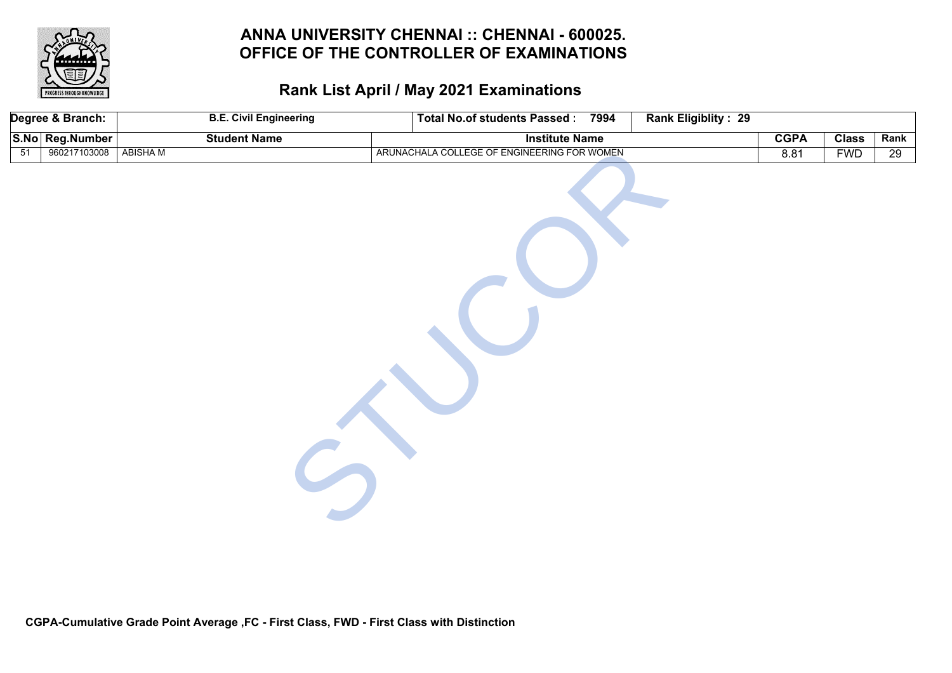

|                 | Degree & Branch: | <b>B.E. Civil Engineering</b> | Total No.of students Passed: 7994           | Rank Eligiblity: 29 |             |              |                 |
|-----------------|------------------|-------------------------------|---------------------------------------------|---------------------|-------------|--------------|-----------------|
|                 | S.No Reg.Number  | <b>Student Name</b>           | <b>Institute Name</b>                       |                     | <b>CGPA</b> | <b>Class</b> | Rank            |
| $\overline{51}$ | 960217103008     | <b>ABISHAM</b>                | ARUNACHALA COLLEGE OF ENGINEERING FOR WOMEN |                     | 8.81        | <b>FWD</b>   | $\overline{29}$ |
|                 |                  |                               |                                             |                     |             |              |                 |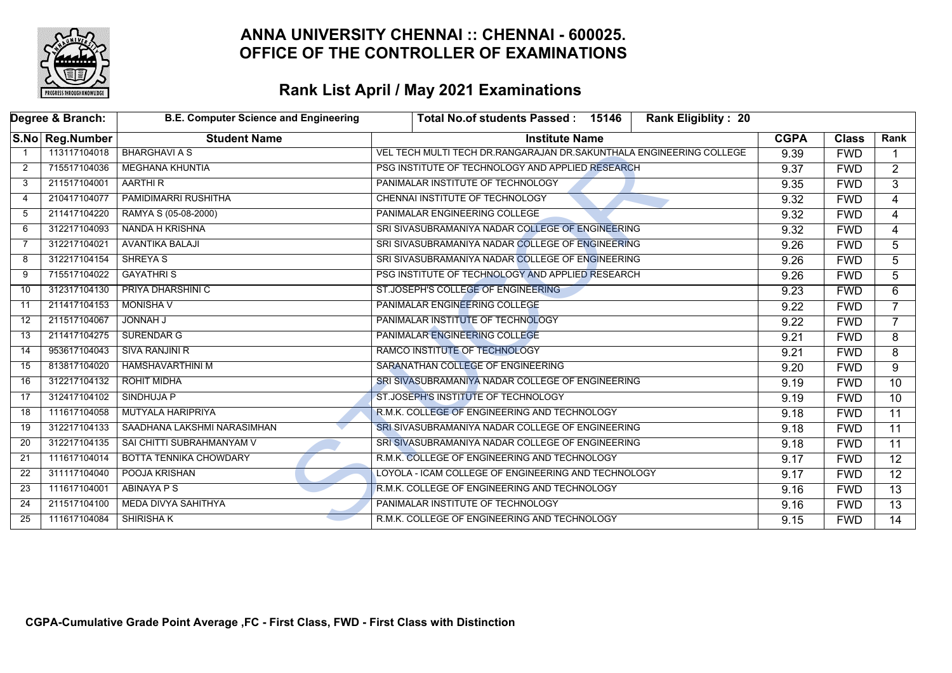

|                | Degree & Branch: | <b>B.E. Computer Science and Engineering</b> | <b>Rank Eligiblity: 20</b><br>Total No.of students Passed: 15146    |             |              |                 |
|----------------|------------------|----------------------------------------------|---------------------------------------------------------------------|-------------|--------------|-----------------|
|                | S.No Reg.Number  | <b>Student Name</b>                          | <b>Institute Name</b>                                               | <b>CGPA</b> | <b>Class</b> | Rank            |
|                | 113117104018     | <b>BHARGHAVI A S</b>                         | VEL TECH MULTI TECH DR.RANGARAJAN DR.SAKUNTHALA ENGINEERING COLLEGE | 9.39        | <b>FWD</b>   |                 |
| $\overline{2}$ | 715517104036     | <b>MEGHANA KHUNTIA</b>                       | PSG INSTITUTE OF TECHNOLOGY AND APPLIED RESEARCH                    | 9.37        | <b>FWD</b>   | $\overline{2}$  |
| 3              | 211517104001     | AARTHI R                                     | PANIMALAR INSTITUTE OF TECHNOLOGY                                   | 9.35        | <b>FWD</b>   | $\overline{3}$  |
| $\overline{4}$ | 210417104077     | PAMIDIMARRI RUSHITHA                         | CHENNAI INSTITUTE OF TECHNOLOGY                                     | 9.32        | <b>FWD</b>   | $\overline{4}$  |
| 5              | 211417104220     | RAMYA S (05-08-2000)                         | PANIMALAR ENGINEERING COLLEGE                                       | 9.32        | <b>FWD</b>   | 4               |
| 6              | 312217104093     | NANDA H KRISHNA                              | SRI SIVASUBRAMANIYA NADAR COLLEGE OF ENGINEERING                    | 9.32        | <b>FWD</b>   | 4               |
| 7              | 312217104021     | <b>AVANTIKA BALAJI</b>                       | SRI SIVASUBRAMANIYA NADAR COLLEGE OF ENGINEERING                    | 9.26        | <b>FWD</b>   | 5               |
| 8              | 312217104154     | <b>SHREYA S</b>                              | SRI SIVASUBRAMANIYA NADAR COLLEGE OF ENGINEERING                    | 9.26        | <b>FWD</b>   | 5               |
| 9              | 715517104022     | <b>GAYATHRIS</b>                             | PSG INSTITUTE OF TECHNOLOGY AND APPLIED RESEARCH                    | 9.26        | <b>FWD</b>   | 5               |
| 10             | 312317104130     | <b>PRIYA DHARSHINI C</b>                     | ST.JOSEPH'S COLLEGE OF ENGINEERING                                  | 9.23        | <b>FWD</b>   | 6               |
| 11             | 211417104153     | <b>MONISHA V</b>                             | PANIMALAR ENGINEERING COLLEGE                                       | 9.22        | <b>FWD</b>   | $\overline{7}$  |
| 12             | 211517104067     | <b>JONNAH J</b>                              | PANIMALAR INSTITUTE OF TECHNOLOGY                                   |             | <b>FWD</b>   | $\overline{7}$  |
| 13             | 211417104275     | <b>SURENDAR G</b>                            | PANIMALAR ENGINEERING COLLEGE                                       | 9.21        | <b>FWD</b>   | 8               |
| 14             | 953617104043     | <b>SIVA RANJINI R</b>                        | RAMCO INSTITUTE OF TECHNOLOGY                                       | 9.21        | <b>FWD</b>   | 8               |
| 15             | 813817104020     | <b>HAMSHAVARTHINI M</b>                      | SARANATHAN COLLEGE OF ENGINEERING                                   | 9.20        | <b>FWD</b>   | 9               |
| 16             | 312217104132     | ROHIT MIDHA                                  | SRI SIVASUBRAMANIYA NADAR COLLEGE OF ENGINEERING                    | 9.19        | <b>FWD</b>   | $\overline{10}$ |
| 17             | 312417104102     | SINDHUJA P                                   | ST.JOSEPH'S INSTITUTE OF TECHNOLOGY                                 | 9.19        | <b>FWD</b>   | 10 <sup>°</sup> |
| 18             | 111617104058     | <b>MUTYALA HARIPRIYA</b>                     | R.M.K. COLLEGE OF ENGINEERING AND TECHNOLOGY                        | 9.18        | <b>FWD</b>   | $\overline{11}$ |
| 19             | 312217104133     | SAADHANA LAKSHMI NARASIMHAN                  | SRI SIVASUBRAMANIYA NADAR COLLEGE OF ENGINEERING                    | 9.18        | <b>FWD</b>   | 11              |
| 20             | 312217104135     | SAI CHITTI SUBRAHMANYAM V                    | SRI SIVASUBRAMANIYA NADAR COLLEGE OF ENGINEERING                    | 9.18        | <b>FWD</b>   | 11              |
| 21             | 111617104014     | <b>BOTTA TENNIKA CHOWDARY</b>                | R.M.K. COLLEGE OF ENGINEERING AND TECHNOLOGY                        | 9.17        | <b>FWD</b>   | $\overline{12}$ |
| 22             | 311117104040     | POOJA KRISHAN                                | LOYOLA - ICAM COLLEGE OF ENGINEERING AND TECHNOLOGY                 | 9.17        | <b>FWD</b>   | $\overline{12}$ |
| 23             | 111617104001     | ABINAYA P S                                  | R.M.K. COLLEGE OF ENGINEERING AND TECHNOLOGY                        | 9.16        | <b>FWD</b>   | 13              |
| 24             | 211517104100     | MEDA DIVYA SAHITHYA                          | PANIMALAR INSTITUTE OF TECHNOLOGY                                   | 9.16        | <b>FWD</b>   | $\overline{13}$ |
| 25             | 111617104084     | <b>SHIRISHAK</b>                             | R.M.K. COLLEGE OF ENGINEERING AND TECHNOLOGY                        | 9.15        | <b>FWD</b>   | $\overline{14}$ |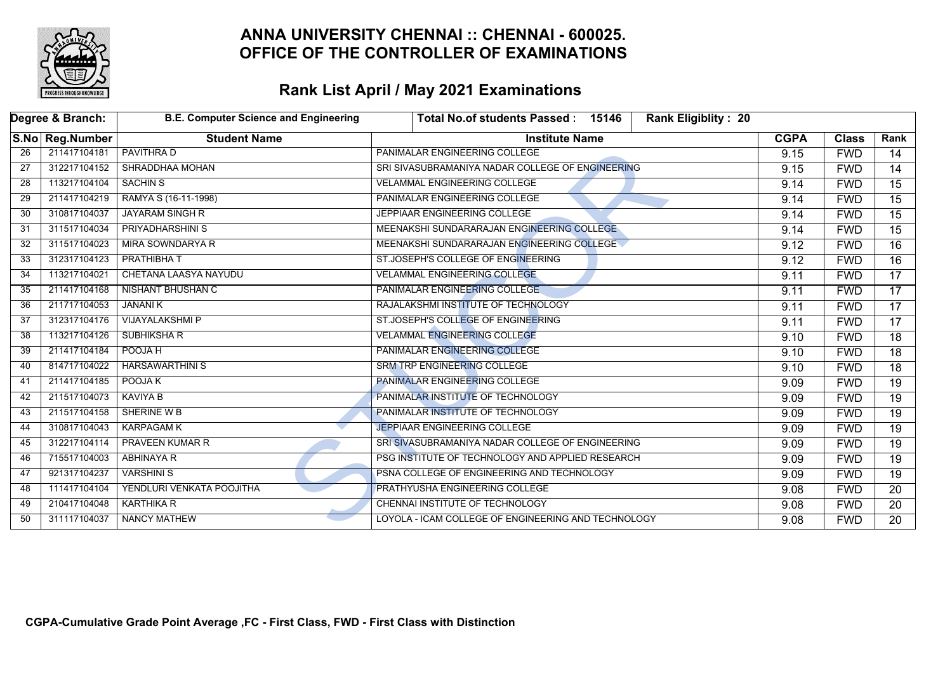

|    | Degree & Branch: | <b>B.E. Computer Science and Engineering</b> | Total No.of students Passed: 15146<br><b>Rank Eligiblity: 20</b> |             |              |                 |
|----|------------------|----------------------------------------------|------------------------------------------------------------------|-------------|--------------|-----------------|
|    | S.No Reg.Number  | <b>Student Name</b>                          | <b>Institute Name</b>                                            | <b>CGPA</b> | <b>Class</b> | Rank            |
| 26 | 211417104181     | <b>PAVITHRAD</b>                             | <b>PANIMALAR ENGINEERING COLLEGE</b>                             | 9.15        | <b>FWD</b>   | 14              |
| 27 | 312217104152     | SHRADDHAA MOHAN                              | SRI SIVASUBRAMANIYA NADAR COLLEGE OF ENGINEERING                 | 9.15        | <b>FWD</b>   | 14              |
| 28 | 113217104104     | <b>SACHIN S</b>                              | <b>VELAMMAL ENGINEERING COLLEGE</b>                              | 9.14        | <b>FWD</b>   | $\overline{15}$ |
| 29 | 211417104219     | RAMYA S (16-11-1998)                         | PANIMALAR ENGINEERING COLLEGE                                    | 9.14        | <b>FWD</b>   | 15              |
| 30 | 310817104037     | <b>JAYARAM SINGH R</b>                       | JEPPIAAR ENGINEERING COLLEGE                                     | 9.14        | <b>FWD</b>   | $\overline{15}$ |
| 31 | 311517104034     | <b>PRIYADHARSHINI S</b>                      | MEENAKSHI SUNDARARAJAN ENGINEERING COLLEGE                       | 9.14        | <b>FWD</b>   | $\overline{15}$ |
| 32 | 311517104023     | MIRA SOWNDARYA R                             | MEENAKSHI SUNDARARAJAN ENGINEERING COLLEGE                       | 9.12        | <b>FWD</b>   | 16              |
| 33 | 312317104123     | <b>PRATHIBHAT</b>                            | ST.JOSEPH'S COLLEGE OF ENGINEERING                               | 9.12        | <b>FWD</b>   | $\overline{16}$ |
| 34 | 113217104021     | CHETANA LAASYA NAYUDU                        | <b>VELAMMAL ENGINEERING COLLEGE</b>                              | 9.11        | <b>FWD</b>   | 17              |
| 35 | 211417104168     | <b>NISHANT BHUSHAN C</b>                     | PANIMALAR ENGINEERING COLLEGE                                    | 9.11        | <b>FWD</b>   | 17              |
| 36 | 211717104053     | <b>JANANI K</b>                              | RAJALAKSHMI INSTITUTE OF TECHNOLOGY                              | 9.11        | <b>FWD</b>   | 17              |
| 37 | 312317104176     | <b>VIJAYALAKSHMI P</b>                       | ST.JOSEPH'S COLLEGE OF ENGINEERING                               | 9.11        | <b>FWD</b>   | 17              |
| 38 | 113217104126     | <b>SUBHIKSHA R</b>                           | <b>VELAMMAL ENGINEERING COLLEGE</b>                              | 9.10        | <b>FWD</b>   | 18              |
| 39 | 211417104184     | POOJA H                                      | PANIMALAR ENGINEERING COLLEGE                                    | 9.10        | <b>FWD</b>   | $\overline{18}$ |
| 40 | 814717104022     | <b>HARSAWARTHINI S</b>                       | SRM TRP ENGINEERING COLLEGE                                      | 9.10        | <b>FWD</b>   | 18              |
| 41 | 211417104185     | POOJA K                                      | PANIMALAR ENGINEERING COLLEGE                                    | 9.09        | <b>FWD</b>   | $\overline{19}$ |
| 42 | 211517104073     | <b>KAVIYA B</b>                              | PANIMALAR INSTITUTE OF TECHNOLOGY                                | 9.09        | <b>FWD</b>   | $\overline{19}$ |
| 43 | 211517104158     | SHERINE W B                                  | PANIMALAR INSTITUTE OF TECHNOLOGY                                | 9.09        | <b>FWD</b>   | $\overline{19}$ |
| 44 | 310817104043     | <b>KARPAGAM K</b>                            | <b>JEPPIAAR ENGINEERING COLLEGE</b>                              | 9.09        | <b>FWD</b>   | $\overline{19}$ |
| 45 | 312217104114     | <b>PRAVEEN KUMAR R</b>                       | SRI SIVASUBRAMANIYA NADAR COLLEGE OF ENGINEERING                 | 9.09        | <b>FWD</b>   | $\overline{19}$ |
| 46 | 715517104003     | ABHINAYA R                                   | PSG INSTITUTE OF TECHNOLOGY AND APPLIED RESEARCH                 | 9.09        | <b>FWD</b>   | 19              |
| 47 | 921317104237     | <b>VARSHINI S</b>                            | PSNA COLLEGE OF ENGINEERING AND TECHNOLOGY                       | 9.09        | <b>FWD</b>   | $\overline{19}$ |
| 48 | 111417104104     | YENDLURI VENKATA POOJITHA                    | PRATHYUSHA ENGINEERING COLLEGE                                   | 9.08        | <b>FWD</b>   | 20              |
| 49 | 210417104048     | KARTHIKA R                                   | CHENNAI INSTITUTE OF TECHNOLOGY                                  | 9.08        | <b>FWD</b>   | 20              |
| 50 | 311117104037     | NANCY MATHEW                                 | LOYOLA - ICAM COLLEGE OF ENGINEERING AND TECHNOLOGY              | 9.08        | <b>FWD</b>   | 20              |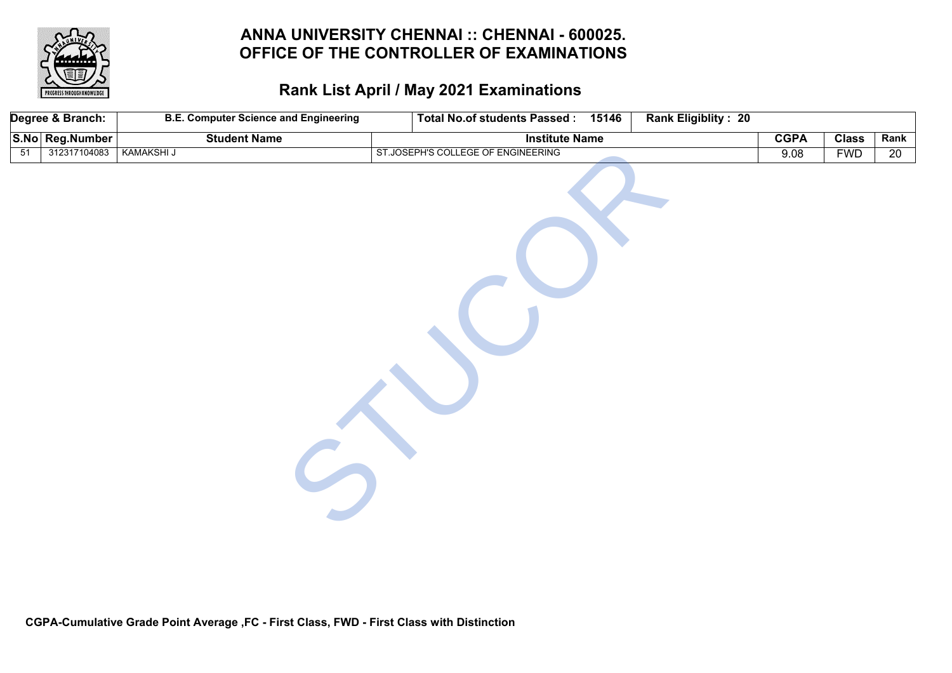

|                 | Degree & Branch: | <b>B.E. Computer Science and Engineering</b> | Total No.of students Passed: 15146 | <b>Rank Eligiblity: 20</b> |             |              |                 |
|-----------------|------------------|----------------------------------------------|------------------------------------|----------------------------|-------------|--------------|-----------------|
|                 | S.No Reg.Number  | <b>Student Name</b>                          | <b>Institute Name</b>              |                            | <b>CGPA</b> | <b>Class</b> | Rank            |
| $\overline{51}$ | 312317104083     | <b>KAMAKSHI J</b>                            | ST.JOSEPH'S COLLEGE OF ENGINEERING |                            | 9.08        | <b>FWD</b>   | $\overline{20}$ |
|                 |                  |                                              |                                    |                            |             |              |                 |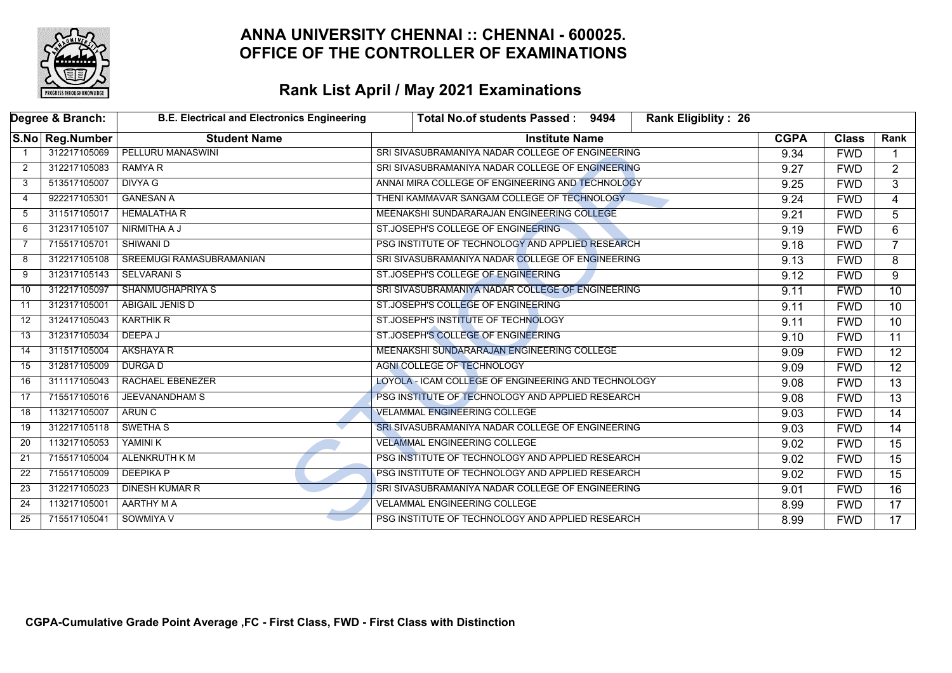

|                 | Degree & Branch: | <b>B.E. Electrical and Electronics Engineering</b> | Total No.of students Passed: 9494<br>Rank Eligiblity: 26 |             |              |                 |
|-----------------|------------------|----------------------------------------------------|----------------------------------------------------------|-------------|--------------|-----------------|
|                 | S.No Reg.Number  | <b>Student Name</b>                                | <b>Institute Name</b>                                    | <b>CGPA</b> | <b>Class</b> | Rank            |
|                 | 312217105069     | <b>PELLURU MANASWINI</b>                           | SRI SIVASUBRAMANIYA NADAR COLLEGE OF ENGINEERING         | 9.34        | <b>FWD</b>   |                 |
| 2               | 312217105083     | <b>RAMYA R</b>                                     | SRI SIVASUBRAMANIYA NADAR COLLEGE OF ENGINEERING         | 9.27        | <b>FWD</b>   | $\overline{2}$  |
| 3               | 513517105007     | <b>DIVYA G</b>                                     | ANNAI MIRA COLLEGE OF ENGINEERING AND TECHNOLOGY         | 9.25        | <b>FWD</b>   | 3               |
| 4               | 922217105301     | <b>GANESAN A</b>                                   | THENI KAMMAVAR SANGAM COLLEGE OF TECHNOLOGY              | 9.24        | <b>FWD</b>   | $\overline{4}$  |
| 5               | 311517105017     | <b>HEMALATHA R</b>                                 | MEENAKSHI SUNDARARAJAN ENGINEERING COLLEGE               | 9.21        | <b>FWD</b>   | $\overline{5}$  |
| 6               | 312317105107     | NIRMITHA A J                                       | ST.JOSEPH'S COLLEGE OF ENGINEERING                       | 9.19        | <b>FWD</b>   | 6               |
| 7               | 715517105701     | <b>SHIWANI D</b>                                   | PSG INSTITUTE OF TECHNOLOGY AND APPLIED RESEARCH         | 9.18        | <b>FWD</b>   | $\overline{7}$  |
| 8               | 312217105108     | SREEMUGI RAMASUBRAMANIAN                           | SRI SIVASUBRAMANIYA NADAR COLLEGE OF ENGINEERING         | 9.13        | <b>FWD</b>   | 8               |
| 9               | 312317105143     | <b>SELVARANI S</b>                                 | ST.JOSEPH'S COLLEGE OF ENGINEERING                       | 9.12        | <b>FWD</b>   | 9               |
| $\overline{10}$ | 312217105097     | SHANMUGHAPRIYA S                                   | SRI SIVASUBRAMANIYA NADAR COLLEGE OF ENGINEERING         | 9.11        | <b>FWD</b>   | $\overline{10}$ |
| 11              | 312317105001     | <b>ABIGAIL JENIS D</b>                             | ST.JOSEPH'S COLLEGE OF ENGINEERING                       | 9.11        | <b>FWD</b>   | $\overline{10}$ |
| 12              | 312417105043     | <b>KARTHIK R</b>                                   | ST.JOSEPH'S INSTITUTE OF TECHNOLOGY                      | 9.11        | <b>FWD</b>   | $\overline{10}$ |
| 13              | 312317105034     | DEEPA J                                            | ST.JOSEPH'S COLLEGE OF ENGINEERING                       | 9.10        | <b>FWD</b>   | $\overline{11}$ |
| 14              | 311517105004     | <b>AKSHAYA R</b>                                   | MEENAKSHI SUNDARARAJAN ENGINEERING COLLEGE               | 9.09        | <b>FWD</b>   | $\overline{12}$ |
| 15              | 312817105009     | <b>DURGAD</b>                                      | <b>AGNI COLLEGE OF TECHNOLOGY</b>                        | 9.09        | <b>FWD</b>   | $\overline{12}$ |
| 16              | 311117105043     | <b>RACHAEL EBENEZER</b>                            | LOYOLA - ICAM COLLEGE OF ENGINEERING AND TECHNOLOGY      | 9.08        | <b>FWD</b>   | $\overline{13}$ |
| 17              | 715517105016     | <b>JEEVANANDHAM S</b>                              | PSG INSTITUTE OF TECHNOLOGY AND APPLIED RESEARCH         | 9.08        | <b>FWD</b>   | 13              |
| 18              | 113217105007     | <b>ARUN C</b>                                      | <b>VELAMMAL ENGINEERING COLLEGE</b>                      | 9.03        | <b>FWD</b>   | $\overline{14}$ |
| 19              | 312217105118     | SWETHA <sub>S</sub>                                | SRI SIVASUBRAMANIYA NADAR COLLEGE OF ENGINEERING         | 9.03        | <b>FWD</b>   | $\overline{14}$ |
| 20              | 113217105053     | YAMINI K                                           | <b>VELAMMAL ENGINEERING COLLEGE</b>                      | 9.02        | <b>FWD</b>   | 15              |
| 21              | 715517105004     | <b>ALENKRUTH K M</b>                               | PSG INSTITUTE OF TECHNOLOGY AND APPLIED RESEARCH         | 9.02        | <b>FWD</b>   | $\overline{15}$ |
| 22              | 715517105009     | <b>DEEPIKAP</b>                                    | PSG INSTITUTE OF TECHNOLOGY AND APPLIED RESEARCH         | 9.02        | <b>FWD</b>   | $\overline{15}$ |
| 23              | 312217105023     | <b>DINESH KUMAR R</b>                              | SRI SIVASUBRAMANIYA NADAR COLLEGE OF ENGINEERING         | 9.01        | <b>FWD</b>   | $\overline{16}$ |
| 24              | 113217105001     | AARTHY MA                                          | <b>VELAMMAL ENGINEERING COLLEGE</b>                      | 8.99        | <b>FWD</b>   | $\overline{17}$ |
| 25              | 715517105041     | SOWMIYA V                                          | PSG INSTITUTE OF TECHNOLOGY AND APPLIED RESEARCH         | 8.99        | <b>FWD</b>   | $\overline{17}$ |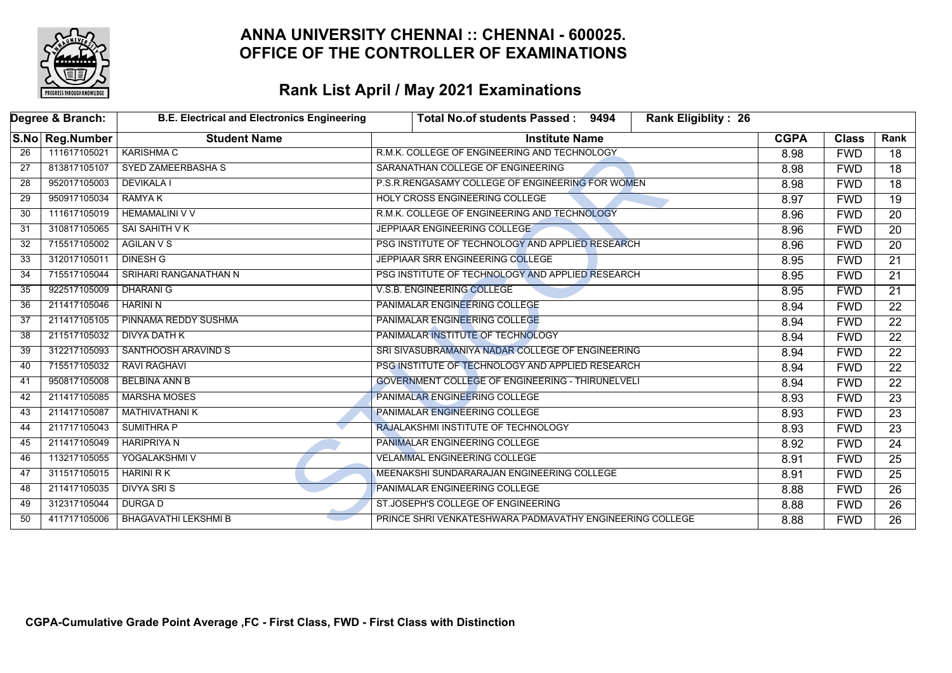

|                 | Degree & Branch: | <b>B.E. Electrical and Electronics Engineering</b> | Total No.of students Passed: 9494<br>Rank Eligiblity: 26 |             |              |                 |
|-----------------|------------------|----------------------------------------------------|----------------------------------------------------------|-------------|--------------|-----------------|
|                 | S.No Reg.Number  | <b>Student Name</b>                                | <b>Institute Name</b>                                    | <b>CGPA</b> | <b>Class</b> | Rank            |
| 26              | 111617105021     | <b>KARISHMA C</b>                                  | R.M.K. COLLEGE OF ENGINEERING AND TECHNOLOGY             | 8.98        | <b>FWD</b>   | 18              |
| $\overline{27}$ | 813817105107     | <b>SYED ZAMEERBASHA S</b>                          | SARANATHAN COLLEGE OF ENGINEERING                        | 8.98        | <b>FWD</b>   | $\overline{18}$ |
| 28              | 952017105003     | <b>DEVIKALA I</b>                                  | P.S.R.RENGASAMY COLLEGE OF ENGINEERING FOR WOMEN         | 8.98        | <b>FWD</b>   | 18              |
| 29              | 950917105034     | <b>RAMYA K</b>                                     | HOLY CROSS ENGINEERING COLLEGE                           | 8.97        | <b>FWD</b>   | $\overline{19}$ |
| 30              | 111617105019     | <b>HEMAMALINI V V</b>                              | R.M.K. COLLEGE OF ENGINEERING AND TECHNOLOGY             | 8.96        | <b>FWD</b>   | $\overline{20}$ |
| 31              | 310817105065     | SAI SAHITH V K                                     | JEPPIAAR ENGINEERING COLLEGE                             | 8.96        | <b>FWD</b>   | 20              |
| 32              | 715517105002     | <b>AGILAN V S</b>                                  | PSG INSTITUTE OF TECHNOLOGY AND APPLIED RESEARCH         | 8.96        | <b>FWD</b>   | $\overline{20}$ |
| 33              | 312017105011     | <b>DINESH G</b>                                    | JEPPIAAR SRR ENGINEERING COLLEGE                         | 8.95        | <b>FWD</b>   | $\overline{21}$ |
| 34              | 715517105044     | SRIHARI RANGANATHAN N                              | PSG INSTITUTE OF TECHNOLOGY AND APPLIED RESEARCH         | 8.95        | <b>FWD</b>   | 21              |
| 35              | 922517105009     | <b>DHARANI G</b>                                   | V.S.B. ENGINEERING COLLEGE                               | 8.95        | <b>FWD</b>   | $\overline{21}$ |
| 36              | 211417105046     | <b>HARINI N</b>                                    | <b>PANIMALAR ENGINEERING COLLEGE</b>                     |             | <b>FWD</b>   | $\overline{22}$ |
| 37              | 211417105105     | PINNAMA REDDY SUSHMA                               | <b>PANIMALAR ENGINEERING COLLEGE</b>                     |             | <b>FWD</b>   | $\overline{22}$ |
| 38              | 211517105032     | <b>DIVYA DATH K</b>                                | PANIMALAR INSTITUTE OF TECHNOLOGY                        | 8.94        | <b>FWD</b>   | $\overline{22}$ |
| 39              | 312217105093     | SANTHOOSH ARAVIND S                                | SRI SIVASUBRAMANIYA NADAR COLLEGE OF ENGINEERING         | 8.94        | <b>FWD</b>   | $\overline{22}$ |
| 40              | 715517105032     | <b>RAVI RAGHAVI</b>                                | PSG INSTITUTE OF TECHNOLOGY AND APPLIED RESEARCH         | 8.94        | <b>FWD</b>   | $\overline{22}$ |
| 41              | 950817105008     | <b>BELBINA ANN B</b>                               | <b>GOVERNMENT COLLEGE OF ENGINEERING - THIRUNELVELI</b>  | 8.94        | <b>FWD</b>   | $\overline{22}$ |
| 42              | 211417105085     | <b>MARSHA MOSES</b>                                | PANIMALAR ENGINEERING COLLEGE                            | 8.93        | <b>FWD</b>   | $\overline{23}$ |
| 43              | 211417105087     | <b>MATHIVATHANI K</b>                              | <b>PANIMALAR ENGINEERING COLLEGE</b>                     | 8.93        | <b>FWD</b>   | $\overline{23}$ |
| 44              | 211717105043     | <b>SUMITHRA P</b>                                  | RAJALAKSHMI INSTITUTE OF TECHNOLOGY                      | 8.93        | <b>FWD</b>   | $\overline{23}$ |
| 45              | 211417105049     | <b>HARIPRIYA N</b>                                 | PANIMALAR ENGINEERING COLLEGE                            | 8.92        | <b>FWD</b>   | 24              |
| 46              | 113217105055     | YOGALAKSHMI V                                      | <b>VELAMMAL ENGINEERING COLLEGE</b>                      | 8.91        | <b>FWD</b>   | $\overline{25}$ |
| 47              | 311517105015     | HARINI R K                                         | MEENAKSHI SUNDARARAJAN ENGINEERING COLLEGE               | 8.91        | <b>FWD</b>   | $\overline{25}$ |
| 48              | 211417105035     | <b>DIVYA SRIS</b>                                  | PANIMALAR ENGINEERING COLLEGE                            | 8.88        | <b>FWD</b>   | 26              |
| 49              | 312317105044     | <b>DURGA D</b>                                     | ST.JOSEPH'S COLLEGE OF ENGINEERING                       | 8.88        | <b>FWD</b>   | 26              |
| 50              | 411717105006     | <b>BHAGAVATHI LEKSHMI B</b>                        | PRINCE SHRI VENKATESHWARA PADMAVATHY ENGINEERING COLLEGE | 8.88        | <b>FWD</b>   | $\overline{26}$ |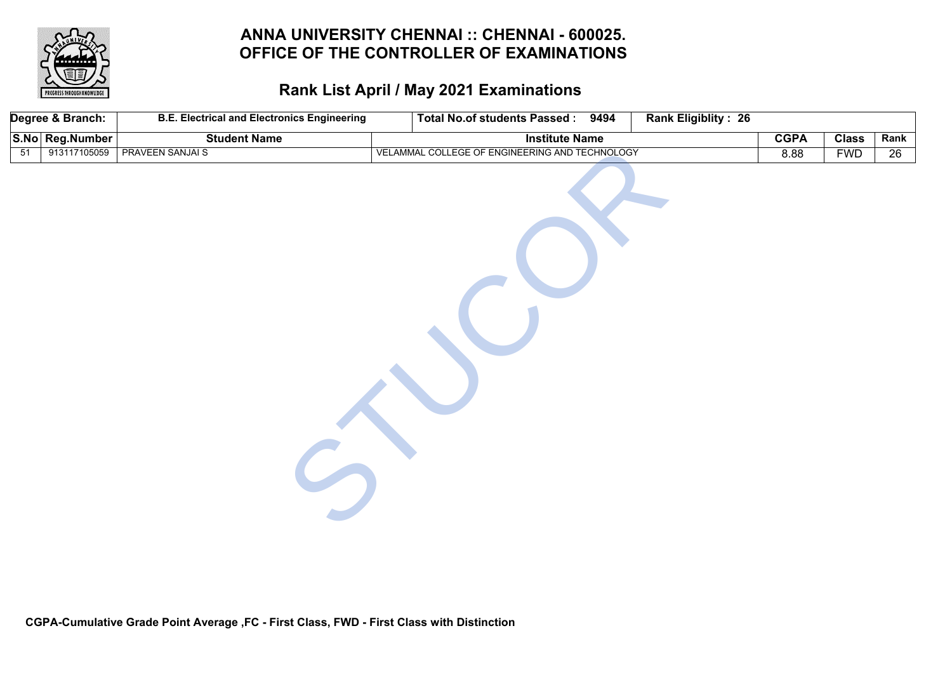

|                 | Degree & Branch: | <b>B.E. Electrical and Electronics Engineering</b> | Total No.of students Passed: 9494              | Rank Eligiblity: 26 |             |              |                 |
|-----------------|------------------|----------------------------------------------------|------------------------------------------------|---------------------|-------------|--------------|-----------------|
|                 | S.No Reg.Number  | <b>Student Name</b>                                | <b>Institute Name</b>                          |                     | <b>CGPA</b> | <b>Class</b> | Rank            |
| $\overline{51}$ | 913117105059     | <b>PRAVEEN SANJAI S</b>                            | VELAMMAL COLLEGE OF ENGINEERING AND TECHNOLOGY |                     | 8.88        | <b>FWD</b>   | $\overline{26}$ |
|                 |                  |                                                    |                                                |                     |             |              |                 |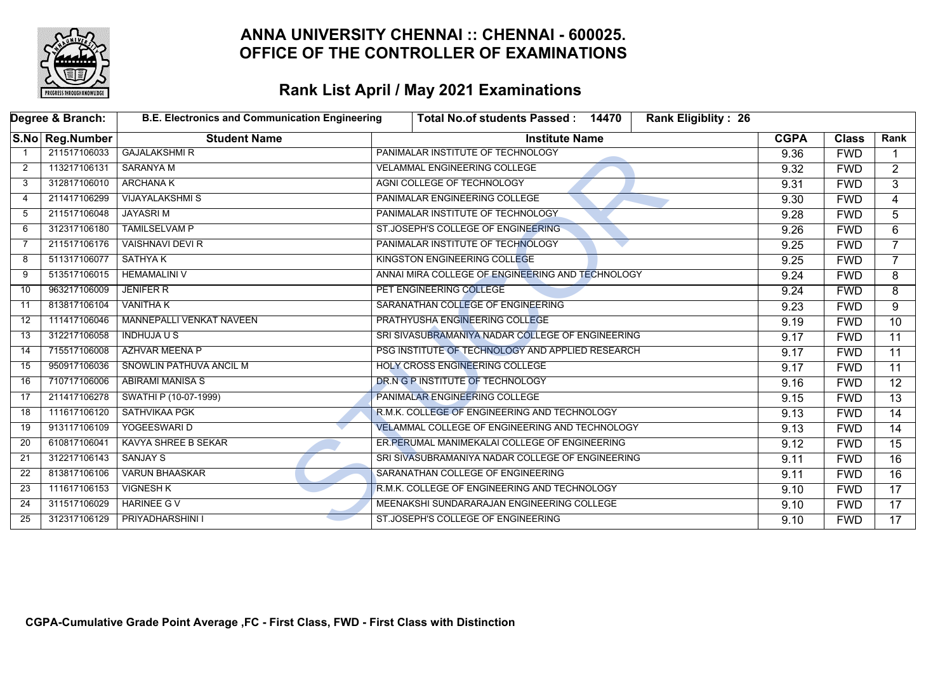

|    | Degree & Branch: | <b>B.E. Electronics and Communication Engineering</b> | <b>Rank Eligiblity: 26</b><br>Total No.of students Passed: 14470 |             |              |                 |
|----|------------------|-------------------------------------------------------|------------------------------------------------------------------|-------------|--------------|-----------------|
|    | S.No Reg.Number  | <b>Student Name</b>                                   | <b>Institute Name</b>                                            | <b>CGPA</b> | <b>Class</b> | Rank            |
|    | 211517106033     | <b>GAJALAKSHMI R</b>                                  | PANIMALAR INSTITUTE OF TECHNOLOGY                                | 9.36        | <b>FWD</b>   |                 |
| 2  | 113217106131     | <b>SARANYA M</b>                                      | <b>VELAMMAL ENGINEERING COLLEGE</b>                              | 9.32        | <b>FWD</b>   | $\overline{2}$  |
| 3  | 312817106010     | <b>ARCHANA K</b>                                      | AGNI COLLEGE OF TECHNOLOGY                                       | 9.31        | <b>FWD</b>   | 3               |
| 4  | 211417106299     | <b>VIJAYALAKSHMI S</b>                                | PANIMALAR ENGINEERING COLLEGE                                    | 9.30        | <b>FWD</b>   | 4               |
| -5 | 211517106048     | <b>JAYASRIM</b>                                       | PANIMALAR INSTITUTE OF TECHNOLOGY                                | 9.28        | <b>FWD</b>   | 5               |
| 6  | 312317106180     | <b>TAMILSELVAM P</b>                                  | ST.JOSEPH'S COLLEGE OF ENGINEERING                               | 9.26        | <b>FWD</b>   | 6               |
| 7  | 211517106176     | <b>VAISHNAVI DEVI R</b>                               | PANIMALAR INSTITUTE OF TECHNOLOGY                                | 9.25        | <b>FWD</b>   | $\overline{7}$  |
| 8  | 511317106077     | <b>SATHYAK</b>                                        | <b>KINGSTON ENGINEERING COLLEGE</b>                              | 9.25        | <b>FWD</b>   | $\overline{7}$  |
| 9  | 513517106015     | <b>HEMAMALINI V</b>                                   | ANNAI MIRA COLLEGE OF ENGINEERING AND TECHNOLOGY                 | 9.24        | <b>FWD</b>   | 8               |
| 10 | 963217106009     | <b>JENIFER R</b>                                      | PET ENGINEERING COLLEGE                                          | 9.24        | <b>FWD</b>   | 8               |
| 11 | 813817106104     | <b>VANITHA K</b>                                      | SARANATHAN COLLEGE OF ENGINEERING                                | 9.23        | <b>FWD</b>   | 9               |
| 12 | 111417106046     | <b>MANNEPALLI VENKAT NAVEEN</b>                       | PRATHYUSHA ENGINEERING COLLEGE                                   | 9.19        | <b>FWD</b>   | $\overline{10}$ |
| 13 | 312217106058     | <b>INDHUJA U S</b>                                    | SRI SIVASUBRAMANIYA NADAR COLLEGE OF ENGINEERING                 | 9.17        | <b>FWD</b>   | $\overline{11}$ |
| 14 | 715517106008     | <b>AZHVAR MEENA P</b>                                 | PSG INSTITUTE OF TECHNOLOGY AND APPLIED RESEARCH                 | 9.17        | <b>FWD</b>   | $\overline{11}$ |
| 15 | 950917106036     | SNOWLIN PATHUVA ANCIL M                               | <b>HOLY CROSS ENGINEERING COLLEGE</b>                            | 9.17        | <b>FWD</b>   | 11              |
| 16 | 710717106006     | <b>ABIRAMI MANISA S</b>                               | DR.N G P INSTITUTE OF TECHNOLOGY                                 | 9.16        | <b>FWD</b>   | $\overline{12}$ |
| 17 | 211417106278     | SWATHI P (10-07-1999)                                 | PANIMALAR ENGINEERING COLLEGE                                    | 9.15        | <b>FWD</b>   | $\overline{13}$ |
| 18 | 111617106120     | SATHVIKAA PGK                                         | R.M.K. COLLEGE OF ENGINEERING AND TECHNOLOGY                     | 9.13        | <b>FWD</b>   | 14              |
| 19 | 913117106109     | YOGEESWARI D                                          | <b>VELAMMAL COLLEGE OF ENGINEERING AND TECHNOLOGY</b>            | 9.13        | <b>FWD</b>   | 14              |
| 20 | 610817106041     | <b>KAVYA SHREE B SEKAR</b>                            | ER. PERUMAL MANIMEKALAI COLLEGE OF ENGINEERING                   | 9.12        | <b>FWD</b>   | 15              |
| 21 | 312217106143     | <b>SANJAY S</b>                                       | SRI SIVASUBRAMANIYA NADAR COLLEGE OF ENGINEERING                 | 9.11        | <b>FWD</b>   | 16              |
| 22 | 813817106106     | <b>VARUN BHAASKAR</b>                                 | SARANATHAN COLLEGE OF ENGINEERING                                | 9.11        | <b>FWD</b>   | 16              |
| 23 | 111617106153     | <b>VIGNESH K</b>                                      | R.M.K. COLLEGE OF ENGINEERING AND TECHNOLOGY                     | 9.10        | <b>FWD</b>   | 17              |
| 24 | 311517106029     | <b>HARINEE GV</b>                                     | MEENAKSHI SUNDARARAJAN ENGINEERING COLLEGE                       | 9.10        | <b>FWD</b>   | 17              |
| 25 | 312317106129     | PRIYADHARSHINI I                                      | ST.JOSEPH'S COLLEGE OF ENGINEERING                               | 9.10        | <b>FWD</b>   | 17              |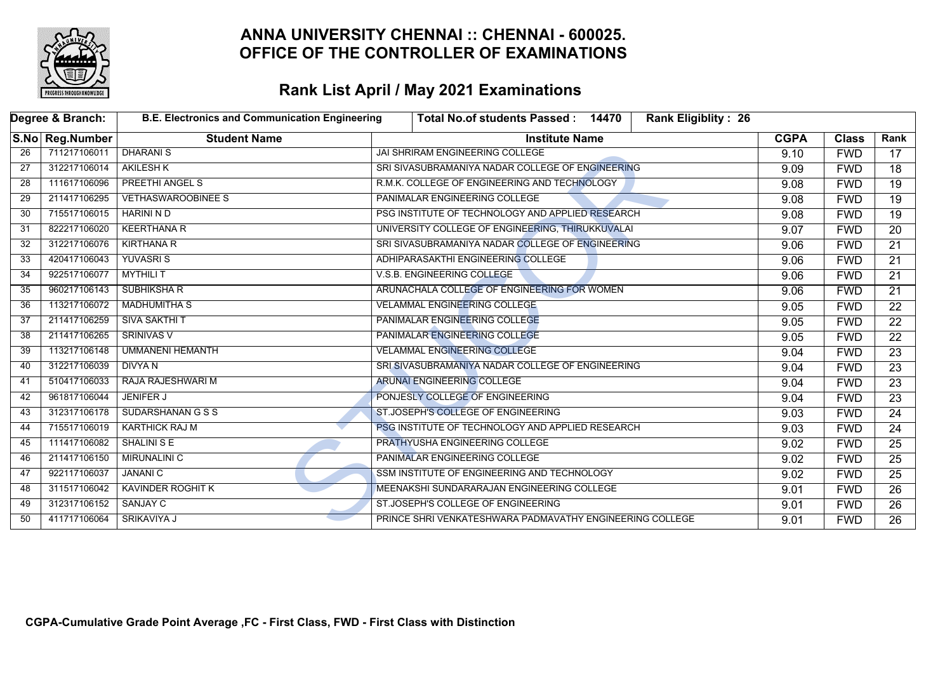

|    | Degree & Branch: | <b>B.E. Electronics and Communication Engineering</b> | <b>Rank Eligiblity: 26</b><br>Total No.of students Passed: 14470 |             |              |                 |
|----|------------------|-------------------------------------------------------|------------------------------------------------------------------|-------------|--------------|-----------------|
|    | S.No Reg.Number  | <b>Student Name</b>                                   | <b>Institute Name</b>                                            | <b>CGPA</b> | <b>Class</b> | Rank            |
| 26 | 711217106011     | <b>DHARANIS</b>                                       | <b>JAI SHRIRAM ENGINEERING COLLEGE</b>                           | 9.10        | <b>FWD</b>   | 17              |
| 27 | 312217106014     | <b>AKILESH K</b>                                      | SRI SIVASUBRAMANIYA NADAR COLLEGE OF ENGINEERING                 | 9.09        | <b>FWD</b>   | 18              |
| 28 | 111617106096     | <b>PREETHI ANGEL S</b>                                | R.M.K. COLLEGE OF ENGINEERING AND TECHNOLOGY                     | 9.08        | <b>FWD</b>   | 19              |
| 29 | 211417106295     | <b>VETHASWAROOBINEE S</b>                             | PANIMALAR ENGINEERING COLLEGE                                    | 9.08        | <b>FWD</b>   | $\overline{19}$ |
| 30 | 715517106015     | HARINI N D                                            | PSG INSTITUTE OF TECHNOLOGY AND APPLIED RESEARCH                 | 9.08        | <b>FWD</b>   | $\overline{19}$ |
| 31 | 822217106020     | <b>KEERTHANA R</b>                                    | UNIVERSITY COLLEGE OF ENGINEERING, THIRUKKUVALAI                 | 9.07        | <b>FWD</b>   | $\overline{20}$ |
| 32 | 312217106076     | <b>KIRTHANA R</b>                                     | SRI SIVASUBRAMANIYA NADAR COLLEGE OF ENGINEERING                 | 9.06        | <b>FWD</b>   | $\overline{21}$ |
| 33 | 420417106043     | <b>YUVASRIS</b>                                       | ADHIPARASAKTHI ENGINEERING COLLEGE                               | 9.06        | <b>FWD</b>   | $\overline{21}$ |
| 34 | 922517106077     | <b>MYTHILIT</b>                                       | V.S.B. ENGINEERING COLLEGE                                       | 9.06        | <b>FWD</b>   | 21              |
| 35 | 960217106143     | SUBHIKSHA R                                           | ARUNACHALA COLLEGE OF ENGINEERING FOR WOMEN                      | 9.06        | <b>FWD</b>   | $\overline{21}$ |
| 36 | 113217106072     | <b>MADHUMITHA S</b>                                   | <b>VELAMMAL ENGINEERING COLLEGE</b>                              | 9.05        | <b>FWD</b>   | 22              |
| 37 | 211417106259     | <b>SIVA SAKTHI T</b>                                  | PANIMALAR ENGINEERING COLLEGE                                    | 9.05        | <b>FWD</b>   | 22              |
| 38 | 211417106265     | <b>SRINIVAS V</b>                                     | PANIMALAR ENGINEERING COLLEGE                                    | 9.05        | <b>FWD</b>   | $\overline{22}$ |
| 39 | 113217106148     | <b>UMMANENI HEMANTH</b>                               | <b>VELAMMAL ENGINEERING COLLEGE</b>                              | 9.04        | <b>FWD</b>   | $\overline{23}$ |
| 40 | 312217106039     | <b>DIVYAN</b>                                         | SRI SIVASUBRAMANIYA NADAR COLLEGE OF ENGINEERING                 | 9.04        | <b>FWD</b>   | $\overline{23}$ |
| 41 | 510417106033     | RAJA RAJESHWARI M                                     | ARUNAI ENGINEERING COLLEGE                                       | 9.04        | <b>FWD</b>   | $\overline{23}$ |
| 42 | 961817106044     | <b>JENIFER J</b>                                      | PONJESLY COLLEGE OF ENGINEERING                                  | 9.04        | <b>FWD</b>   | $\overline{23}$ |
| 43 | 312317106178     | <b>SUDARSHANAN G S S</b>                              | ST.JOSEPH'S COLLEGE OF ENGINEERING                               | 9.03        | <b>FWD</b>   | $\overline{24}$ |
| 44 | 715517106019     | <b>KARTHICK RAJ M</b>                                 | PSG INSTITUTE OF TECHNOLOGY AND APPLIED RESEARCH                 | 9.03        | <b>FWD</b>   | $\overline{24}$ |
| 45 | 111417106082     | <b>SHALINI S E</b>                                    | PRATHYUSHA ENGINEERING COLLEGE                                   | 9.02        | <b>FWD</b>   | $\overline{25}$ |
| 46 | 211417106150     | <b>MIRUNALINI C</b>                                   | PANIMALAR ENGINEERING COLLEGE                                    | 9.02        | <b>FWD</b>   | $\overline{25}$ |
| 47 | 922117106037     | <b>JANANI C</b>                                       | SSM INSTITUTE OF ENGINEERING AND TECHNOLOGY                      | 9.02        | <b>FWD</b>   | $\overline{25}$ |
| 48 | 311517106042     | <b>KAVINDER ROGHIT K</b>                              | MEENAKSHI SUNDARARAJAN ENGINEERING COLLEGE                       | 9.01        | <b>FWD</b>   | 26              |
| 49 | 312317106152     | SANJAY C                                              | ST.JOSEPH'S COLLEGE OF ENGINEERING                               | 9.01        | <b>FWD</b>   | 26              |
| 50 | 411717106064     | SRIKAVIYA J                                           | PRINCE SHRI VENKATESHWARA PADMAVATHY ENGINEERING COLLEGE         | 9.01        | <b>FWD</b>   | $\overline{26}$ |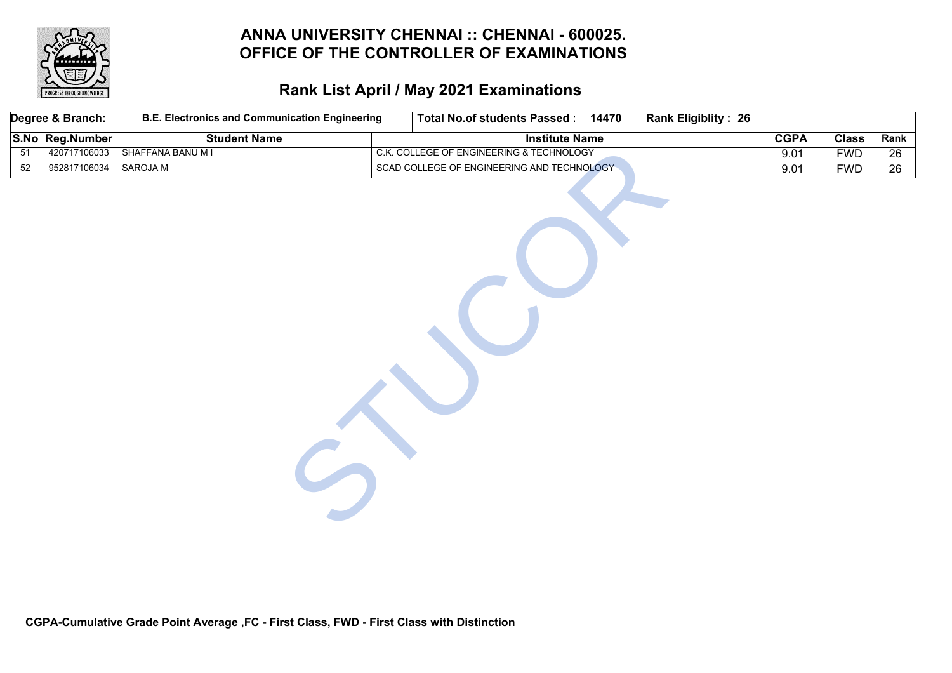

# **Rank List April / May 2021 Examinations**

|                 | Degree & Branch: | <b>B.E. Electronics and Communication Engineering</b> | <b>Total No.of students Passed:</b><br>14470 | <b>Rank Eligiblity: 26</b> |              |                 |
|-----------------|------------------|-------------------------------------------------------|----------------------------------------------|----------------------------|--------------|-----------------|
|                 | S.No Reg.Number  | <b>Student Name</b>                                   | <b>Institute Name</b>                        | <b>CGPA</b>                | <b>Class</b> | Rank            |
| 51              | 420717106033     | SHAFFANA BANU M I                                     | C.K. COLLEGE OF ENGINEERING & TECHNOLOGY     | 9.01                       | <b>FWD</b>   | $\overline{26}$ |
| $\overline{52}$ | 952817106034     | <b>SAROJA M</b>                                       | SCAD COLLEGE OF ENGINEERING AND TECHNOLOGY   | 9.01                       | <b>FWD</b>   | $\overline{26}$ |
|                 |                  |                                                       |                                              |                            |              |                 |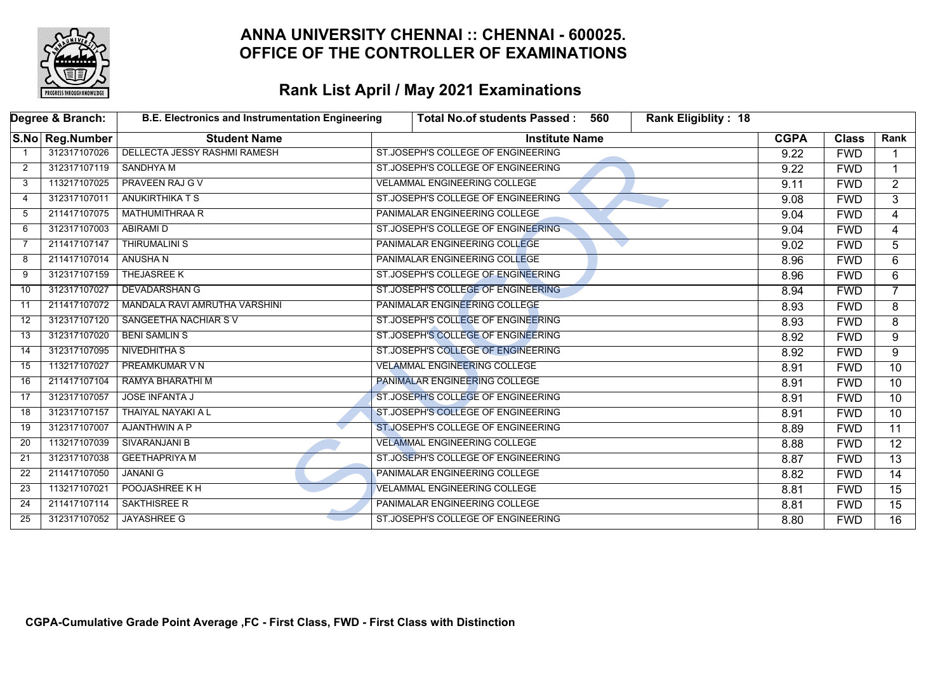

|    | Degree & Branch: | <b>B.E. Electronics and Instrumentation Engineering</b> | <b>Total No.of students Passed:</b>  | 560 | Rank Eligiblity: 18 |             |              |                 |
|----|------------------|---------------------------------------------------------|--------------------------------------|-----|---------------------|-------------|--------------|-----------------|
|    | S.No Reg.Number  | <b>Student Name</b>                                     | <b>Institute Name</b>                |     |                     | <b>CGPA</b> | <b>Class</b> | Rank            |
|    | 312317107026     | <b>DELLECTA JESSY RASHMI RAMESH</b>                     | ST.JOSEPH'S COLLEGE OF ENGINEERING   |     |                     | 9.22        | <b>FWD</b>   |                 |
| 2  | 312317107119     | <b>SANDHYA M</b>                                        | ST.JOSEPH'S COLLEGE OF ENGINEERING   |     |                     | 9.22        | <b>FWD</b>   |                 |
| 3  | 113217107025     | <b>PRAVEEN RAJ G V</b>                                  | <b>VELAMMAL ENGINEERING COLLEGE</b>  |     |                     | 9.11        | <b>FWD</b>   | $\overline{2}$  |
| 4  | 312317107011     | <b>ANUKIRTHIKA T S</b>                                  | ST.JOSEPH'S COLLEGE OF ENGINEERING   |     |                     | 9.08        | <b>FWD</b>   | 3               |
| 5  | 211417107075     | <b>MATHUMITHRAA R</b>                                   | PANIMALAR ENGINEERING COLLEGE        |     |                     | 9.04        | <b>FWD</b>   | $\overline{4}$  |
| 6  | 312317107003     | <b>ABIRAMI D</b>                                        | ST.JOSEPH'S COLLEGE OF ENGINEERING   |     |                     | 9.04        | <b>FWD</b>   | 4               |
| 7  | 211417107147     | <b>THIRUMALINI S</b>                                    | PANIMALAR ENGINEERING COLLEGE        |     |                     | 9.02        | <b>FWD</b>   | 5               |
| 8  | 211417107014     | ANUSHA N                                                | PANIMALAR ENGINEERING COLLEGE        |     |                     | 8.96        | <b>FWD</b>   | 6               |
| 9  | 312317107159     | THEJASREE K                                             | ST.JOSEPH'S COLLEGE OF ENGINEERING   |     |                     | 8.96        | <b>FWD</b>   | 6               |
| 10 | 312317107027     | <b>DEVADARSHAN G</b>                                    | ST.JOSEPH'S COLLEGE OF ENGINEERING   |     |                     | 8.94        | <b>FWD</b>   | $\overline{7}$  |
| 11 | 211417107072     | MANDALA RAVI AMRUTHA VARSHINI                           | PANIMALAR ENGINEERING COLLEGE        |     |                     | 8.93        | <b>FWD</b>   | 8               |
| 12 | 312317107120     | SANGEETHA NACHIAR SV                                    | ST.JOSEPH'S COLLEGE OF ENGINEERING   |     |                     | 8.93        | <b>FWD</b>   | 8               |
| 13 | 312317107020     | <b>BENI SAMLIN S</b>                                    | ST.JOSEPH'S COLLEGE OF ENGINEERING   |     |                     | 8.92        | <b>FWD</b>   | 9               |
| 14 | 312317107095     | NIVEDHITHA S                                            | ST.JOSEPH'S COLLEGE OF ENGINEERING   |     |                     | 8.92        | <b>FWD</b>   | 9               |
| 15 | 113217107027     | <b>PREAMKUMAR V N</b>                                   | <b>VELAMMAL ENGINEERING COLLEGE</b>  |     |                     | 8.91        | <b>FWD</b>   | 10              |
| 16 | 211417107104     | RAMYA BHARATHI M                                        | <b>PANIMALAR ENGINEERING COLLEGE</b> |     |                     | 8.91        | <b>FWD</b>   | $\overline{10}$ |
| 17 | 312317107057     | <b>JOSE INFANTA J</b>                                   | ST.JOSEPH'S COLLEGE OF ENGINEERING   |     |                     | 8.91        | <b>FWD</b>   | 10              |
| 18 | 312317107157     | THAIYAL NAYAKI A L                                      | ST.JOSEPH'S COLLEGE OF ENGINEERING   |     |                     | 8.91        | <b>FWD</b>   | $\overline{10}$ |
| 19 | 312317107007     | AJANTHWIN A P                                           | ST.JOSEPH'S COLLEGE OF ENGINEERING   |     |                     | 8.89        | <b>FWD</b>   | $\overline{11}$ |
| 20 | 113217107039     | SIVARANJANI B                                           | <b>VELAMMAL ENGINEERING COLLEGE</b>  |     |                     | 8.88        | <b>FWD</b>   | 12              |
| 21 | 312317107038     | <b>GEETHAPRIYA M</b>                                    | ST.JOSEPH'S COLLEGE OF ENGINEERING   |     |                     | 8.87        | <b>FWD</b>   | $\overline{13}$ |
| 22 | 211417107050     | <b>JANANI G</b>                                         | PANIMALAR ENGINEERING COLLEGE        |     |                     | 8.82        | <b>FWD</b>   | $\overline{14}$ |
| 23 | 113217107021     | POOJASHREE K H                                          | <b>VELAMMAL ENGINEERING COLLEGE</b>  |     |                     | 8.81        | <b>FWD</b>   | 15              |
| 24 | 211417107114     | <b>SAKTHISREE R</b>                                     | PANIMALAR ENGINEERING COLLEGE        |     |                     | 8.81        | <b>FWD</b>   | 15              |
| 25 | 312317107052     | <b>JAYASHREE G</b>                                      | ST.JOSEPH'S COLLEGE OF ENGINEERING   |     |                     | 8.80        | <b>FWD</b>   | 16              |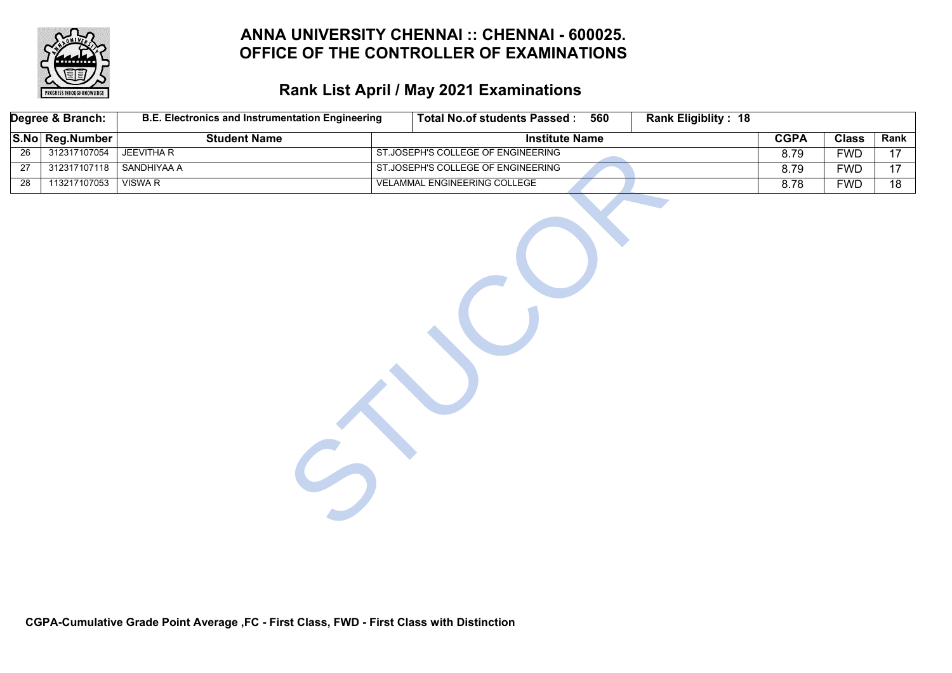

# **Rank List April / May 2021 Examinations**

|                 | Degree & Branch: | <b>B.E. Electronics and Instrumentation Engineering</b> | <b>Total No.of students Passed:</b> | 560 | <b>Rank Eligiblity: 18</b> |             |              |                 |
|-----------------|------------------|---------------------------------------------------------|-------------------------------------|-----|----------------------------|-------------|--------------|-----------------|
|                 | S.No Reg.Number  | <b>Student Name</b>                                     | <b>Institute Name</b>               |     |                            | <b>CGPA</b> | <b>Class</b> | Rank            |
| $\overline{26}$ | 312317107054     | <b>JEEVITHA R</b>                                       | ST.JOSEPH'S COLLEGE OF ENGINEERING  |     |                            | 8.79        | <b>FWD</b>   | 17              |
| $\overline{27}$ | 312317107118     | <b>SANDHIYAA A</b>                                      | ST.JOSEPH'S COLLEGE OF ENGINEERING  |     |                            | 8.79        | <b>FWD</b>   | 17              |
| $\overline{28}$ | 113217107053     | <b>VISWA R</b>                                          | VELAMMAL ENGINEERING COLLEGE        |     |                            | 8.78        | <b>FWD</b>   | $\overline{18}$ |
|                 |                  |                                                         |                                     |     |                            |             |              |                 |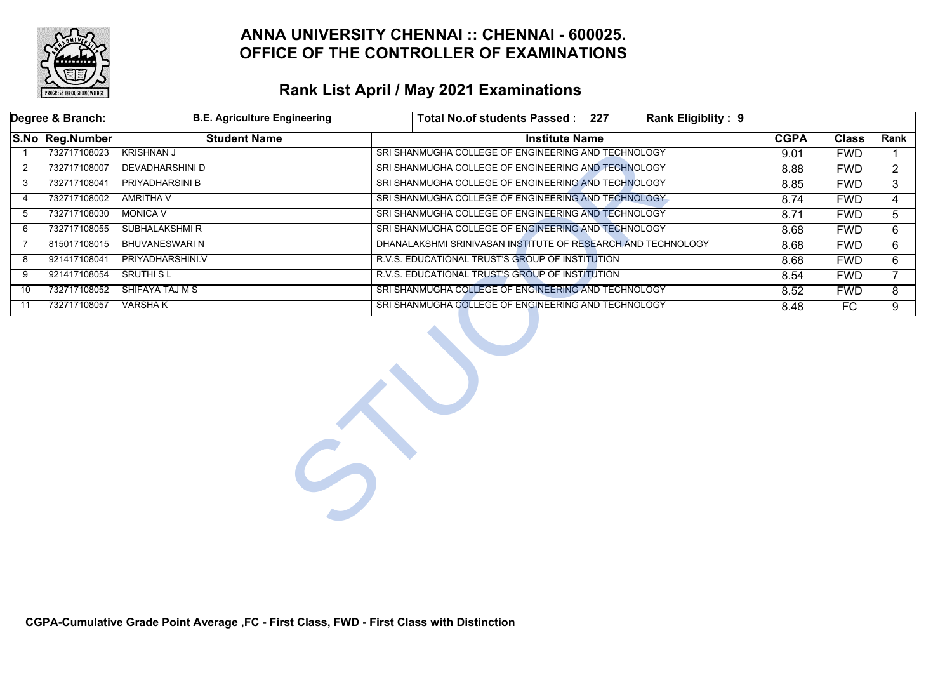

|                | Degree & Branch:                | <b>B.E. Agriculture Engineering</b> | Total No.of students Passed: 227                             | Rank Eligiblity: 9 |             |              |                |
|----------------|---------------------------------|-------------------------------------|--------------------------------------------------------------|--------------------|-------------|--------------|----------------|
|                | S.No Reg.Number                 | <b>Student Name</b>                 | <b>Institute Name</b>                                        |                    | <b>CGPA</b> | <b>Class</b> | Rank           |
|                | 732717108023                    | <b>KRISHNAN J</b>                   | SRI SHANMUGHA COLLEGE OF ENGINEERING AND TECHNOLOGY          |                    | 9.01        | <b>FWD</b>   |                |
| $\overline{2}$ | 732717108007                    | <b>DEVADHARSHINI D</b>              | SRI SHANMUGHA COLLEGE OF ENGINEERING AND TECHNOLOGY          |                    | 8.88        | <b>FWD</b>   | $\overline{2}$ |
| 3              | 732717108041                    | <b>PRIYADHARSINI B</b>              | SRI SHANMUGHA COLLEGE OF ENGINEERING AND TECHNOLOGY          |                    | 8.85        | <b>FWD</b>   | 3              |
| 4              | 732717108002                    | <b>AMRITHA V</b>                    | SRI SHANMUGHA COLLEGE OF ENGINEERING AND TECHNOLOGY          |                    | 8.74        | <b>FWD</b>   | 4              |
| 5              | 732717108030<br><b>MONICA V</b> |                                     | SRI SHANMUGHA COLLEGE OF ENGINEERING AND TECHNOLOGY          |                    | 8.71        | <b>FWD</b>   | 5              |
| 6              | 732717108055                    | <b>SUBHALAKSHMIR</b>                | SRI SHANMUGHA COLLEGE OF ENGINEERING AND TECHNOLOGY          |                    | 8.68        | <b>FWD</b>   | 6              |
| 7              | 815017108015                    | <b>BHUVANESWARI N</b>               | DHANALAKSHMI SRINIVASAN INSTITUTE OF RESEARCH AND TECHNOLOGY |                    | 8.68        | <b>FWD</b>   | 6              |
| 8              | 921417108041                    | PRIYADHARSHINI.V                    | R.V.S. EDUCATIONAL TRUST'S GROUP OF INSTITUTION              |                    | 8.68        | <b>FWD</b>   | 6              |
| 9              | 921417108054                    | <b>SRUTHI SL</b>                    | R.V.S. EDUCATIONAL TRUST'S GROUP OF INSTITUTION              |                    | 8.54        | <b>FWD</b>   |                |
| 10             | 732717108052                    | <b>SHIFAYA TAJ M S</b>              | SRI SHANMUGHA COLLEGE OF ENGINEERING AND TECHNOLOGY          |                    | 8.52        | <b>FWD</b>   | 8              |
| 11             | 732717108057                    | <b>VARSHAK</b>                      | SRI SHANMUGHA COLLEGE OF ENGINEERING AND TECHNOLOGY          |                    | 8.48        | FC           | $\overline{9}$ |
|                |                                 | $\frac{1}{2}$                       |                                                              |                    |             |              |                |

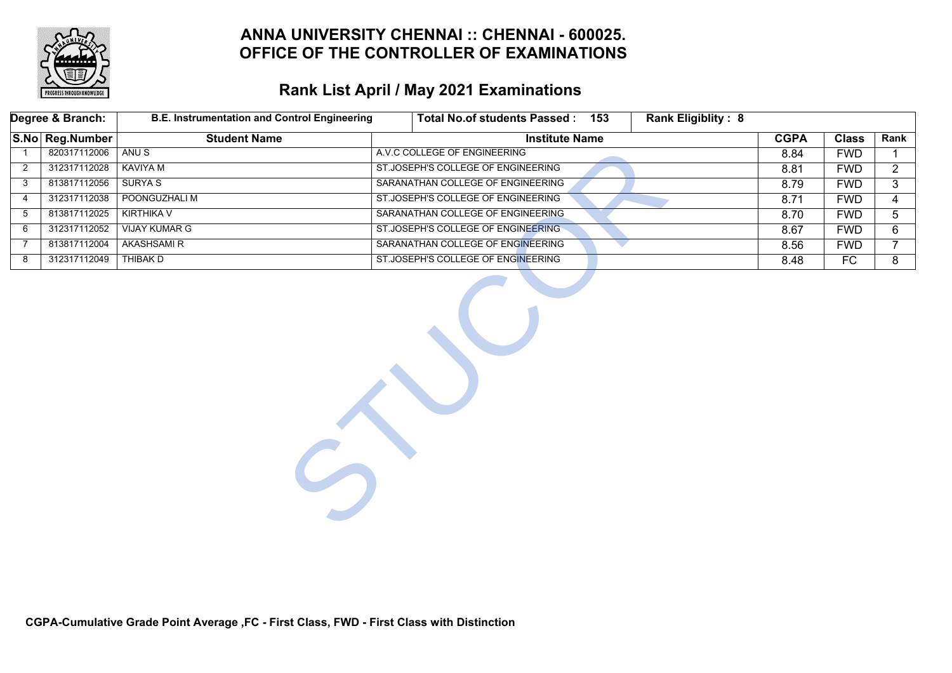

|                | Degree & Branch: | <b>B.E. Instrumentation and Control Engineering</b> | <b>Rank Eligiblity: 8</b><br>Total No.of students Passed: 153 |             |              |                |
|----------------|------------------|-----------------------------------------------------|---------------------------------------------------------------|-------------|--------------|----------------|
|                | S.No Reg.Number  | <b>Student Name</b>                                 | <b>Institute Name</b>                                         | <b>CGPA</b> | <b>Class</b> | Rank           |
|                | 820317112006     | ANU <sub>S</sub>                                    | A.V.C COLLEGE OF ENGINEERING                                  | 8.84        | <b>FWD</b>   |                |
| 2              | 312317112028     | <b>KAVIYA M</b>                                     | ST.JOSEPH'S COLLEGE OF ENGINEERING                            | 8.81        | <b>FWD</b>   | $\mathbf{2}$   |
| 3              | 813817112056     | <b>SURYA S</b>                                      | SARANATHAN COLLEGE OF ENGINEERING                             | 8.79        | <b>FWD</b>   | 3              |
| 4              | 312317112038     | POONGUZHALI M                                       | ST.JOSEPH'S COLLEGE OF ENGINEERING                            | 8.71        | <b>FWD</b>   | 4              |
| 5              | 813817112025     | <b>KIRTHIKA V</b>                                   | SARANATHAN COLLEGE OF ENGINEERING                             | 8.70        | <b>FWD</b>   | 5              |
| 6              | 312317112052     | <b>VIJAY KUMAR G</b>                                | ST.JOSEPH'S COLLEGE OF ENGINEERING                            | 8.67        | <b>FWD</b>   | 6              |
| $\overline{7}$ | 813817112004     | <b>AKASHSAMIR</b>                                   | SARANATHAN COLLEGE OF ENGINEERING                             | 8.56        | <b>FWD</b>   | $\overline{7}$ |
| 8              | 312317112049     | <b>THIBAK D</b>                                     | ST.JOSEPH'S COLLEGE OF ENGINEERING                            | 8.48        | FC           | 8              |
|                |                  |                                                     |                                                               |             |              |                |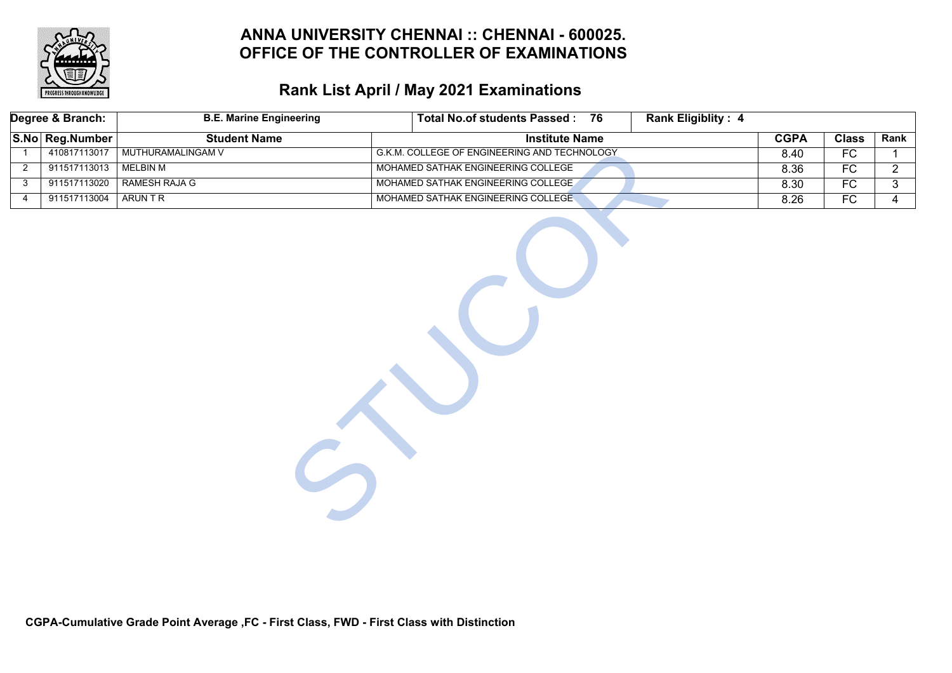

|                | Degree & Branch: | <b>B.E. Marine Engineering</b> | Total No.of students Passed: 76              | <b>Rank Eligiblity: 4</b> |             |                 |                |
|----------------|------------------|--------------------------------|----------------------------------------------|---------------------------|-------------|-----------------|----------------|
|                | S.No Reg.Number  | <b>Student Name</b>            | <b>Institute Name</b>                        |                           | <b>CGPA</b> | <b>Class</b>    | Rank           |
| $\overline{1}$ | 410817113017     | MUTHURAMALINGAM V              | G.K.M. COLLEGE OF ENGINEERING AND TECHNOLOGY |                           | 8.40        | FC              |                |
| $\overline{2}$ | 911517113013     | <b>MELBIN M</b>                | MOHAMED SATHAK ENGINEERING COLLEGE           |                           | 8.36        | $\overline{FC}$ | $\overline{2}$ |
| 3              | 911517113020     | RAMESH RAJA G                  | MOHAMED SATHAK ENGINEERING COLLEGE           |                           | 8.30        | $\overline{FC}$ | 3              |
| $\overline{4}$ | 911517113004     | <b>ARUNTR</b>                  | MOHAMED SATHAK ENGINEERING COLLEGE           |                           | 8.26        | FC              | $\overline{4}$ |
|                |                  |                                |                                              |                           |             |                 |                |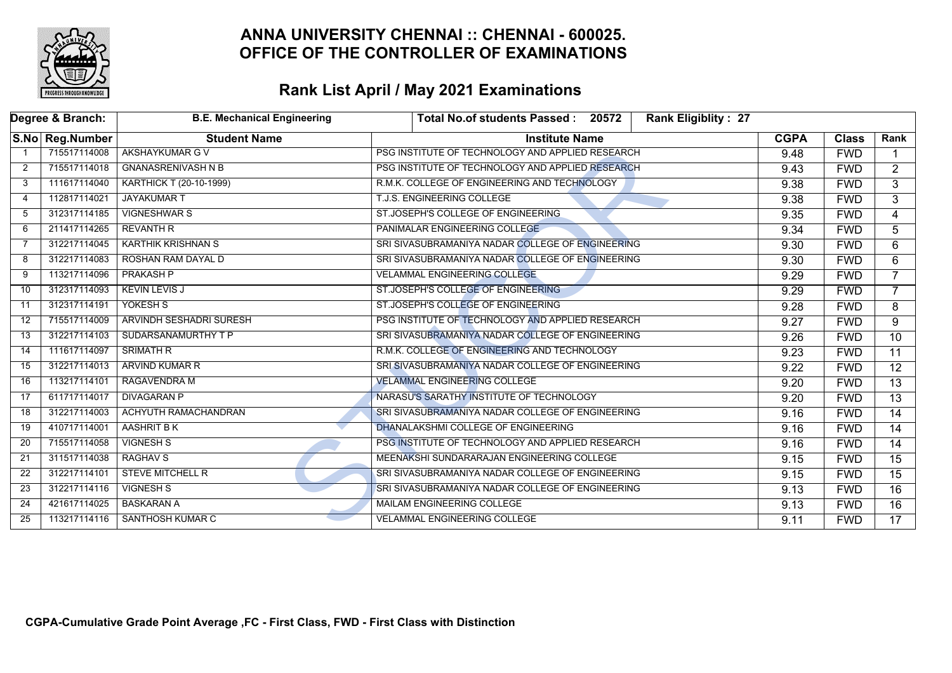

|                | Degree & Branch:  | <b>B.E. Mechanical Engineering</b> | <b>Rank Eligiblity: 27</b><br>Total No.of students Passed: 20572 |             |              |                 |
|----------------|-------------------|------------------------------------|------------------------------------------------------------------|-------------|--------------|-----------------|
|                | S.No   Reg.Number | <b>Student Name</b>                | <b>Institute Name</b>                                            | <b>CGPA</b> | <b>Class</b> | Rank            |
|                | 715517114008      | <b>AKSHAYKUMAR G V</b>             | PSG INSTITUTE OF TECHNOLOGY AND APPLIED RESEARCH                 | 9.48        | <b>FWD</b>   |                 |
| $\overline{2}$ | 715517114018      | <b>GNANASRENIVASH N B</b>          | PSG INSTITUTE OF TECHNOLOGY AND APPLIED RESEARCH                 | 9.43        | <b>FWD</b>   | $\overline{2}$  |
| 3              | 111617114040      | KARTHICK T (20-10-1999)            | R.M.K. COLLEGE OF ENGINEERING AND TECHNOLOGY                     | 9.38        | <b>FWD</b>   | $\overline{3}$  |
| 4              | 112817114021      | <b>JAYAKUMAR T</b>                 | T.J.S. ENGINEERING COLLEGE                                       | 9.38        | <b>FWD</b>   | 3               |
| 5              | 312317114185      | <b>VIGNESHWAR S</b>                | ST.JOSEPH'S COLLEGE OF ENGINEERING                               | 9.35        | <b>FWD</b>   | $\overline{4}$  |
| 6              | 211417114265      | <b>REVANTH R</b>                   | PANIMALAR ENGINEERING COLLEGE                                    | 9.34        | <b>FWD</b>   | 5               |
| $\overline{7}$ | 312217114045      | <b>KARTHIK KRISHNAN S</b>          | SRI SIVASUBRAMANIYA NADAR COLLEGE OF ENGINEERING                 | 9.30        | <b>FWD</b>   | $\overline{6}$  |
| 8              | 312217114083      | ROSHAN RAM DAYAL D                 | SRI SIVASUBRAMANIYA NADAR COLLEGE OF ENGINEERING                 | 9.30        | <b>FWD</b>   | 6               |
| 9              | 113217114096      | <b>PRAKASH P</b>                   | <b>VELAMMAL ENGINEERING COLLEGE</b>                              | 9.29        | <b>FWD</b>   |                 |
| 10             | 312317114093      | <b>KEVIN LEVIS J</b>               | ST.JOSEPH'S COLLEGE OF ENGINEERING                               | 9.29        | <b>FWD</b>   | $\overline{7}$  |
| 11             | 312317114191      | YOKESH S                           | ST.JOSEPH'S COLLEGE OF ENGINEERING                               | 9.28        | <b>FWD</b>   | 8               |
| 12             | 715517114009      | ARVINDH SESHADRI SURESH            | PSG INSTITUTE OF TECHNOLOGY AND APPLIED RESEARCH                 | 9.27        | <b>FWD</b>   | 9               |
| 13             | 312217114103      | SUDARSANAMURTHY T P                | SRI SIVASUBRAMANIYA NADAR COLLEGE OF ENGINEERING                 | 9.26        | <b>FWD</b>   | 10 <sup>°</sup> |
| 14             | 111617114097      | <b>SRIMATH R</b>                   | R.M.K. COLLEGE OF ENGINEERING AND TECHNOLOGY                     | 9.23        | <b>FWD</b>   | $\overline{11}$ |
| 15             | 312217114013      | ARVIND KUMAR R                     | SRI SIVASUBRAMANIYA NADAR COLLEGE OF ENGINEERING                 | 9.22        | <b>FWD</b>   | $\overline{12}$ |
| 16             | 113217114101      | <b>RAGAVENDRA M</b>                | <b>VELAMMAL ENGINEERING COLLEGE</b>                              | 9.20        | <b>FWD</b>   | $\overline{13}$ |
| 17             | 611717114017      | <b>DIVAGARAN P</b>                 | NARASU'S SARATHY INSTITUTE OF TECHNOLOGY                         | 9.20        | <b>FWD</b>   | $\overline{13}$ |
| 18             | 312217114003      | ACHYUTH RAMACHANDRAN               | SRI SIVASUBRAMANIYA NADAR COLLEGE OF ENGINEERING                 | 9.16        | <b>FWD</b>   | $\overline{14}$ |
| 19             | 410717114001      | AASHRIT B K                        | DHANALAKSHMI COLLEGE OF ENGINEERING                              | 9.16        | <b>FWD</b>   | $\overline{14}$ |
| 20             | 715517114058      | <b>VIGNESH S</b>                   | PSG INSTITUTE OF TECHNOLOGY AND APPLIED RESEARCH                 | 9.16        | <b>FWD</b>   | 14              |
| 21             | 311517114038      | <b>RAGHAV S</b>                    | MEENAKSHI SUNDARARAJAN ENGINEERING COLLEGE                       | 9.15        | <b>FWD</b>   | $\overline{15}$ |
| 22             | 312217114101      | <b>STEVE MITCHELL R</b>            | SRI SIVASUBRAMANIYA NADAR COLLEGE OF ENGINEERING                 | 9.15        | <b>FWD</b>   | $\overline{15}$ |
| 23             | 312217114116      | <b>VIGNESH S</b>                   | SRI SIVASUBRAMANIYA NADAR COLLEGE OF ENGINEERING                 | 9.13        | <b>FWD</b>   | $\overline{16}$ |
| 24             | 421617114025      | <b>BASKARAN A</b>                  | <b>MAILAM ENGINEERING COLLEGE</b>                                | 9.13        | <b>FWD</b>   | 16              |
| 25             | 113217114116      | <b>SANTHOSH KUMAR C</b>            | <b>VELAMMAL ENGINEERING COLLEGE</b>                              | 9.11        | <b>FWD</b>   | $\overline{17}$ |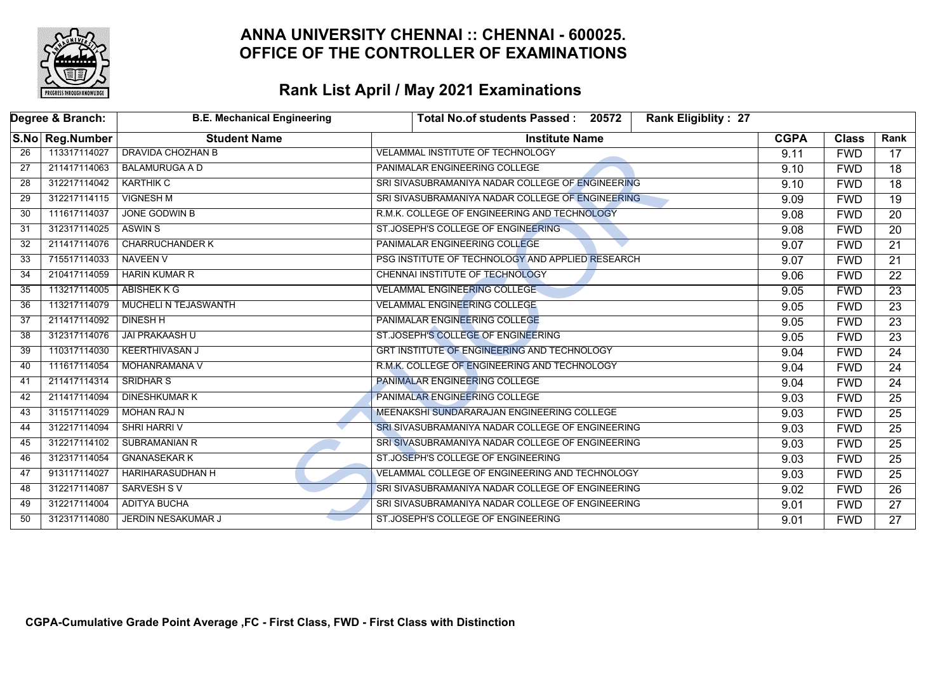

|                 | Degree & Branch: | <b>B.E. Mechanical Engineering</b> | <b>Rank Eligiblity: 27</b><br>Total No.of students Passed: 20572 |             |              |                 |
|-----------------|------------------|------------------------------------|------------------------------------------------------------------|-------------|--------------|-----------------|
|                 | S.No Reg.Number  | <b>Student Name</b>                | <b>Institute Name</b>                                            | <b>CGPA</b> | <b>Class</b> | Rank            |
| $\overline{26}$ | 113317114027     | <b>DRAVIDA CHOZHAN B</b>           | <b>VELAMMAL INSTITUTE OF TECHNOLOGY</b>                          | 9.11        | <b>FWD</b>   | 17              |
| 27              | 211417114063     | <b>BALAMURUGA A D</b>              | PANIMALAR ENGINEERING COLLEGE                                    | 9.10        | <b>FWD</b>   | 18              |
| 28              | 312217114042     | <b>KARTHIK C</b>                   | SRI SIVASUBRAMANIYA NADAR COLLEGE OF ENGINEERING                 | 9.10        | <b>FWD</b>   | $\overline{18}$ |
| 29              | 312217114115     | <b>VIGNESH M</b>                   | SRI SIVASUBRAMANIYA NADAR COLLEGE OF ENGINEERING                 | 9.09        | <b>FWD</b>   | $\overline{19}$ |
| 30              | 111617114037     | <b>JONE GODWIN B</b>               | R.M.K. COLLEGE OF ENGINEERING AND TECHNOLOGY                     | 9.08        | <b>FWD</b>   | $\overline{20}$ |
| 31              | 312317114025     | <b>ASWIN S</b>                     | ST.JOSEPH'S COLLEGE OF ENGINEERING                               | 9.08        | <b>FWD</b>   | $\overline{20}$ |
| 32              | 211417114076     | <b>CHARRUCHANDER K</b>             | PANIMALAR ENGINEERING COLLEGE                                    | 9.07        | <b>FWD</b>   | $\overline{21}$ |
| 33              | 715517114033     | <b>NAVEEN V</b>                    | PSG INSTITUTE OF TECHNOLOGY AND APPLIED RESEARCH                 | 9.07        | <b>FWD</b>   | $\overline{21}$ |
| 34              | 210417114059     | <b>HARIN KUMAR R</b>               | CHENNAI INSTITUTE OF TECHNOLOGY                                  | 9.06        | <b>FWD</b>   | $\overline{22}$ |
| $\overline{35}$ | 113217114005     | <b>ABISHEK K G</b>                 | <b>VELAMMAL ENGINEERING COLLEGE</b>                              | 9.05        | <b>FWD</b>   | $\overline{23}$ |
| 36              | 113217114079     | MUCHELI N TEJASWANTH               | <b>VELAMMAL ENGINEERING COLLEGE</b>                              | 9.05        | <b>FWD</b>   | $\overline{23}$ |
| 37              | 211417114092     | <b>DINESH H</b>                    | <b>PANIMALAR ENGINEERING COLLEGE</b>                             | 9.05        | <b>FWD</b>   | $\overline{23}$ |
| 38              | 312317114076     | <b>JAI PRAKAASH U</b>              | ST.JOSEPH'S COLLEGE OF ENGINEERING                               | 9.05        | <b>FWD</b>   | $\overline{23}$ |
| 39              | 110317114030     | <b>KEERTHIVASAN J</b>              | GRT INSTITUTE OF ENGINEERING AND TECHNOLOGY                      | 9.04        | <b>FWD</b>   | $\overline{24}$ |
| 40              | 111617114054     | <b>MOHANRAMANA V</b>               | R.M.K. COLLEGE OF ENGINEERING AND TECHNOLOGY                     | 9.04        | <b>FWD</b>   | $\overline{24}$ |
| 41              | 211417114314     | <b>SRIDHAR S</b>                   | PANIMALAR ENGINEERING COLLEGE                                    | 9.04        | <b>FWD</b>   | $\overline{24}$ |
| 42              | 211417114094     | <b>DINESHKUMAR K</b>               | PANIMALAR ENGINEERING COLLEGE                                    | 9.03        | <b>FWD</b>   | 25              |
| 43              | 311517114029     | <b>MOHAN RAJ N</b>                 | MEENAKSHI SUNDARARAJAN ENGINEERING COLLEGE                       | 9.03        | <b>FWD</b>   | $\overline{25}$ |
| 44              | 312217114094     | SHRI HARRI V                       | SRI SIVASUBRAMANIYA NADAR COLLEGE OF ENGINEERING                 | 9.03        | <b>FWD</b>   | $\overline{25}$ |
| 45              | 312217114102     | SUBRAMANIAN R                      | SRI SIVASUBRAMANIYA NADAR COLLEGE OF ENGINEERING                 | 9.03        | <b>FWD</b>   | 25              |
| 46              | 312317114054     | <b>GNANASEKAR K</b>                | ST.JOSEPH'S COLLEGE OF ENGINEERING                               | 9.03        | <b>FWD</b>   | $\overline{25}$ |
| 47              | 913117114027     | <b>HARIHARASUDHAN H</b>            | VELAMMAL COLLEGE OF ENGINEERING AND TECHNOLOGY                   | 9.03        | <b>FWD</b>   | $\overline{25}$ |
| 48              | 312217114087     | <b>SARVESH SV</b>                  | SRI SIVASUBRAMANIYA NADAR COLLEGE OF ENGINEERING                 | 9.02        | <b>FWD</b>   | $\overline{26}$ |
| 49              | 312217114004     | <b>ADITYA BUCHA</b>                | SRI SIVASUBRAMANIYA NADAR COLLEGE OF ENGINEERING                 | 9.01        | <b>FWD</b>   | $\overline{27}$ |
| 50              | 312317114080     | <b>JERDIN NESAKUMAR J</b>          | ST.JOSEPH'S COLLEGE OF ENGINEERING                               | 9.01        | <b>FWD</b>   | $\overline{27}$ |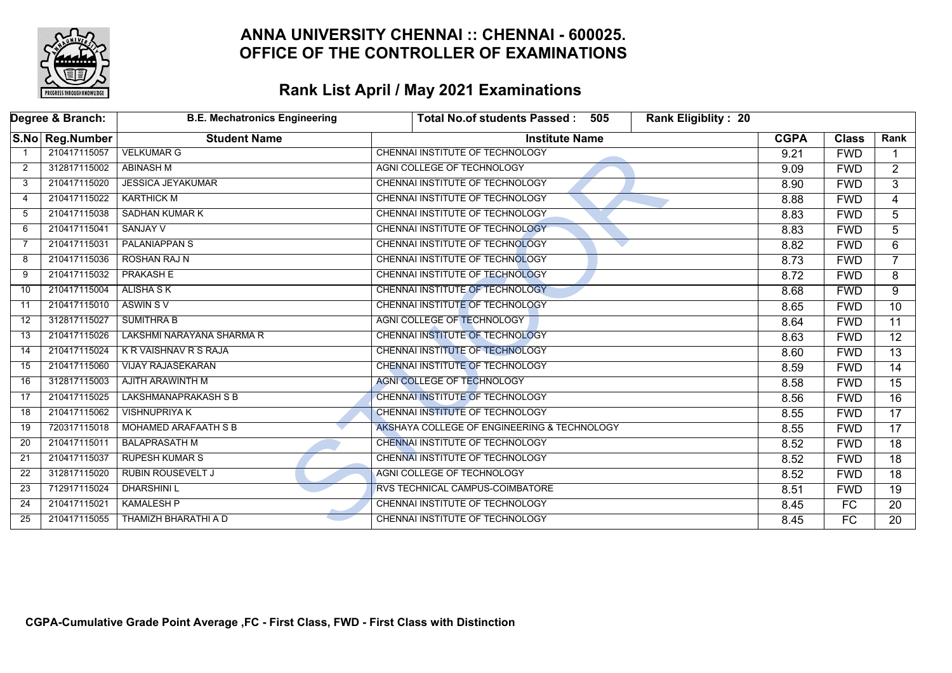

|    | Degree & Branch: | <b>B.E. Mechatronics Engineering</b> | <b>Rank Eligiblity: 20</b><br><b>Total No.of students Passed:</b><br>505 |             |                 |                 |
|----|------------------|--------------------------------------|--------------------------------------------------------------------------|-------------|-----------------|-----------------|
|    | S.No Reg.Number  | <b>Student Name</b>                  | <b>Institute Name</b>                                                    | <b>CGPA</b> | <b>Class</b>    | Rank            |
|    | 210417115057     | <b>VELKUMAR G</b>                    | CHENNAI INSTITUTE OF TECHNOLOGY                                          | 9.21        | <b>FWD</b>      |                 |
| 2  | 312817115002     | <b>ABINASH M</b>                     | AGNI COLLEGE OF TECHNOLOGY                                               | 9.09        | <b>FWD</b>      | $\overline{2}$  |
| 3  | 210417115020     | <b>JESSICA JEYAKUMAR</b>             | <b>CHENNAI INSTITUTE OF TECHNOLOGY</b>                                   | 8.90        | <b>FWD</b>      | 3               |
| 4  | 210417115022     | <b>KARTHICK M</b>                    | CHENNAI INSTITUTE OF TECHNOLOGY                                          | 8.88        | <b>FWD</b>      | 4               |
| 5  | 210417115038     | <b>SADHAN KUMAR K</b>                | CHENNAI INSTITUTE OF TECHNOLOGY                                          | 8.83        | <b>FWD</b>      | 5               |
| 6  | 210417115041     | <b>SANJAY V</b>                      | <b>CHENNAI INSTITUTE OF TECHNOLOGY</b>                                   | 8.83        | <b>FWD</b>      | 5.              |
| 7  | 210417115031     | <b>PALANIAPPAN S</b>                 | CHENNAI INSTITUTE OF TECHNOLOGY                                          | 8.82        | <b>FWD</b>      | $\overline{6}$  |
| 8  | 210417115036     | <b>ROSHAN RAJ N</b>                  | CHENNAI INSTITUTE OF TECHNOLOGY                                          | 8.73        | <b>FWD</b>      | $\overline{7}$  |
| 9  | 210417115032     | <b>PRAKASH E</b>                     | CHENNAI INSTITUTE OF TECHNOLOGY                                          | 8.72        | <b>FWD</b>      | 8               |
| 10 | 210417115004     | <b>ALISHA S K</b>                    | CHENNAI INSTITUTE OF TECHNOLOGY                                          | 8.68        | <b>FWD</b>      | 9               |
| 11 | 210417115010     | <b>ASWIN SV</b>                      | CHENNAI INSTITUTE OF TECHNOLOGY                                          | 8.65        | <b>FWD</b>      | $\overline{10}$ |
| 12 | 312817115027     | <b>SUMITHRA B</b>                    | AGNI COLLEGE OF TECHNOLOGY                                               | 8.64        | <b>FWD</b>      | 11              |
| 13 | 210417115026     | LAKSHMI NARAYANA SHARMA R            | <b>CHENNAI INSTITUTE OF TECHNOLOGY</b>                                   | 8.63        | <b>FWD</b>      | $\overline{12}$ |
| 14 | 210417115024     | <b>KR VAISHNAV R S RAJA</b>          | <b>CHENNAI INSTITUTE OF TECHNOLOGY</b>                                   | 8.60        | <b>FWD</b>      | $\overline{13}$ |
| 15 | 210417115060     | <b>VIJAY RAJASEKARAN</b>             | CHENNAI INSTITUTE OF TECHNOLOGY                                          | 8.59        | <b>FWD</b>      | 14              |
| 16 | 312817115003     | AJITH ARAWINTH M                     | AGNI COLLEGE OF TECHNOLOGY                                               | 8.58        | <b>FWD</b>      | $\overline{15}$ |
| 17 | 210417115025     | <b>LAKSHMANAPRAKASH S B</b>          | <b>CHENNAI INSTITUTE OF TECHNOLOGY</b>                                   | 8.56        | <b>FWD</b>      | 16              |
| 18 | 210417115062     | <b>VISHNUPRIYA K</b>                 | CHENNAI INSTITUTE OF TECHNOLOGY                                          | 8.55        | <b>FWD</b>      | $\overline{17}$ |
| 19 | 720317115018     | <b>MOHAMED ARAFAATH S B</b>          | AKSHAYA COLLEGE OF ENGINEERING & TECHNOLOGY                              | 8.55        | <b>FWD</b>      | $\overline{17}$ |
| 20 | 210417115011     | <b>BALAPRASATH M</b>                 | CHENNAI INSTITUTE OF TECHNOLOGY                                          | 8.52        | <b>FWD</b>      | 18              |
| 21 | 210417115037     | <b>RUPESH KUMAR S</b>                | CHENNAI INSTITUTE OF TECHNOLOGY                                          | 8.52        | <b>FWD</b>      | $\overline{18}$ |
| 22 | 312817115020     | <b>RUBIN ROUSEVELT J</b>             | AGNI COLLEGE OF TECHNOLOGY                                               | 8.52        | <b>FWD</b>      | $\overline{18}$ |
| 23 | 712917115024     | <b>DHARSHINIL</b>                    | <b>RVS TECHNICAL CAMPUS-COIMBATORE</b>                                   | 8.51        | <b>FWD</b>      | 19              |
| 24 | 210417115021     | <b>KAMALESH P</b>                    | CHENNAI INSTITUTE OF TECHNOLOGY                                          | 8.45        | FC              | 20              |
| 25 | 210417115055     | THAMIZH BHARATHI A D                 | CHENNAI INSTITUTE OF TECHNOLOGY                                          | 8.45        | $\overline{FC}$ | 20              |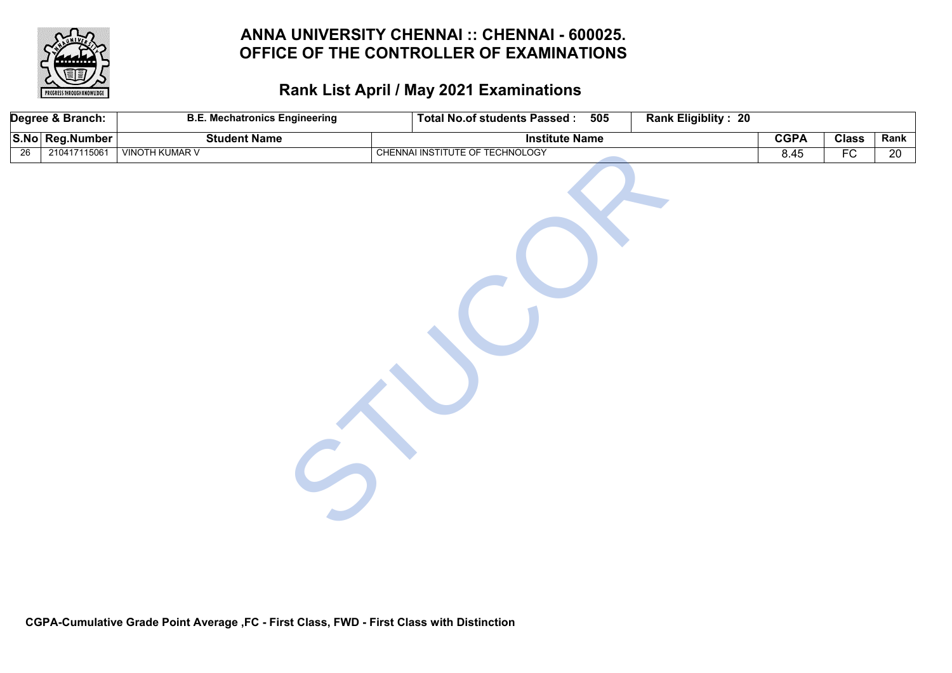

|                 | Degree & Branch: | <b>B.E. Mechatronics Engineering</b> | Total No.of students Passed: 505 | Rank Eligiblity: 20 |             |              |                 |
|-----------------|------------------|--------------------------------------|----------------------------------|---------------------|-------------|--------------|-----------------|
|                 | S.No Reg.Number  | <b>Student Name</b>                  | <b>Institute Name</b>            |                     | <b>CGPA</b> | <b>Class</b> | Rank            |
| $\overline{26}$ | 210417115061     | <b>VINOTH KUMAR V</b>                | CHENNAI INSTITUTE OF TECHNOLOGY  |                     | 8.45        | FC           | $\overline{20}$ |
|                 |                  |                                      |                                  |                     |             |              |                 |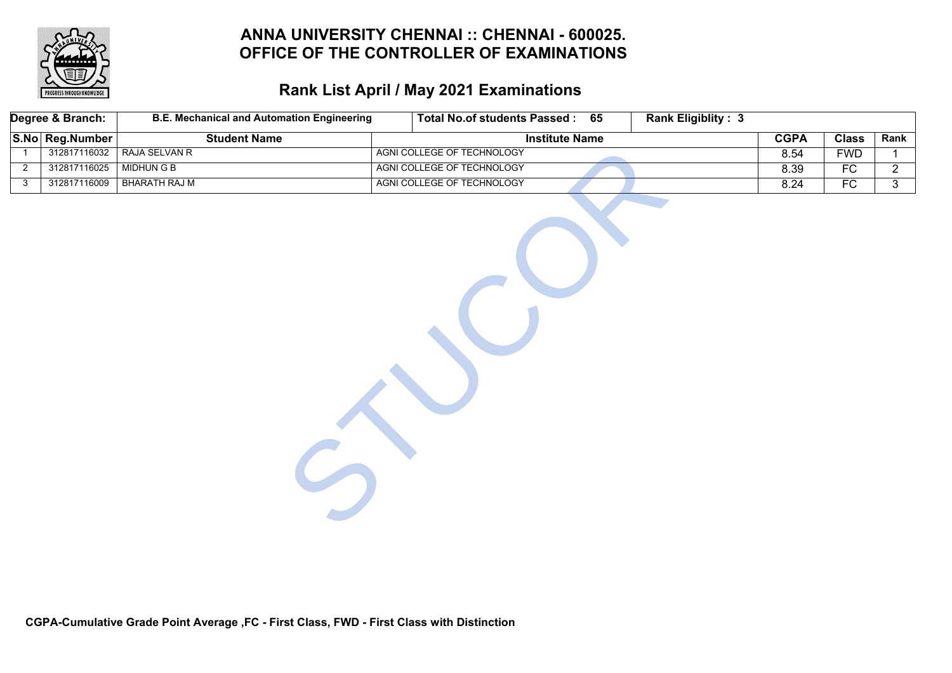

# **Rank List April / May 2021 Examinations**

|                | Degree & Branch: | <b>B.E. Mechanical and Automation Engineering</b> | Total No.of students Passed: 65 |                       | <b>Rank Eligiblity: 3</b> |             |                 |                |
|----------------|------------------|---------------------------------------------------|---------------------------------|-----------------------|---------------------------|-------------|-----------------|----------------|
|                | S.No Reg.Number  | <b>Student Name</b>                               |                                 | <b>Institute Name</b> |                           | <b>CGPA</b> | <b>Class</b>    | Rank           |
| $\overline{1}$ | 312817116032     | <b>RAJA SELVAN R</b>                              | AGNI COLLEGE OF TECHNOLOGY      |                       |                           | 8.54        | <b>FWD</b>      | $\mathbf{1}$   |
| 2              | 312817116025     | <b>MIDHUN G B</b>                                 | AGNI COLLEGE OF TECHNOLOGY      |                       |                           | 8.39        | $\overline{FC}$ | $\overline{2}$ |
| $\mathbf{3}$   | 312817116009     | <b>BHARATH RAJ M</b>                              | AGNI COLLEGE OF TECHNOLOGY      |                       |                           | 8.24        | $\overline{FC}$ | $\overline{3}$ |
|                |                  |                                                   |                                 |                       |                           |             |                 |                |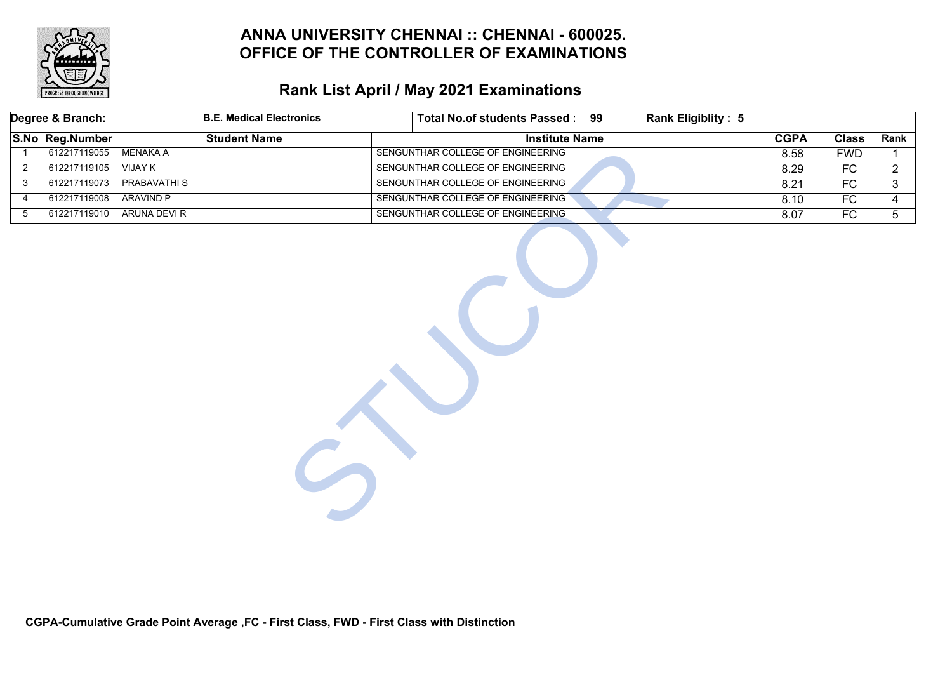

# **Rank List April / May 2021 Examinations**

| Degree & Branch: |                 | <b>B.E. Medical Electronics</b> | Total No.of students Passed : 99<br><b>Rank Eligiblity: 5</b> |             |                 |                |
|------------------|-----------------|---------------------------------|---------------------------------------------------------------|-------------|-----------------|----------------|
|                  | S.No Reg.Number | <b>Student Name</b>             | <b>Institute Name</b>                                         | <b>CGPA</b> | <b>Class</b>    | Rank           |
|                  | 612217119055    | MENAKA A                        | SENGUNTHAR COLLEGE OF ENGINEERING                             | 8.58        | <b>FWD</b>      | $\mathbf 1$    |
| $\overline{2}$   | 612217119105    | <b>VIJAY K</b>                  | SENGUNTHAR COLLEGE OF ENGINEERING                             | 8.29        | FC              | $\overline{2}$ |
| 3                | 612217119073    | <b>PRABAVATHIS</b>              | SENGUNTHAR COLLEGE OF ENGINEERING                             | 8.21        | FC              | 3              |
| $\overline{4}$   | 612217119008    | <b>ARAVIND P</b>                | SENGUNTHAR COLLEGE OF ENGINEERING                             | 8.10        | $\overline{FC}$ | 4              |
| $5\overline{)}$  | 612217119010    | ARUNA DEVI R                    | SENGUNTHAR COLLEGE OF ENGINEERING                             | 8.07        | FC              | $\overline{5}$ |
|                  |                 |                                 |                                                               |             |                 |                |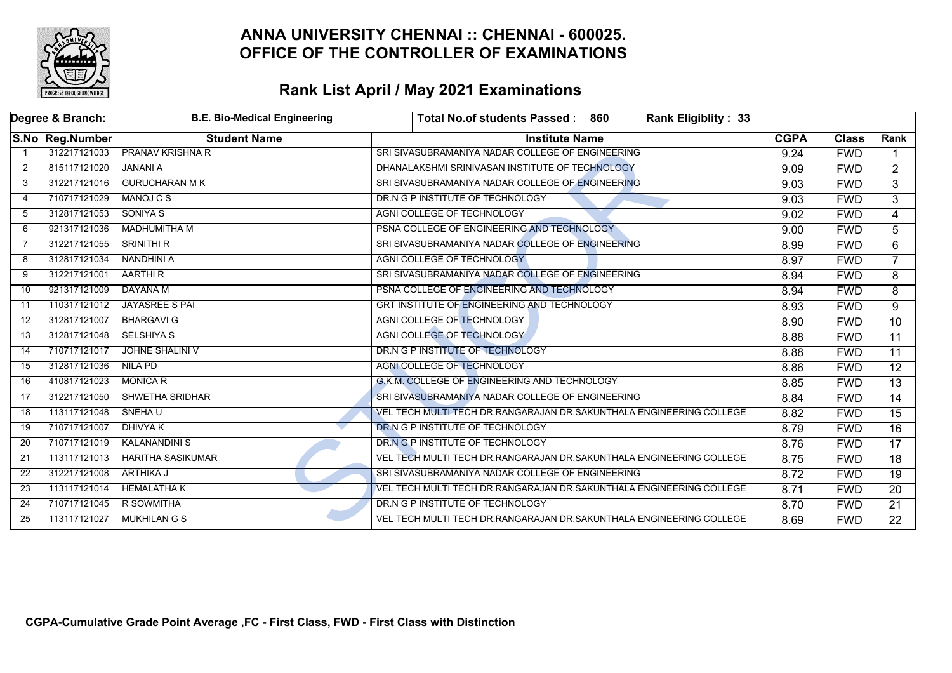

|    | Degree & Branch: | <b>B.E. Bio-Medical Engineering</b> | <b>Rank Eligiblity: 33</b><br><b>Total No.of students Passed:</b><br>860 |             |              |                 |
|----|------------------|-------------------------------------|--------------------------------------------------------------------------|-------------|--------------|-----------------|
|    | S.No Reg.Number  | <b>Student Name</b>                 | <b>Institute Name</b>                                                    | <b>CGPA</b> | <b>Class</b> | Rank            |
|    | 312217121033     | <b>PRANAV KRISHNA R</b>             | SRI SIVASUBRAMANIYA NADAR COLLEGE OF ENGINEERING                         | 9.24        | <b>FWD</b>   |                 |
| 2  | 815117121020     | <b>JANANI A</b>                     | DHANALAKSHMI SRINIVASAN INSTITUTE OF TECHNOLOGY                          | 9.09        | <b>FWD</b>   | $\overline{2}$  |
| 3  | 312217121016     | <b>GURUCHARAN MK</b>                | SRI SIVASUBRAMANIYA NADAR COLLEGE OF ENGINEERING                         | 9.03        | <b>FWD</b>   | $\overline{3}$  |
| 4  | 710717121029     | MANOJ C S                           | DR.N G P INSTITUTE OF TECHNOLOGY                                         | 9.03        | <b>FWD</b>   | 3               |
| 5  | 312817121053     | <b>SONIYA S</b>                     | AGNI COLLEGE OF TECHNOLOGY                                               | 9.02        | <b>FWD</b>   | 4               |
| 6  | 921317121036     | <b>MADHUMITHA M</b>                 | PSNA COLLEGE OF ENGINEERING AND TECHNOLOGY                               | 9.00        | <b>FWD</b>   | 5               |
|    | 312217121055     | <b>SRINITHI R</b>                   | SRI SIVASUBRAMANIYA NADAR COLLEGE OF ENGINEERING                         | 8.99        | <b>FWD</b>   | 6               |
| 8  | 312817121034     | <b>NANDHINI A</b>                   | AGNI COLLEGE OF TECHNOLOGY                                               | 8.97        | <b>FWD</b>   | $\overline{7}$  |
| 9  | 312217121001     | <b>AARTHIR</b>                      | SRI SIVASUBRAMANIYA NADAR COLLEGE OF ENGINEERING                         | 8.94        | <b>FWD</b>   | 8               |
| 10 | 921317121009     | <b>DAYANA M</b>                     | PSNA COLLEGE OF ENGINEERING AND TECHNOLOGY                               | 8.94        | <b>FWD</b>   | 8               |
| 11 | 110317121012     | <b>JAYASREE S PAI</b>               | GRT INSTITUTE OF ENGINEERING AND TECHNOLOGY                              | 8.93        | <b>FWD</b>   | 9               |
| 12 | 312817121007     | <b>BHARGAVI G</b>                   | AGNI COLLEGE OF TECHNOLOGY                                               | 8.90        | <b>FWD</b>   | $\overline{10}$ |
| 13 | 312817121048     | <b>SELSHIYA S</b>                   | AGNI COLLEGE OF TECHNOLOGY                                               | 8.88        | <b>FWD</b>   | 11              |
| 14 | 710717121017     | <b>JOHNE SHALINI V</b>              | DR.N G P INSTITUTE OF TECHNOLOGY                                         | 8.88        | <b>FWD</b>   | $\overline{11}$ |
| 15 | 312817121036     | <b>NILA PD</b>                      | <b>AGNI COLLEGE OF TECHNOLOGY</b>                                        | 8.86        | <b>FWD</b>   | $\overline{12}$ |
| 16 | 410817121023     | <b>MONICA R</b>                     | G.K.M. COLLEGE OF ENGINEERING AND TECHNOLOGY                             | 8.85        | <b>FWD</b>   | $\overline{13}$ |
| 17 | 312217121050     | <b>SHWETHA SRIDHAR</b>              | SRI SIVASUBRAMANIYA NADAR COLLEGE OF ENGINEERING                         | 8.84        | <b>FWD</b>   | 14              |
| 18 | 113117121048     | SNEHA U                             | VEL TECH MULTI TECH DR.RANGARAJAN DR.SAKUNTHALA ENGINEERING COLLEGE      | 8.82        | <b>FWD</b>   | $\overline{15}$ |
| 19 | 710717121007     | <b>DHIVYA K</b>                     | DR.N G P INSTITUTE OF TECHNOLOGY                                         | 8.79        | <b>FWD</b>   | 16              |
| 20 | 710717121019     | <b>KALANANDINI S</b>                | DR.N G P INSTITUTE OF TECHNOLOGY                                         | 8.76        | <b>FWD</b>   | 17              |
| 21 | 113117121013     | <b>HARITHA SASIKUMAR</b>            | VEL TECH MULTI TECH DR.RANGARAJAN DR.SAKUNTHALA ENGINEERING COLLEGE      | 8.75        | <b>FWD</b>   | $\overline{18}$ |
| 22 | 312217121008     | <b>ARTHIKA J</b>                    | SRI SIVASUBRAMANIYA NADAR COLLEGE OF ENGINEERING                         | 8.72        | <b>FWD</b>   | $\overline{19}$ |
| 23 | 113117121014     | <b>HEMALATHAK</b>                   | VEL TECH MULTI TECH DR. RANGARAJAN DR. SAKUNTHALA ENGINEERING COLLEGE    | 8.71        | <b>FWD</b>   | 20              |
| 24 | 710717121045     | R SOWMITHA                          | DR.N G P INSTITUTE OF TECHNOLOGY                                         | 8.70        | <b>FWD</b>   | 21              |
| 25 | 113117121027     | <b>MUKHILAN G S</b>                 | VEL TECH MULTI TECH DR. RANGARAJAN DR. SAKUNTHALA ENGINEERING COLLEGE    | 8.69        | <b>FWD</b>   | $\overline{22}$ |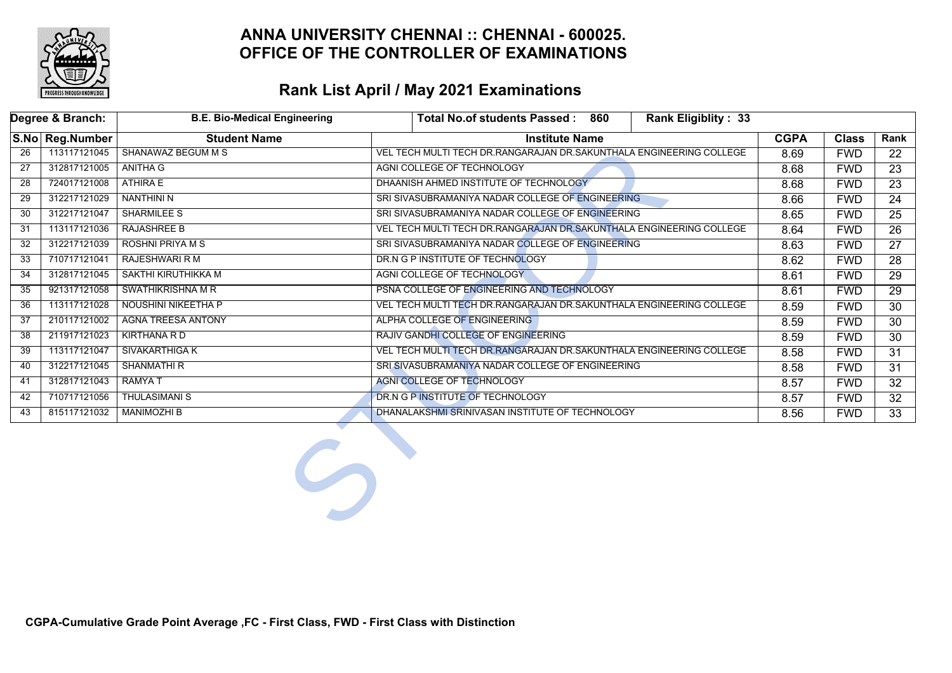

|     | Degree & Branch: | <b>B.E. Bio-Medical Engineering</b> | Total No.of students Passed: 860<br><b>Rank Eligiblity: 33</b>        |             |              |                 |
|-----|------------------|-------------------------------------|-----------------------------------------------------------------------|-------------|--------------|-----------------|
|     | S.No Reg.Number  | <b>Student Name</b>                 | <b>Institute Name</b>                                                 | <b>CGPA</b> | <b>Class</b> | Rank            |
| 26  | 113117121045     | <b>SHANAWAZ BEGUM M S</b>           | VEL TECH MULTI TECH DR.RANGARAJAN DR.SAKUNTHALA ENGINEERING COLLEGE   | 8.69        | <b>FWD</b>   | 22              |
| 27  | 312817121005     | <b>ANITHA G</b>                     | AGNI COLLEGE OF TECHNOLOGY                                            | 8.68        | <b>FWD</b>   | 23              |
| 28  | 724017121008     | <b>ATHIRA E</b>                     | DHAANISH AHMED INSTITUTE OF TECHNOLOGY                                | 8.68        | <b>FWD</b>   | 23              |
| 29  | 312217121029     | <b>NANTHINI N</b>                   | SRI SIVASUBRAMANIYA NADAR COLLEGE OF ENGINEERING                      | 8.66        | <b>FWD</b>   | 24              |
| 30  | 312217121047     | <b>SHARMILEE S</b>                  | SRI SIVASUBRAMANIYA NADAR COLLEGE OF ENGINEERING                      | 8.65        | <b>FWD</b>   | 25              |
| -31 | 113117121036     | <b>RAJASHREE B</b>                  | VEL TECH MULTI TECH DR.RANGARAJAN DR.SAKUNTHALA ENGINEERING COLLEGE   | 8.64        | <b>FWD</b>   | 26              |
| 32  | 312217121039     | <b>ROSHNI PRIYA M S</b>             | SRI SIVASUBRAMANIYA NADAR COLLEGE OF ENGINEERING                      | 8.63        | <b>FWD</b>   | $\overline{27}$ |
| 33  | 710717121041     | <b>RAJESHWARI R M</b>               | DR.N G P INSTITUTE OF TECHNOLOGY                                      | 8.62        | <b>FWD</b>   | 28              |
| 34  | 312817121045     | SAKTHI KIRUTHIKKA M                 | AGNI COLLEGE OF TECHNOLOGY                                            | 8.61        | <b>FWD</b>   | 29              |
| 35  | 921317121058     | <b>SWATHIKRISHNA M R</b>            | PSNA COLLEGE OF ENGINEERING AND TECHNOLOGY                            | 8.61        | <b>FWD</b>   | 29              |
| 36  | 113117121028     | <b>NOUSHINI NIKEETHA P</b>          | VEL TECH MULTI TECH DR. RANGARAJAN DR. SAKUNTHALA ENGINEERING COLLEGE | 8.59        | <b>FWD</b>   | $\overline{30}$ |
| 37  | 210117121002     | <b>AGNA TREESA ANTONY</b>           | ALPHA COLLEGE OF ENGINEERING                                          | 8.59        | <b>FWD</b>   | 30              |
| 38  | 211917121023     | KIRTHANA R D                        | RAJIV GANDHI COLLEGE OF ENGINEERING                                   | 8.59        | <b>FWD</b>   | 30              |
| 39  | 113117121047     | SIVAKARTHIGA K                      | VEL TECH MULTI TECH DR.RANGARAJAN DR.SAKUNTHALA ENGINEERING COLLEGE   | 8.58        | <b>FWD</b>   | 31              |
| 40  | 312217121045     | <b>SHANMATHI R</b>                  | SRI SIVASUBRAMANIYA NADAR COLLEGE OF ENGINEERING                      | 8.58        | <b>FWD</b>   | 31              |
| 41  | 312817121043     | RAMYA T                             | AGNI COLLEGE OF TECHNOLOGY                                            | 8.57        | <b>FWD</b>   | 32              |
| 42  | 710717121056     | <b>THULASIMANI S</b>                | DR.N G P INSTITUTE OF TECHNOLOGY                                      | 8.57        | <b>FWD</b>   | 32 <sup>°</sup> |
| 43  | 815117121032     | <b>MANIMOZHI B</b>                  | DHANALAKSHMI SRINIVASAN INSTITUTE OF TECHNOLOGY                       | 8.56        | <b>FWD</b>   | 33              |
|     |                  |                                     |                                                                       |             |              |                 |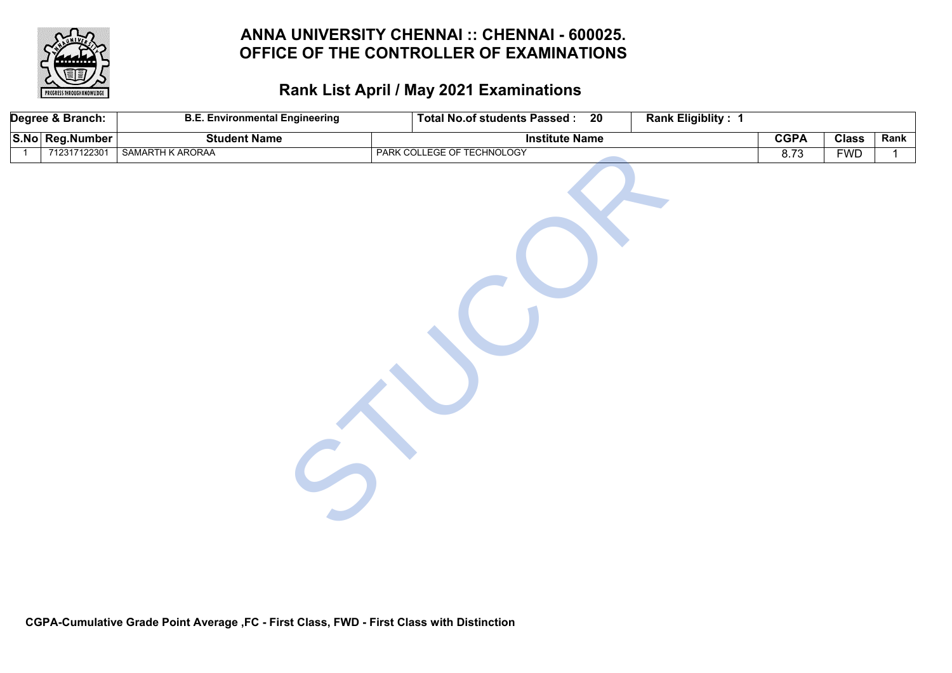

| Degree & Branch: |                 | <b>B.E. Environmental Engineering</b><br>Total No.of students Passed: 20<br>Rank Eligiblity: 1 |                            |  |             |              |              |
|------------------|-----------------|------------------------------------------------------------------------------------------------|----------------------------|--|-------------|--------------|--------------|
|                  | S.No Reg.Number | <b>Student Name</b>                                                                            | <b>Institute Name</b>      |  | <b>CGPA</b> | <b>Class</b> | Rank         |
| $\overline{1}$   | 712317122301    | SAMARTH K ARORAA                                                                               | PARK COLLEGE OF TECHNOLOGY |  | 8.73        | <b>FWD</b>   | $\mathbf{1}$ |
|                  |                 |                                                                                                |                            |  |             |              |              |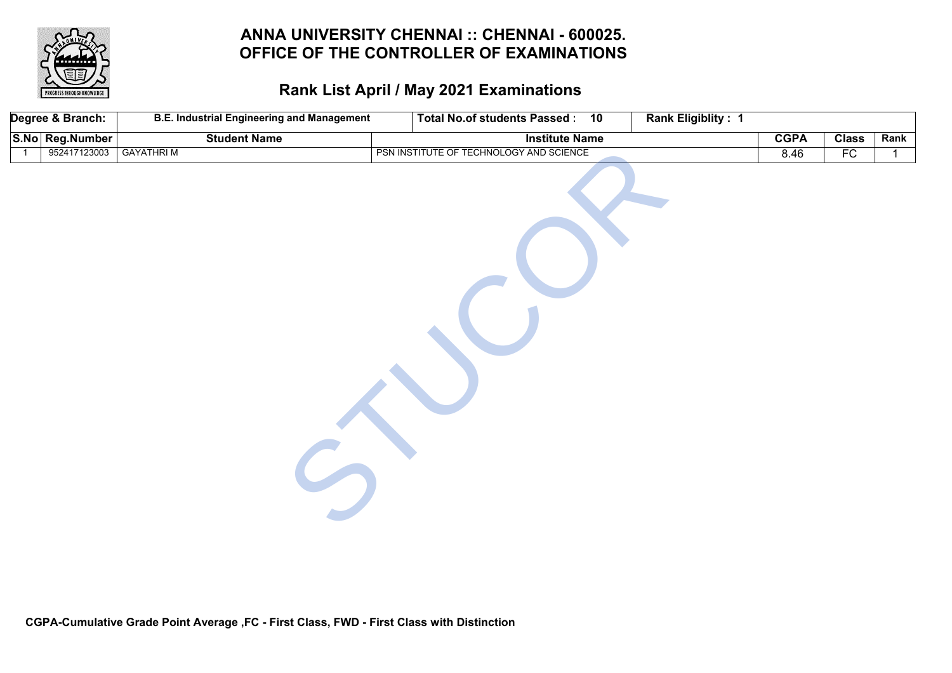

|                | Degree & Branch: | <b>B.E. Industrial Engineering and Management</b> | Total No.of students Passed: 10         | <b>Rank Eligiblity: 1</b> |             |              |      |
|----------------|------------------|---------------------------------------------------|-----------------------------------------|---------------------------|-------------|--------------|------|
|                | S.No Reg.Number  | <b>Student Name</b>                               | <b>Institute Name</b>                   |                           | <b>CGPA</b> | <b>Class</b> | Rank |
| $\overline{1}$ | 952417123003     | <b>GAYATHRIM</b>                                  | PSN INSTITUTE OF TECHNOLOGY AND SCIENCE |                           | 8.46        | FC           | 1    |
|                |                  |                                                   |                                         |                           |             |              |      |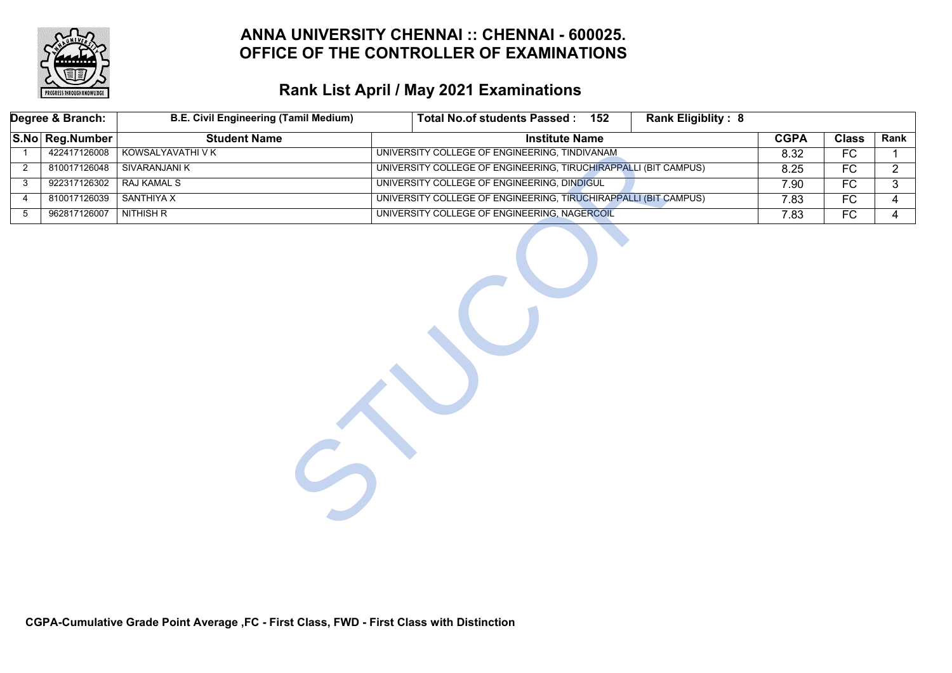

# **Rank List April / May 2021 Examinations**

|                | Degree & Branch: | <b>B.E. Civil Engineering (Tamil Medium)</b> | Total No.of students Passed: 152                                | Rank Eligiblity: 8 |             |              |                |
|----------------|------------------|----------------------------------------------|-----------------------------------------------------------------|--------------------|-------------|--------------|----------------|
|                | S.No Reg.Number  | <b>Student Name</b>                          | <b>Institute Name</b>                                           |                    | <b>CGPA</b> | <b>Class</b> | Rank           |
|                | 422417126008     | KOWSALYAVATHI V K                            | UNIVERSITY COLLEGE OF ENGINEERING, TINDIVANAM                   |                    | 8.32        | FC           |                |
| $\overline{2}$ | 810017126048     | <b>SIVARANJANI K</b>                         | UNIVERSITY COLLEGE OF ENGINEERING, TIRUCHIRAPPALLI (BIT CAMPUS) |                    | 8.25        | FC           | $\mathbf{2}$   |
| 3              | 922317126302     | <b>RAJ KAMAL S</b>                           | UNIVERSITY COLLEGE OF ENGINEERING, DINDIGUL                     |                    | 7.90        | FC           | 3              |
| 4              | 810017126039     | <b>SANTHIYA X</b>                            | UNIVERSITY COLLEGE OF ENGINEERING, TIRUCHIRAPPALLI (BIT CAMPUS) |                    | 7.83        | FC           | 4              |
| $5\,$          | 962817126007     | <b>NITHISH R</b>                             | UNIVERSITY COLLEGE OF ENGINEERING, NAGERCOIL                    |                    | 7.83        | FC           | $\overline{4}$ |
|                |                  |                                              |                                                                 |                    |             |              |                |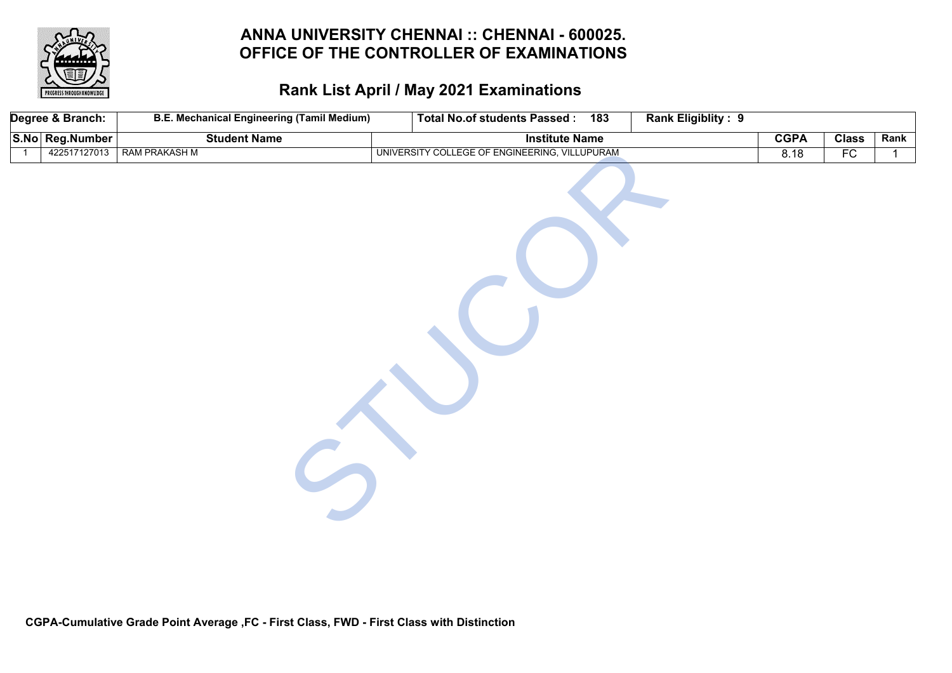

|                | Degree & Branch: | <b>B.E. Mechanical Engineering (Tamil Medium)</b> | Rank Eligiblity: 9<br>Total No.of students Passed: 183 |             |              |      |
|----------------|------------------|---------------------------------------------------|--------------------------------------------------------|-------------|--------------|------|
|                | S.No Reg.Number  | <b>Student Name</b>                               | <b>Institute Name</b>                                  | <b>CGPA</b> | <b>Class</b> | Rank |
| $\overline{1}$ | 422517127013     | <b>RAM PRAKASH M</b>                              | UNIVERSITY COLLEGE OF ENGINEERING, VILLUPURAM          | 8.18        | FC           |      |
|                |                  |                                                   |                                                        |             |              |      |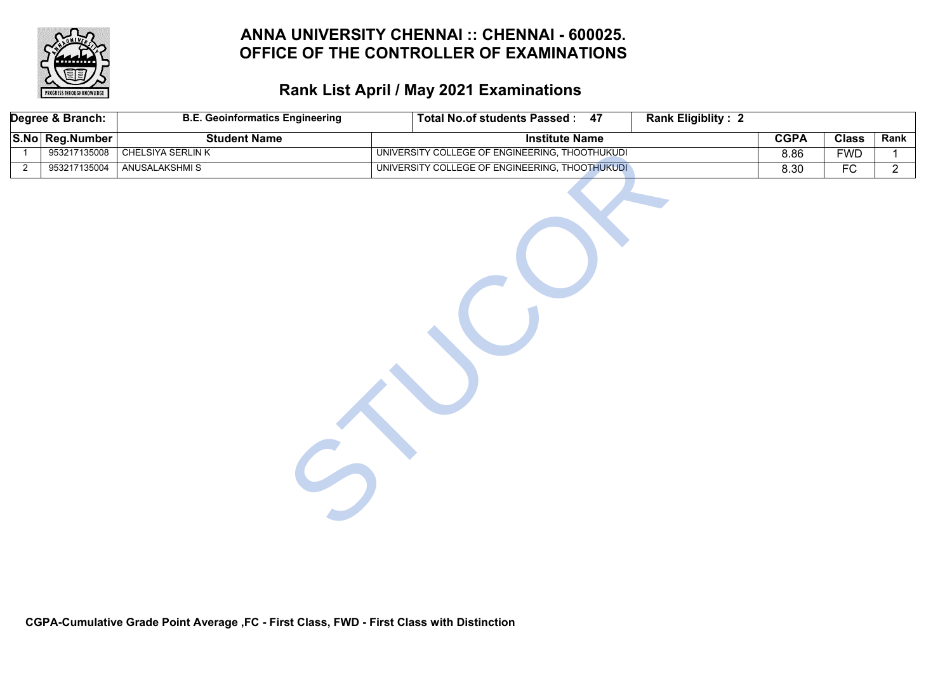

|                | Degree & Branch: | <b>B.E. Geoinformatics Engineering</b> | <b>Rank Eligiblity: 2</b><br><b>Total No.of students Passed: 47</b> |             |              |                |
|----------------|------------------|----------------------------------------|---------------------------------------------------------------------|-------------|--------------|----------------|
|                | S.No Reg.Number  | <b>Student Name</b>                    | <b>Institute Name</b>                                               | <b>CGPA</b> | <b>Class</b> | Rank           |
|                | 953217135008     | <b>CHELSIYA SERLIN K</b>               | UNIVERSITY COLLEGE OF ENGINEERING, THOOTHUKUDI                      | 8.86        | <b>FWD</b>   | $\mathbf{1}$   |
| $\overline{2}$ | 953217135004     | <b>ANUSALAKSHMIS</b>                   | UNIVERSITY COLLEGE OF ENGINEERING, THOOTHUKUDI                      | 8.30        | FC           | $\overline{2}$ |
|                |                  |                                        |                                                                     |             |              |                |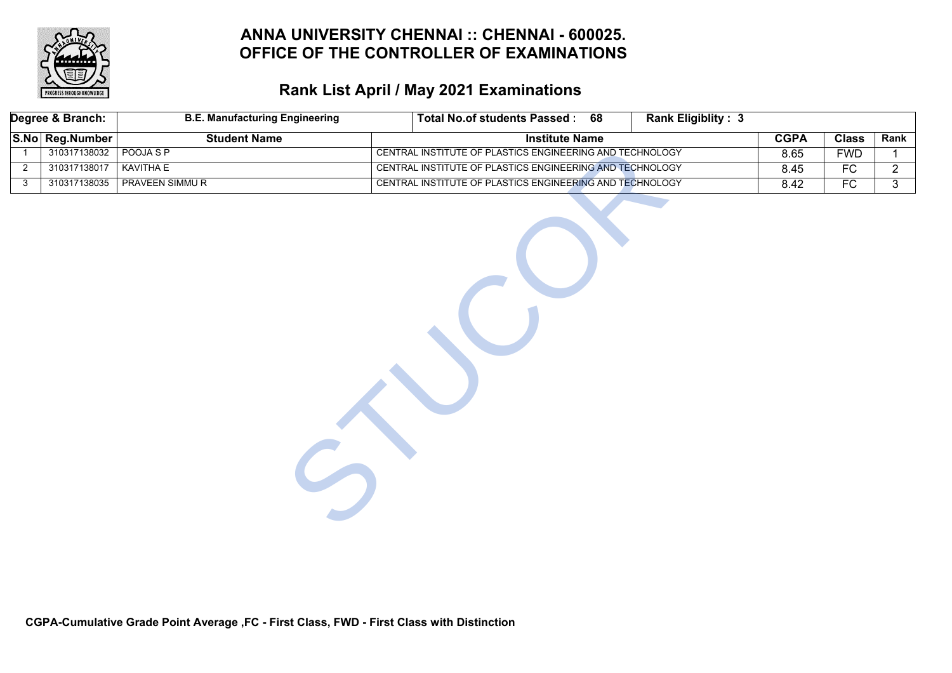

|                | Degree & Branch: | <b>B.E. Manufacturing Engineering</b> | <b>Total No.of students Passed:</b><br>68                | <b>Rank Eligiblity: 3</b> |             |              |                |
|----------------|------------------|---------------------------------------|----------------------------------------------------------|---------------------------|-------------|--------------|----------------|
|                | S.No Reg.Number  | <b>Student Name</b>                   | <b>Institute Name</b>                                    |                           | <b>CGPA</b> | <b>Class</b> | Rank           |
|                | 310317138032     | POOJA S P                             | CENTRAL INSTITUTE OF PLASTICS ENGINEERING AND TECHNOLOGY |                           | 8.65        | <b>FWD</b>   |                |
| $\overline{2}$ | 310317138017     | <b>KAVITHA E</b>                      | CENTRAL INSTITUTE OF PLASTICS ENGINEERING AND TECHNOLOGY |                           | 8.45        | FC           | $\overline{2}$ |
| 3              | 310317138035     | <b>PRAVEEN SIMMUR</b>                 | CENTRAL INSTITUTE OF PLASTICS ENGINEERING AND TECHNOLOGY |                           | 8.42        | FC           | 3 <sup>7</sup> |
|                |                  |                                       |                                                          |                           |             |              |                |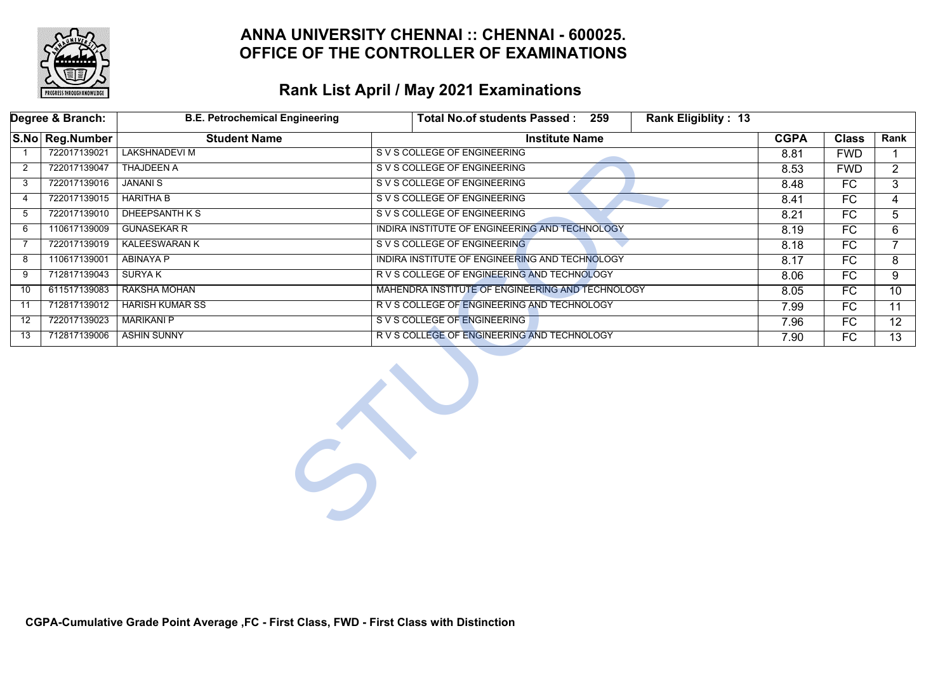

#### **Rank List April / May 2021 Examinations**

|                | Degree & Branch: | <b>B.E. Petrochemical Engineering</b> | <b>Rank Eligiblity: 13</b><br>Total No.of students Passed: 259 |             |                 |                 |
|----------------|------------------|---------------------------------------|----------------------------------------------------------------|-------------|-----------------|-----------------|
|                | S.No Reg.Number  | <b>Student Name</b>                   | <b>Institute Name</b>                                          | <b>CGPA</b> | <b>Class</b>    | Rank            |
|                | 722017139021     | <b>LAKSHNADEVI M</b>                  | S V S COLLEGE OF ENGINEERING                                   | 8.81        | <b>FWD</b>      |                 |
| $\overline{2}$ | 722017139047     | <b>THAJDEEN A</b>                     | S V S COLLEGE OF ENGINEERING                                   | 8.53        | <b>FWD</b>      | $\overline{2}$  |
| 3              | 722017139016     | <b>JANANIS</b>                        | S V S COLLEGE OF ENGINEERING                                   | 8.48        | FC              | 3               |
| 4              | 722017139015     | <b>HARITHA B</b>                      | S V S COLLEGE OF ENGINEERING                                   | 8.41        | FC.             | 4               |
| 5              | 722017139010     | DHEEPSANTH K S                        | S V S COLLEGE OF ENGINEERING                                   | 8.21        | FC              | 5               |
| 6              | 110617139009     | <b>GUNASEKAR R</b>                    | INDIRA INSTITUTE OF ENGINEERING AND TECHNOLOGY                 | 8.19        | FC              | 6               |
| 7              | 722017139019     | <b>KALEESWARAN K</b>                  | S V S COLLEGE OF ENGINEERING                                   | 8.18        | FC              | $\overline{7}$  |
| 8              | 110617139001     | ABINAYA P                             | INDIRA INSTITUTE OF ENGINEERING AND TECHNOLOGY                 | 8.17        | FC              | 8               |
| 9              | 712817139043     | SURYA K                               | R V S COLLEGE OF ENGINEERING AND TECHNOLOGY                    | 8.06        | FC.             | 9               |
| 10             | 611517139083     | <b>RAKSHA MOHAN</b>                   | MAHENDRA INSTITUTE OF ENGINEERING AND TECHNOLOGY               | 8.05        | $\overline{FC}$ | 10 <sup>°</sup> |
| 11             | 712817139012     | <b>HARISH KUMAR SS</b>                | R V S COLLEGE OF ENGINEERING AND TECHNOLOGY                    | 7.99        | FC              | $\overline{11}$ |
| 12             | 722017139023     | <b>MARIKANI P</b>                     | S V S COLLEGE OF ENGINEERING                                   | 7.96        | FC.             | 12 <sup>2</sup> |
| 13             | 712817139006     | <b>ASHIN SUNNY</b>                    | R V S COLLEGE OF ENGINEERING AND TECHNOLOGY                    | 7.90        | FC              | 13 <sup>7</sup> |
|                |                  | $\mathcal{L}_{\mathcal{J}}$           |                                                                |             |                 |                 |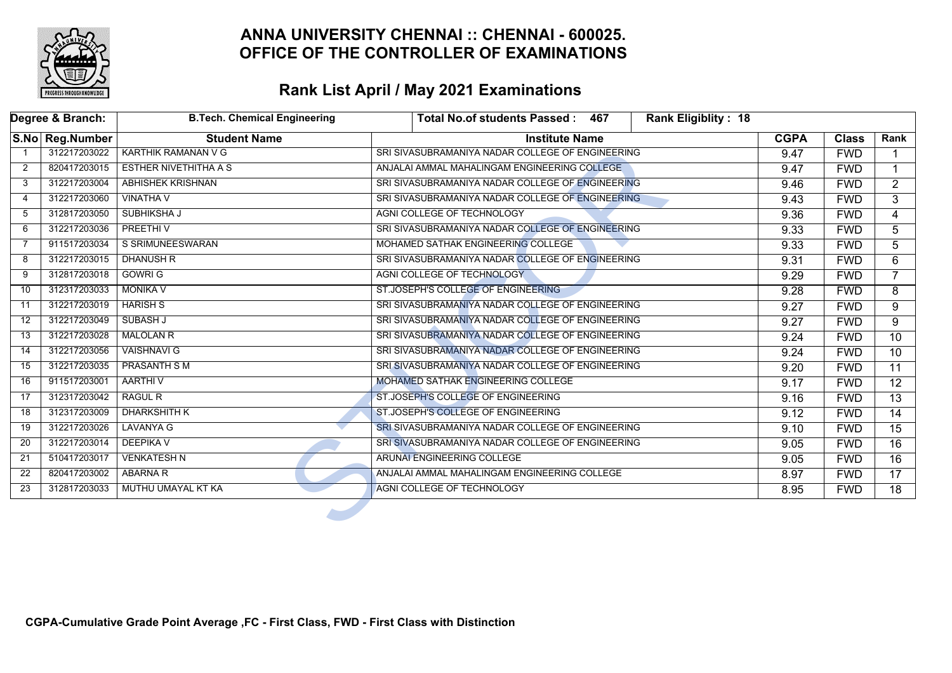

|                | Degree & Branch: | <b>B.Tech. Chemical Engineering</b> | Rank Eligiblity: 18<br>Total No.of students Passed: 467 |             |              |                 |
|----------------|------------------|-------------------------------------|---------------------------------------------------------|-------------|--------------|-----------------|
|                | S.No Reg.Number  | <b>Student Name</b>                 | <b>Institute Name</b>                                   | <b>CGPA</b> | <b>Class</b> | Rank            |
|                | 312217203022     | <b>KARTHIK RAMANAN V G</b>          | SRI SIVASUBRAMANIYA NADAR COLLEGE OF ENGINEERING        | 9.47        | <b>FWD</b>   |                 |
| $\overline{2}$ | 820417203015     | <b>ESTHER NIVETHITHA A S</b>        | ANJALAI AMMAL MAHALINGAM ENGINEERING COLLEGE            | 9.47        | <b>FWD</b>   |                 |
| 3              | 312217203004     | <b>ABHISHEK KRISHNAN</b>            | SRI SIVASUBRAMANIYA NADAR COLLEGE OF ENGINEERING        | 9.46        | <b>FWD</b>   | $\overline{2}$  |
| 4              | 312217203060     | <b>VINATHA V</b>                    | SRI SIVASUBRAMANIYA NADAR COLLEGE OF ENGINEERING        | 9.43        | <b>FWD</b>   | 3               |
| 5              | 312817203050     | SUBHIKSHA J                         | AGNI COLLEGE OF TECHNOLOGY                              | 9.36        | <b>FWD</b>   | $\overline{4}$  |
| 6              | 312217203036     | <b>PREETHIV</b>                     | SRI SIVASUBRAMANIYA NADAR COLLEGE OF ENGINEERING        | 9.33        | <b>FWD</b>   | 5.              |
| 7              | 911517203034     | S SRIMUNEESWARAN                    | MOHAMED SATHAK ENGINEERING COLLEGE                      | 9.33        | <b>FWD</b>   | 5               |
| 8              | 312217203015     | <b>DHANUSH R</b>                    | SRI SIVASUBRAMANIYA NADAR COLLEGE OF ENGINEERING        | 9.31        | <b>FWD</b>   | 6               |
| 9              | 312817203018     | <b>GOWRI G</b>                      | AGNI COLLEGE OF TECHNOLOGY                              | 9.29        | <b>FWD</b>   |                 |
| 10             | 312317203033     | <b>MONIKA V</b>                     | ST.JOSEPH'S COLLEGE OF ENGINEERING                      | 9.28        | <b>FWD</b>   | 8               |
| 11             | 312217203019     | <b>HARISH S</b>                     | SRI SIVASUBRAMANIYA NADAR COLLEGE OF ENGINEERING        | 9.27        | <b>FWD</b>   | $\overline{9}$  |
| 12             | 312217203049     | <b>SUBASH J</b>                     | SRI SIVASUBRAMANIYA NADAR COLLEGE OF ENGINEERING        | 9.27        | <b>FWD</b>   | 9               |
| 13             | 312217203028     | <b>MALOLAN R</b>                    | SRI SIVASUBRAMANIYA NADAR COLLEGE OF ENGINEERING        | 9.24        | <b>FWD</b>   | 10              |
| 14             | 312217203056     | <b>VAISHNAVI G</b>                  | SRI SIVASUBRAMANIYA NADAR COLLEGE OF ENGINEERING        | 9.24        | <b>FWD</b>   | 10              |
| 15             | 312217203035     | <b>PRASANTH SM</b>                  | SRI SIVASUBRAMANIYA NADAR COLLEGE OF ENGINEERING        | 9.20        | <b>FWD</b>   | 11              |
| 16             | 911517203001     | AARTHI V                            | MOHAMED SATHAK ENGINEERING COLLEGE                      | 9.17        | <b>FWD</b>   | $\overline{12}$ |
| 17             | 312317203042     | <b>RAGUL R</b>                      | ST.JOSEPH'S COLLEGE OF ENGINEERING                      | 9.16        | <b>FWD</b>   | $\overline{13}$ |
| 18             | 312317203009     | <b>DHARKSHITH K</b>                 | ST.JOSEPH'S COLLEGE OF ENGINEERING                      | 9.12        | <b>FWD</b>   | $\overline{14}$ |
| 19             | 312217203026     | <b>LAVANYA G</b>                    | SRI SIVASUBRAMANIYA NADAR COLLEGE OF ENGINEERING        | 9.10        | <b>FWD</b>   | $\overline{15}$ |
| 20             | 312217203014     | <b>DEEPIKA V</b>                    | SRI SIVASUBRAMANIYA NADAR COLLEGE OF ENGINEERING        | 9.05        | <b>FWD</b>   | 16              |
| 21             | 510417203017     | <b>VENKATESH N</b>                  | ARUNAI ENGINEERING COLLEGE                              | 9.05        | <b>FWD</b>   | $\overline{16}$ |
| 22             | 820417203002     | <b>ABARNA R</b>                     | ANJALAI AMMAL MAHALINGAM ENGINEERING COLLEGE            | 8.97        | <b>FWD</b>   | $\overline{17}$ |
| 23             | 312817203033     | MUTHU UMAYAL KT KA                  | AGNI COLLEGE OF TECHNOLOGY                              | 8.95        | <b>FWD</b>   | 18              |
|                |                  |                                     |                                                         |             |              |                 |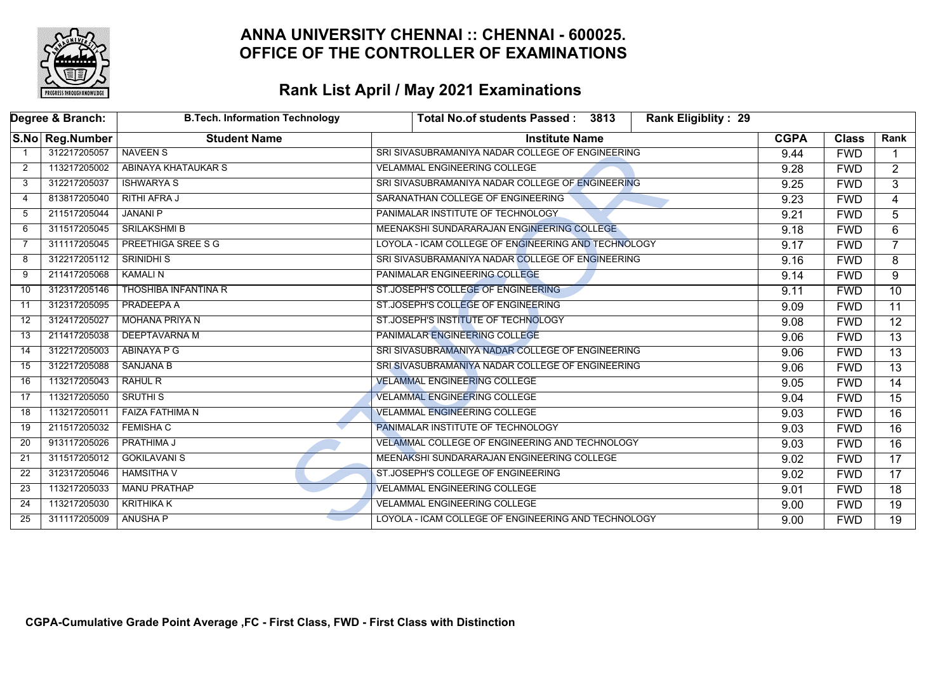

|    | Degree & Branch: | <b>B.Tech. Information Technology</b> | <b>Rank Eligiblity: 29</b><br>Total No.of students Passed: 3813 |             |              |                 |
|----|------------------|---------------------------------------|-----------------------------------------------------------------|-------------|--------------|-----------------|
|    | S.No Reg.Number  | <b>Student Name</b>                   | <b>Institute Name</b>                                           | <b>CGPA</b> | <b>Class</b> | Rank            |
|    | 312217205057     | <b>NAVEEN S</b>                       | SRI SIVASUBRAMANIYA NADAR COLLEGE OF ENGINEERING                | 9.44        | <b>FWD</b>   |                 |
| 2  | 113217205002     | <b>ABINAYA KHATAUKAR S</b>            | <b>VELAMMAL ENGINEERING COLLEGE</b>                             | 9.28        | <b>FWD</b>   | $\overline{2}$  |
| 3  | 312217205037     | <b>ISHWARYA S</b>                     | SRI SIVASUBRAMANIYA NADAR COLLEGE OF ENGINEERING                | 9.25        | <b>FWD</b>   | 3               |
| 4  | 813817205040     | <b>RITHI AFRA J</b>                   | SARANATHAN COLLEGE OF ENGINEERING                               | 9.23        | <b>FWD</b>   | 4               |
| -5 | 211517205044     | <b>JANANI P</b>                       | PANIMALAR INSTITUTE OF TECHNOLOGY                               | 9.21        | <b>FWD</b>   | $\overline{5}$  |
| 6  | 311517205045     | <b>SRILAKSHMI B</b>                   | MEENAKSHI SUNDARARAJAN ENGINEERING COLLEGE                      | 9.18        | <b>FWD</b>   | 6               |
| -7 | 311117205045     | PREETHIGA SREE S G                    | LOYOLA - ICAM COLLEGE OF ENGINEERING AND TECHNOLOGY             | 9.17        | <b>FWD</b>   | $\overline{7}$  |
| 8  | 312217205112     | <b>SRINIDHI S</b>                     | SRI SIVASUBRAMANIYA NADAR COLLEGE OF ENGINEERING                | 9.16        | <b>FWD</b>   | 8               |
| 9  | 211417205068     | <b>KAMALIN</b>                        | PANIMALAR ENGINEERING COLLEGE                                   | 9.14        | <b>FWD</b>   | 9               |
| 10 | 312317205146     | <b>THOSHIBA INFANTINA R</b>           | ST.JOSEPH'S COLLEGE OF ENGINEERING                              | 9.11        | <b>FWD</b>   | $\overline{10}$ |
| 11 | 312317205095     | PRADEEPA A                            | ST.JOSEPH'S COLLEGE OF ENGINEERING                              | 9.09        | <b>FWD</b>   | $\overline{11}$ |
| 12 | 312417205027     | <b>MOHANA PRIYA N</b>                 | ST.JOSEPH'S INSTITUTE OF TECHNOLOGY                             | 9.08        | <b>FWD</b>   | $\overline{12}$ |
| 13 | 211417205038     | DEEPTAVARNA M                         | PANIMALAR ENGINEERING COLLEGE                                   | 9.06        | <b>FWD</b>   | $\overline{13}$ |
| 14 | 312217205003     | <b>ABINAYA P G</b>                    | SRI SIVASUBRAMANIYA NADAR COLLEGE OF ENGINEERING                | 9.06        | <b>FWD</b>   | $\overline{13}$ |
| 15 | 312217205088     | <b>SANJANA B</b>                      | SRI SIVASUBRAMANIYA NADAR COLLEGE OF ENGINEERING                | 9.06        | <b>FWD</b>   | $\overline{13}$ |
| 16 | 113217205043     | RAHUL R                               | <b>VELAMMAL ENGINEERING COLLEGE</b>                             | 9.05        | <b>FWD</b>   | $\overline{14}$ |
| 17 | 113217205050     | <b>SRUTHI S</b>                       | <b>VELAMMAL ENGINEERING COLLEGE</b>                             | 9.04        | <b>FWD</b>   | 15              |
| 18 | 113217205011     | <b>FAIZA FATHIMA N</b>                | <b>VELAMMAL ENGINEERING COLLEGE</b>                             | 9.03        | <b>FWD</b>   | $\overline{16}$ |
| 19 | 211517205032     | <b>FEMISHA C</b>                      | PANIMALAR INSTITUTE OF TECHNOLOGY                               | 9.03        | <b>FWD</b>   | $\overline{16}$ |
| 20 | 913117205026     | PRATHIMA J                            | VELAMMAL COLLEGE OF ENGINEERING AND TECHNOLOGY                  | 9.03        | <b>FWD</b>   | 16              |
| 21 | 311517205012     | <b>GOKILAVANI S</b>                   | MEENAKSHI SUNDARARAJAN ENGINEERING COLLEGE                      | 9.02        | <b>FWD</b>   | $\overline{17}$ |
| 22 | 312317205046     | <b>HAMSITHA V</b>                     | ST.JOSEPH'S COLLEGE OF ENGINEERING                              | 9.02        | <b>FWD</b>   | $\overline{17}$ |
| 23 | 113217205033     | <b>MANU PRATHAP</b>                   | <b>VELAMMAL ENGINEERING COLLEGE</b>                             | 9.01        | <b>FWD</b>   | 18              |
| 24 | 113217205030     | <b>KRITHIKA K</b>                     | <b>VELAMMAL ENGINEERING COLLEGE</b>                             | 9.00        | <b>FWD</b>   | 19              |
| 25 | 311117205009     | <b>ANUSHA P</b>                       | LOYOLA - ICAM COLLEGE OF ENGINEERING AND TECHNOLOGY             | 9.00        | <b>FWD</b>   | 19              |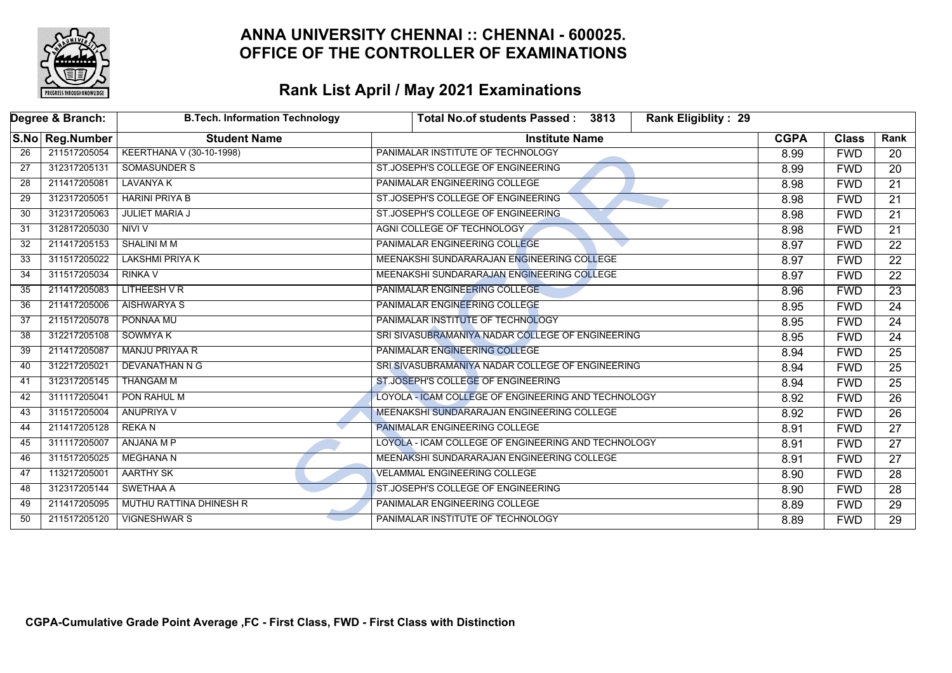

|    | Degree & Branch: | <b>B.Tech. Information Technology</b> | <b>Rank Eligiblity: 29</b><br><b>Total No.of students Passed:</b><br>3813 |             |              |                 |
|----|------------------|---------------------------------------|---------------------------------------------------------------------------|-------------|--------------|-----------------|
|    | S.No Reg.Number  | <b>Student Name</b>                   | <b>Institute Name</b>                                                     | <b>CGPA</b> | <b>Class</b> | Rank            |
| 26 | 211517205054     | KEERTHANA V (30-10-1998)              | PANIMALAR INSTITUTE OF TECHNOLOGY                                         | 8.99        | <b>FWD</b>   | 20              |
| 27 | 312317205131     | <b>SOMASUNDER S</b>                   | ST.JOSEPH'S COLLEGE OF ENGINEERING                                        | 8.99        | <b>FWD</b>   | 20              |
| 28 | 211417205081     | <b>LAVANYA K</b>                      | PANIMALAR ENGINEERING COLLEGE                                             | 8.98        | <b>FWD</b>   | $\overline{21}$ |
| 29 | 312317205051     | <b>HARINI PRIYA B</b>                 | ST.JOSEPH'S COLLEGE OF ENGINEERING                                        | 8.98        | <b>FWD</b>   | $\overline{21}$ |
| 30 | 312317205063     | <b>JULIET MARIA J</b>                 | ST.JOSEPH'S COLLEGE OF ENGINEERING                                        | 8.98        | <b>FWD</b>   | $\overline{21}$ |
| 31 | 312817205030     | NIVI V                                | AGNI COLLEGE OF TECHNOLOGY                                                | 8.98        | <b>FWD</b>   | 21              |
| 32 | 211417205153     | <b>SHALINI M M</b>                    | PANIMALAR ENGINEERING COLLEGE                                             | 8.97        | <b>FWD</b>   | $\overline{22}$ |
| 33 | 311517205022     | <b>LAKSHMI PRIYA K</b>                | MEENAKSHI SUNDARARAJAN ENGINEERING COLLEGE                                | 8.97        | <b>FWD</b>   | $\overline{22}$ |
| 34 | 311517205034     | <b>RINKA V</b>                        | MEENAKSHI SUNDARARAJAN ENGINEERING COLLEGE                                | 8.97        | <b>FWD</b>   | $\overline{22}$ |
| 35 | 211417205083     | <b>LITHEESH V R</b>                   | PANIMALAR ENGINEERING COLLEGE                                             | 8.96        | <b>FWD</b>   | $\overline{23}$ |
| 36 | 211417205006     | <b>AISHWARYA S</b>                    | PANIMALAR ENGINEERING COLLEGE                                             | 8.95        | <b>FWD</b>   | $\overline{24}$ |
| 37 | 211517205078     | PONNAA MU                             | PANIMALAR INSTITUTE OF TECHNOLOGY                                         | 8.95        | <b>FWD</b>   | $\overline{24}$ |
| 38 | 312217205108     | <b>SOWMYA K</b>                       | SRI SIVASUBRAMANIYA NADAR COLLEGE OF ENGINEERING                          | 8.95        | <b>FWD</b>   | 24              |
| 39 | 211417205087     | MANJU PRIYAA R                        | PANIMALAR ENGINEERING COLLEGE                                             | 8.94        | <b>FWD</b>   | $\overline{25}$ |
| 40 | 312217205021     | <b>DEVANATHAN N G</b>                 | SRI SIVASUBRAMANIYA NADAR COLLEGE OF ENGINEERING                          | 8.94        | <b>FWD</b>   | $\overline{25}$ |
| 41 | 312317205145     | <b>THANGAM M</b>                      | ST.JOSEPH'S COLLEGE OF ENGINEERING                                        | 8.94        | <b>FWD</b>   | $\overline{25}$ |
| 42 | 311117205041     | PON RAHUL M                           | LOYOLA - ICAM COLLEGE OF ENGINEERING AND TECHNOLOGY                       | 8.92        | <b>FWD</b>   | $\overline{26}$ |
| 43 | 311517205004     | ANUPRIYA V                            | MEENAKSHI SUNDARARAJAN ENGINEERING COLLEGE                                | 8.92        | <b>FWD</b>   | $\overline{26}$ |
| 44 | 211417205128     | <b>REKAN</b>                          | PANIMALAR ENGINEERING COLLEGE                                             | 8.91        | <b>FWD</b>   | $\overline{27}$ |
| 45 | 311117205007     | ANJANA M P                            | LOYOLA - ICAM COLLEGE OF ENGINEERING AND TECHNOLOGY                       | 8.91        | <b>FWD</b>   | 27              |
| 46 | 311517205025     | MEGHANA N                             | MEENAKSHI SUNDARARAJAN ENGINEERING COLLEGE                                | 8.91        | <b>FWD</b>   | $\overline{27}$ |
| 47 | 113217205001     | AARTHY SK                             | <b>VELAMMAL ENGINEERING COLLEGE</b>                                       | 8.90        | <b>FWD</b>   | $\overline{28}$ |
| 48 | 312317205144     | SWETHAA A                             | ST.JOSEPH'S COLLEGE OF ENGINEERING                                        | 8.90        | <b>FWD</b>   | 28              |
| 49 | 211417205095     | MUTHU RATTINA DHINESH R               | PANIMALAR ENGINEERING COLLEGE                                             | 8.89        | <b>FWD</b>   | 29              |
| 50 | 211517205120     | <b>VIGNESHWAR S</b>                   | PANIMALAR INSTITUTE OF TECHNOLOGY                                         | 8.89        | <b>FWD</b>   | $\overline{29}$ |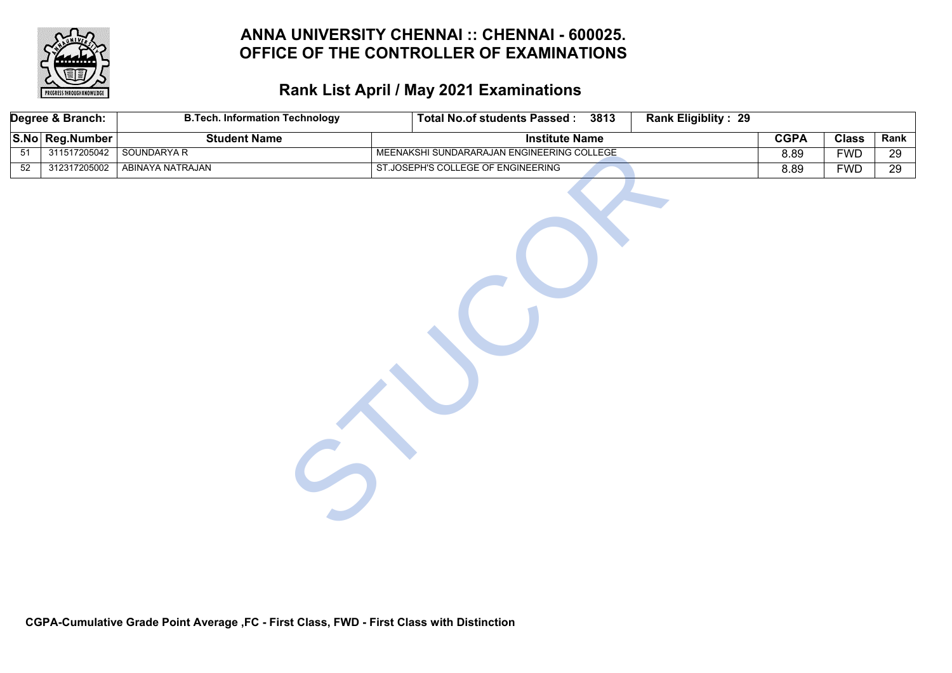

# **Rank List April / May 2021 Examinations**

|                 | Degree & Branch: | <b>B.Tech. Information Technology</b> | <b>Total No.of students Passed:</b><br>3813 | Rank Eligiblity: 29 |             |              |                 |
|-----------------|------------------|---------------------------------------|---------------------------------------------|---------------------|-------------|--------------|-----------------|
|                 | S.No Reg.Number  | <b>Student Name</b>                   | <b>Institute Name</b>                       |                     | <b>CGPA</b> | <b>Class</b> | Rank            |
| 51              | 311517205042     | SOUNDARYA R                           | MEENAKSHI SUNDARARAJAN ENGINEERING COLLEGE  |                     | 8.89        | <b>FWD</b>   | 29              |
| $\overline{52}$ | 312317205002     | ABINAYA NATRAJAN                      | ST.JOSEPH'S COLLEGE OF ENGINEERING          |                     | 8.89        | <b>FWD</b>   | $\overline{29}$ |
|                 |                  |                                       |                                             |                     |             |              |                 |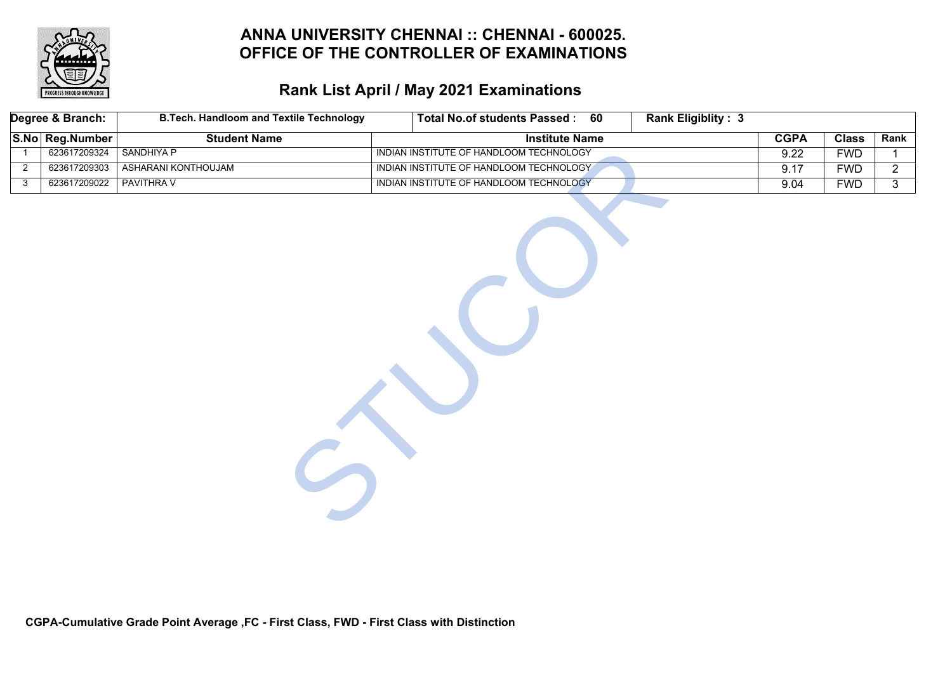

|                | Degree & Branch: | <b>B.Tech. Handloom and Textile Technology</b> |                                         | Total No.of students Passed : 60 | <b>Rank Eligiblity: 3</b> |             |              |                |
|----------------|------------------|------------------------------------------------|-----------------------------------------|----------------------------------|---------------------------|-------------|--------------|----------------|
|                | S.No Reg.Number  | <b>Student Name</b>                            |                                         | <b>Institute Name</b>            |                           | <b>CGPA</b> | <b>Class</b> | Rank           |
| $\overline{1}$ | 623617209324     | <b>SANDHIYA P</b>                              | INDIAN INSTITUTE OF HANDLOOM TECHNOLOGY |                                  |                           | 9.22        | <b>FWD</b>   | $\mathbf{1}$   |
| $\overline{2}$ | 623617209303     | ASHARANI KONTHOUJAM                            | INDIAN INSTITUTE OF HANDLOOM TECHNOLOGY |                                  |                           | 9.17        | <b>FWD</b>   | $\overline{2}$ |
| 3              | 623617209022     | <b>PAVITHRAV</b>                               | INDIAN INSTITUTE OF HANDLOOM TECHNOLOGY |                                  |                           | 9.04        | <b>FWD</b>   | $\overline{3}$ |
|                |                  |                                                |                                         |                                  |                           |             |              |                |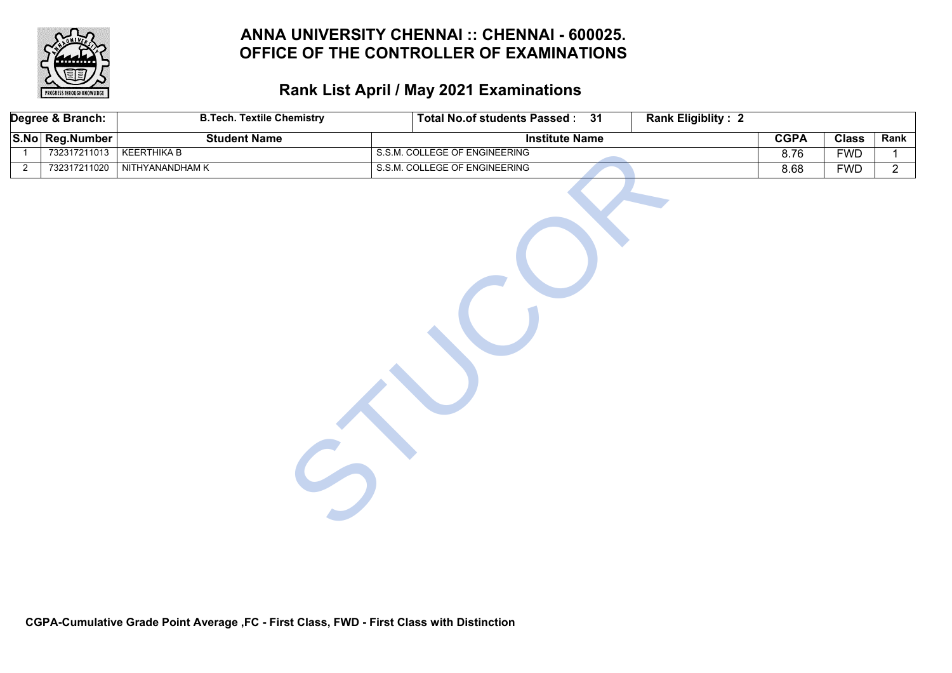

# **Rank List April / May 2021 Examinations**

|                | Degree & Branch: | <b>B.Tech. Textile Chemistry</b> | Total No.of students Passed: 31 | <b>Rank Eligiblity: 2</b> |             |              |                |
|----------------|------------------|----------------------------------|---------------------------------|---------------------------|-------------|--------------|----------------|
|                | S.No Reg.Number  | <b>Student Name</b>              | <b>Institute Name</b>           |                           | <b>CGPA</b> | <b>Class</b> | Rank           |
| $\overline{1}$ | 732317211013     | <b>KEERTHIKA B</b>               | S.S.M. COLLEGE OF ENGINEERING   |                           | 8.76        | <b>FWD</b>   | $\mathbf{1}$   |
| $\overline{2}$ | 732317211020     | NITHYANANDHAM K                  | S.S.M. COLLEGE OF ENGINEERING   |                           | 8.68        | <b>FWD</b>   | $\overline{2}$ |
|                |                  |                                  |                                 |                           |             |              |                |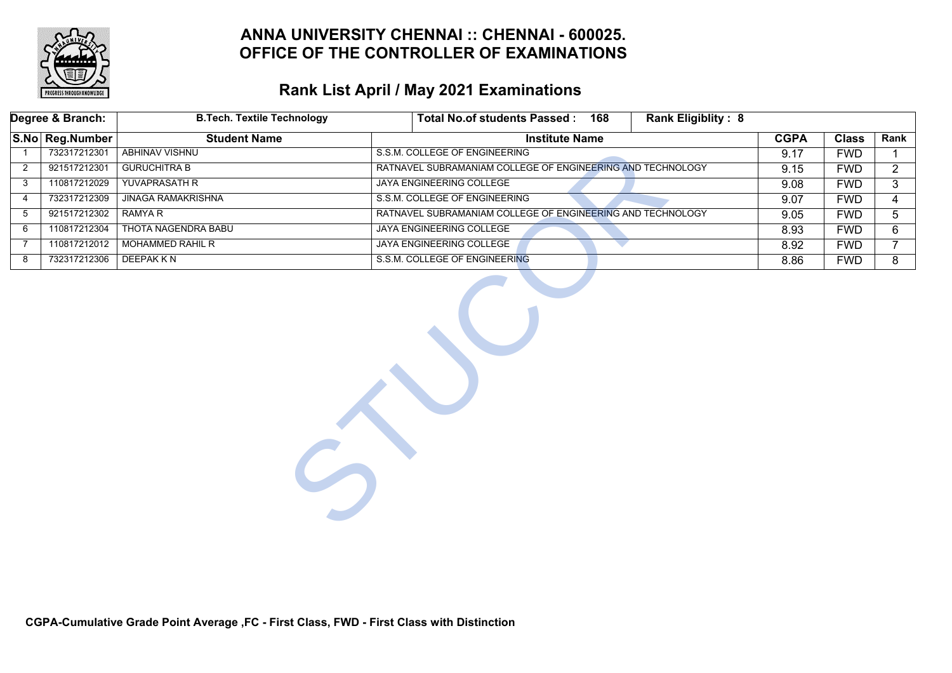

|   | Degree & Branch: | <b>B.Tech. Textile Technology</b> | <b>Rank Eligiblity: 8</b><br>Total No.of students Passed: 168 |             |              |                |
|---|------------------|-----------------------------------|---------------------------------------------------------------|-------------|--------------|----------------|
|   | S.No Reg.Number  | <b>Student Name</b>               | <b>Institute Name</b>                                         | <b>CGPA</b> | <b>Class</b> | Rank           |
|   | 732317212301     | <b>ABHINAV VISHNU</b>             | S.S.M. COLLEGE OF ENGINEERING                                 | 9.17        | <b>FWD</b>   |                |
| 2 | 921517212301     | <b>GURUCHITRA B</b>               | RATNAVEL SUBRAMANIAM COLLEGE OF ENGINEERING AND TECHNOLOGY    | 9.15        | <b>FWD</b>   | $\overline{2}$ |
| 3 | 110817212029     | YUVAPRASATH R                     | <b>JAYA ENGINEERING COLLEGE</b>                               | 9.08        | <b>FWD</b>   | 3              |
| 4 | 732317212309     | <b>JINAGA RAMAKRISHNA</b>         | S.S.M. COLLEGE OF ENGINEERING                                 | 9.07        | <b>FWD</b>   | 4              |
| 5 | 921517212302     | <b>RAMYA R</b>                    | RATNAVEL SUBRAMANIAM COLLEGE OF ENGINEERING AND TECHNOLOGY    | 9.05        | <b>FWD</b>   | 5              |
| 6 | 110817212304     | <b>THOTA NAGENDRA BABU</b>        | <b>JAYA ENGINEERING COLLEGE</b>                               | 8.93        | <b>FWD</b>   | 6              |
| 7 | 110817212012     | <b>MOHAMMED RAHIL R</b>           | JAYA ENGINEERING COLLEGE                                      | 8.92        | <b>FWD</b>   | $\overline{7}$ |
| 8 | 732317212306     | <b>DEEPAKKN</b>                   | S.S.M. COLLEGE OF ENGINEERING                                 | 8.86        | <b>FWD</b>   | 8              |
|   |                  |                                   |                                                               |             |              |                |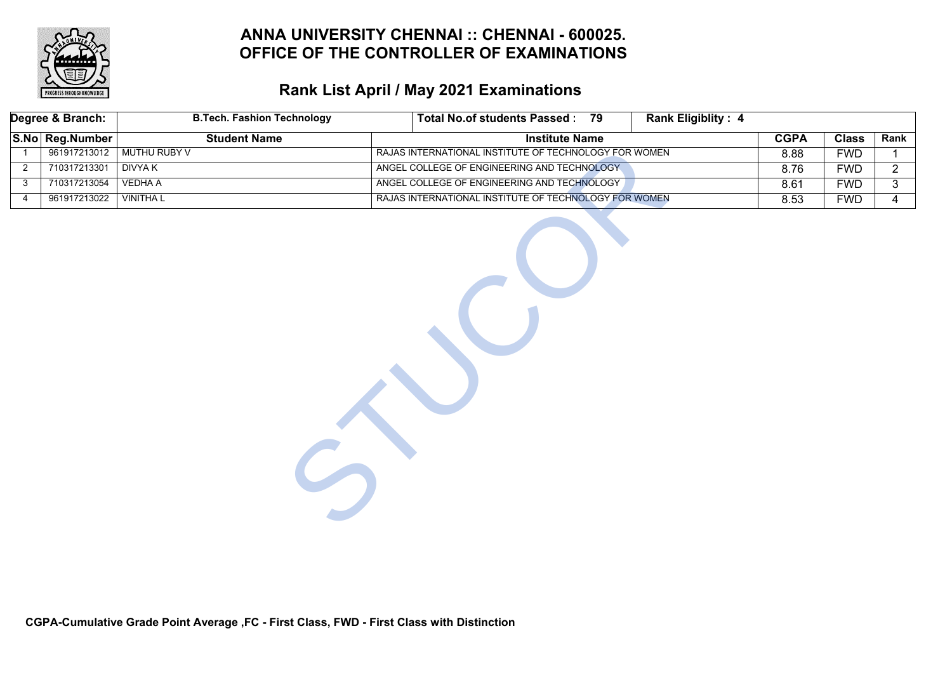

# **Rank List April / May 2021 Examinations**

|                | Degree & Branch: | <b>B.Tech. Fashion Technology</b> | <b>Total No.of students Passed:</b>                   | 79 | <b>Rank Eligiblity: 4</b> |             |              |                |
|----------------|------------------|-----------------------------------|-------------------------------------------------------|----|---------------------------|-------------|--------------|----------------|
|                | S.No Reg.Number  | <b>Student Name</b>               | <b>Institute Name</b>                                 |    |                           | <b>CGPA</b> | <b>Class</b> | Rank           |
| $\overline{1}$ | 961917213012     | <b>MUTHU RUBY V</b>               | RAJAS INTERNATIONAL INSTITUTE OF TECHNOLOGY FOR WOMEN |    |                           | 8.88        | <b>FWD</b>   |                |
| $\overline{2}$ | 710317213301     | <b>DIVYAK</b>                     | ANGEL COLLEGE OF ENGINEERING AND TECHNOLOGY           |    |                           | 8.76        | <b>FWD</b>   | $\overline{2}$ |
| 3              | 710317213054     | <b>VEDHA A</b>                    | ANGEL COLLEGE OF ENGINEERING AND TECHNOLOGY           |    |                           | 8.61        | <b>FWD</b>   | 3              |
| 4              | 961917213022     | <b>VINITHAL</b>                   | RAJAS INTERNATIONAL INSTITUTE OF TECHNOLOGY FOR WOMEN |    |                           | 8.53        | <b>FWD</b>   | $\overline{4}$ |
|                |                  |                                   |                                                       |    |                           |             |              |                |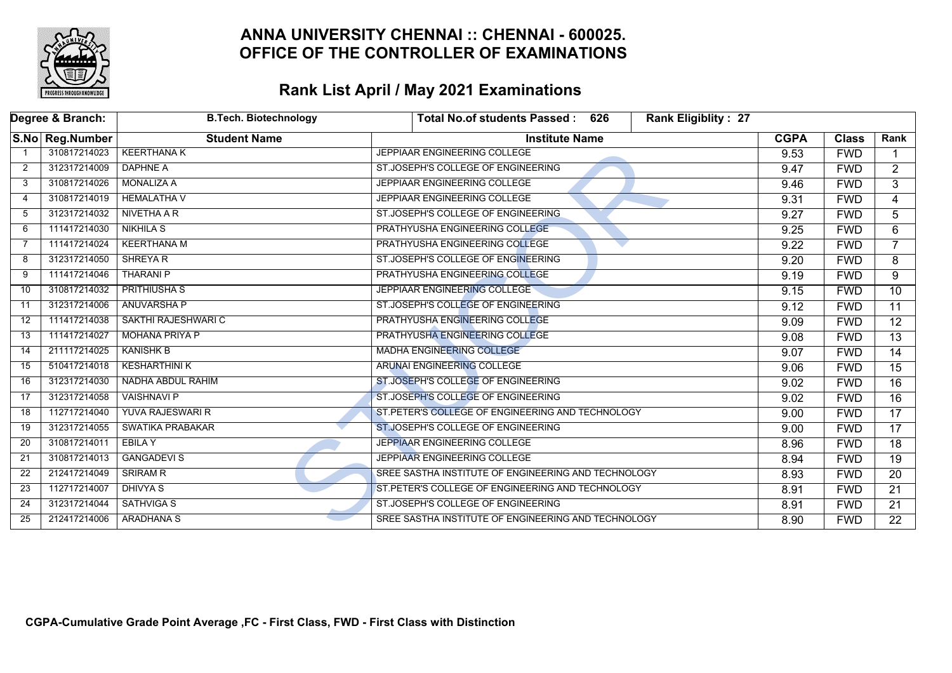

|    | Degree & Branch: | <b>B.Tech. Biotechnology</b> | <b>Rank Eligiblity: 27</b><br><b>Total No.of students Passed:</b><br>626 |             |              |                 |
|----|------------------|------------------------------|--------------------------------------------------------------------------|-------------|--------------|-----------------|
|    | S.No Reg.Number  | <b>Student Name</b>          | <b>Institute Name</b>                                                    | <b>CGPA</b> | <b>Class</b> | Rank            |
|    | 310817214023     | <b>KEERTHANA K</b>           | JEPPIAAR ENGINEERING COLLEGE                                             | 9.53        | <b>FWD</b>   |                 |
| 2  | 312317214009     | <b>DAPHNE A</b>              | ST.JOSEPH'S COLLEGE OF ENGINEERING                                       | 9.47        | <b>FWD</b>   | $\overline{2}$  |
| 3  | 310817214026     | <b>MONALIZA A</b>            | JEPPIAAR ENGINEERING COLLEGE                                             | 9.46        | <b>FWD</b>   | $\overline{3}$  |
| 4  | 310817214019     | <b>HEMALATHA V</b>           | JEPPIAAR ENGINEERING COLLEGE                                             | 9.31        | <b>FWD</b>   | $\overline{4}$  |
| 5  | 312317214032     | NIVETHA A R                  | ST.JOSEPH'S COLLEGE OF ENGINEERING                                       | 9.27        | <b>FWD</b>   | 5               |
| 6  | 111417214030     | <b>NIKHILA S</b>             | PRATHYUSHA ENGINEERING COLLEGE                                           | 9.25        | <b>FWD</b>   | 6               |
| -7 | 111417214024     | <b>KEERTHANA M</b>           | PRATHYUSHA ENGINEERING COLLEGE                                           | 9.22        | <b>FWD</b>   | $\overline{7}$  |
| 8  | 312317214050     | <b>SHREYAR</b>               | ST.JOSEPH'S COLLEGE OF ENGINEERING                                       | 9.20        | <b>FWD</b>   | 8               |
| 9  | 111417214046     | <b>THARANI P</b>             | PRATHYUSHA ENGINEERING COLLEGE                                           | 9.19        | <b>FWD</b>   | 9               |
| 10 | 310817214032     | <b>PRITHIUSHA S</b>          | JEPPIAAR ENGINEERING COLLEGE                                             | 9.15        | <b>FWD</b>   | $\overline{10}$ |
| 11 | 312317214006     | <b>ANUVARSHA P</b>           | ST.JOSEPH'S COLLEGE OF ENGINEERING                                       | 9.12        | <b>FWD</b>   | $\overline{11}$ |
| 12 | 111417214038     | SAKTHI RAJESHWARI C          | PRATHYUSHA ENGINEERING COLLEGE                                           | 9.09        | <b>FWD</b>   | $\overline{12}$ |
| 13 | 111417214027     | <b>MOHANA PRIYA P</b>        | PRATHYUSHA ENGINEERING COLLEGE                                           | 9.08        | <b>FWD</b>   | $\overline{13}$ |
| 14 | 211117214025     | <b>KANISHK B</b>             | <b>MADHA ENGINEERING COLLEGE</b>                                         | 9.07        | <b>FWD</b>   | $\overline{14}$ |
| 15 | 510417214018     | <b>KESHARTHINI K</b>         | ARUNAI ENGINEERING COLLEGE                                               | 9.06        | <b>FWD</b>   | $\overline{15}$ |
| 16 | 312317214030     | NADHA ABDUL RAHIM            | ST.JOSEPH'S COLLEGE OF ENGINEERING                                       | 9.02        | <b>FWD</b>   | $\overline{16}$ |
| 17 | 312317214058     | <b>VAISHNAVI P</b>           | ST.JOSEPH'S COLLEGE OF ENGINEERING                                       | 9.02        | <b>FWD</b>   | $\overline{16}$ |
| 18 | 112717214040     | YUVA RAJESWARI R             | ST.PETER'S COLLEGE OF ENGINEERING AND TECHNOLOGY                         | 9.00        | <b>FWD</b>   | $\overline{17}$ |
| 19 | 312317214055     | <b>SWATIKA PRABAKAR</b>      | ST.JOSEPH'S COLLEGE OF ENGINEERING                                       | 9.00        | <b>FWD</b>   | 17              |
| 20 | 310817214011     | EBILA Y                      | JEPPIAAR ENGINEERING COLLEGE                                             | 8.96        | <b>FWD</b>   | 18              |
| 21 | 310817214013     | <b>GANGADEVIS</b>            | JEPPIAAR ENGINEERING COLLEGE                                             | 8.94        | <b>FWD</b>   | $\overline{19}$ |
| 22 | 212417214049     | <b>SRIRAM R</b>              | SREE SASTHA INSTITUTE OF ENGINEERING AND TECHNOLOGY                      | 8.93        | <b>FWD</b>   | $\overline{20}$ |
| 23 | 112717214007     | <b>DHIVYA S</b>              | ST. PETER'S COLLEGE OF ENGINEERING AND TECHNOLOGY                        | 8.91        | <b>FWD</b>   | 21              |
| 24 | 312317214044     | <b>SATHVIGA S</b>            | ST.JOSEPH'S COLLEGE OF ENGINEERING                                       | 8.91        | <b>FWD</b>   | 21              |
| 25 | 212417214006     | <b>ARADHANA S</b>            | SREE SASTHA INSTITUTE OF ENGINEERING AND TECHNOLOGY                      | 8.90        | <b>FWD</b>   | $\overline{22}$ |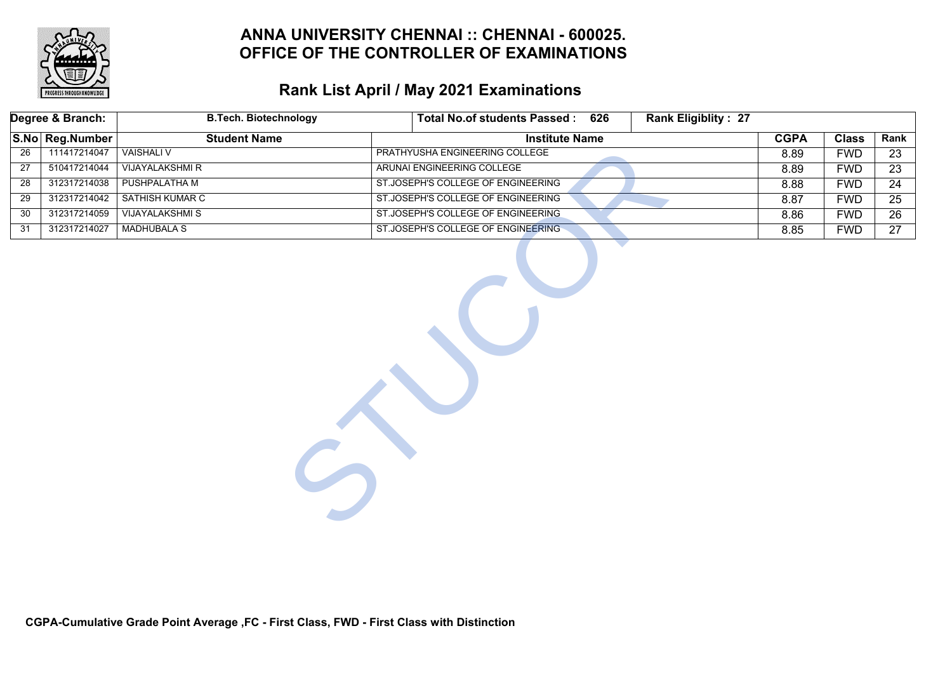

# **Rank List April / May 2021 Examinations**

|    | Degree & Branch: | <b>B.Tech. Biotechnology</b> | Total No.of students Passed: 626<br><b>Rank Eligiblity: 27</b> |             |              |                 |
|----|------------------|------------------------------|----------------------------------------------------------------|-------------|--------------|-----------------|
|    | S.No Reg.Number  | <b>Student Name</b>          | <b>Institute Name</b>                                          | <b>CGPA</b> | <b>Class</b> | Rank            |
| 26 | 111417214047     | <b>VAISHALI V</b>            | PRATHYUSHA ENGINEERING COLLEGE                                 | 8.89        | <b>FWD</b>   | 23              |
| 27 | 510417214044     | <b>VIJAYALAKSHMI R</b>       | ARUNAI ENGINEERING COLLEGE                                     | 8.89        | <b>FWD</b>   | $\overline{23}$ |
| 28 | 312317214038     | PUSHPALATHA M                | ST.JOSEPH'S COLLEGE OF ENGINEERING                             | 8.88        | <b>FWD</b>   | 24              |
| 29 | 312317214042     | SATHISH KUMAR C              | ST.JOSEPH'S COLLEGE OF ENGINEERING                             | 8.87        | <b>FWD</b>   | $\overline{25}$ |
| 30 | 312317214059     | <b>VIJAYALAKSHMIS</b>        | ST.JOSEPH'S COLLEGE OF ENGINEERING                             | 8.86        | <b>FWD</b>   | $\overline{26}$ |
| 31 | 312317214027     | <b>MADHUBALA S</b>           | ST.JOSEPH'S COLLEGE OF ENGINEERING                             | 8.85        | <b>FWD</b>   | 27              |
|    |                  |                              |                                                                |             |              |                 |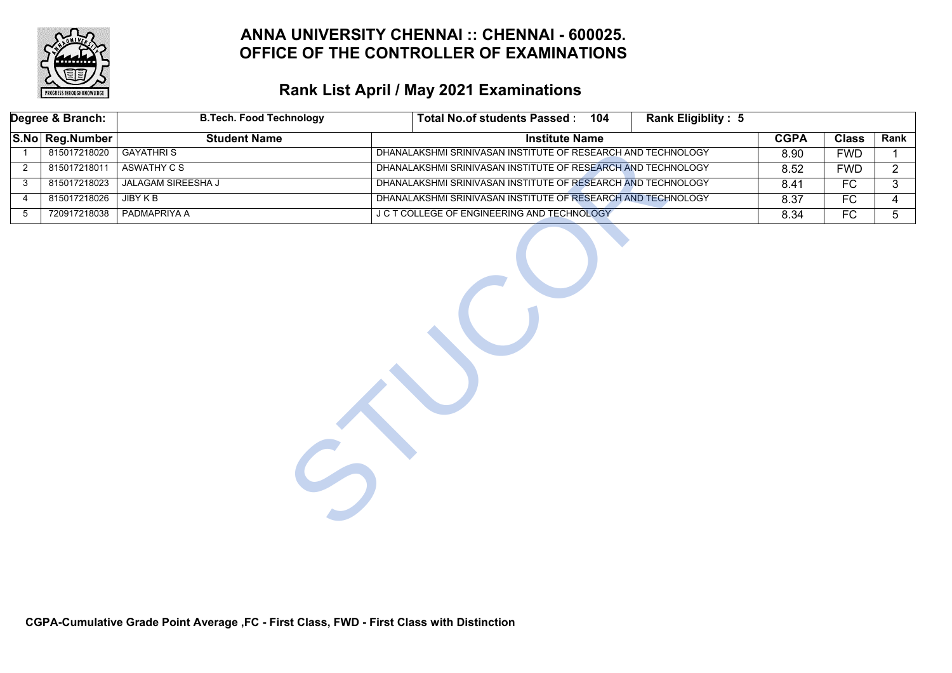

# **Rank List April / May 2021 Examinations**

| Degree & Branch:                            |                 | <b>B.Tech. Food Technology</b><br><b>Total No.of students Passed:</b><br>Rank Eligiblity: 5<br>104 |                                                              |             |              |                |
|---------------------------------------------|-----------------|----------------------------------------------------------------------------------------------------|--------------------------------------------------------------|-------------|--------------|----------------|
|                                             | S.No Reg.Number | <b>Student Name</b>                                                                                | <b>Institute Name</b>                                        | <b>CGPA</b> | <b>Class</b> | Rank           |
|                                             | 815017218020    | <b>GAYATHRIS</b>                                                                                   | DHANALAKSHMI SRINIVASAN INSTITUTE OF RESEARCH AND TECHNOLOGY | 8.90        | <b>FWD</b>   |                |
| 2                                           | 815017218011    | ASWATHY C S                                                                                        | DHANALAKSHMI SRINIVASAN INSTITUTE OF RESEARCH AND TECHNOLOGY | 8.52        | <b>FWD</b>   | $\mathbf{2}$   |
| 3                                           | 815017218023    | JALAGAM SIREESHA J                                                                                 | DHANALAKSHMI SRINIVASAN INSTITUTE OF RESEARCH AND TECHNOLOGY | 8.41        | FC           | 3              |
| 4                                           | 815017218026    | JIBY K B                                                                                           | DHANALAKSHMI SRINIVASAN INSTITUTE OF RESEARCH AND TECHNOLOGY | 8.37        | FC           | 4              |
| $5\,$                                       | 720917218038    | PADMAPRIYA A                                                                                       |                                                              | 8.34        | FC           | 5 <sub>5</sub> |
| J C T COLLEGE OF ENGINEERING AND TECHNOLOGY |                 |                                                                                                    |                                                              |             |              |                |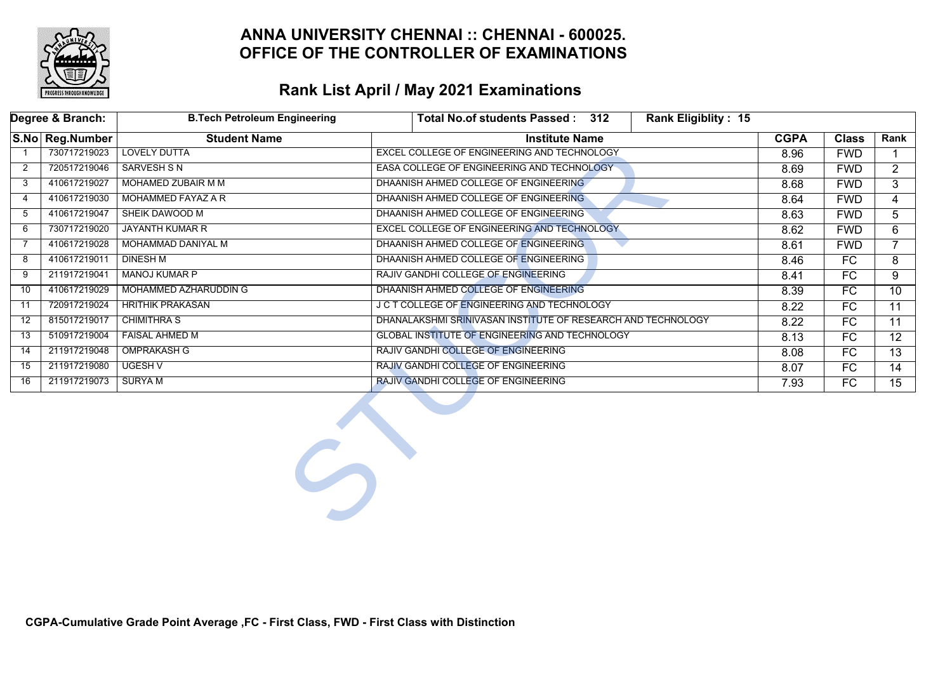

|              | Degree & Branch: | <b>B.Tech Petroleum Engineering</b> | Total No.of students Passed: 312<br><b>Rank Eligiblity: 15</b> |             |                 |                 |
|--------------|------------------|-------------------------------------|----------------------------------------------------------------|-------------|-----------------|-----------------|
|              | S.No Reg.Number  | <b>Student Name</b>                 | <b>Institute Name</b>                                          | <b>CGPA</b> | <b>Class</b>    | Rank            |
|              | 730717219023     | <b>LOVELY DUTTA</b>                 | EXCEL COLLEGE OF ENGINEERING AND TECHNOLOGY                    | 8.96        | <b>FWD</b>      |                 |
| $\mathbf{2}$ | 720517219046     | <b>SARVESH S N</b>                  | EASA COLLEGE OF ENGINEERING AND TECHNOLOGY                     | 8.69        | <b>FWD</b>      | $2^{\circ}$     |
| 3            | 410617219027     | MOHAMED ZUBAIR M M                  | DHAANISH AHMED COLLEGE OF ENGINEERING                          | 8.68        | <b>FWD</b>      | $\overline{3}$  |
| 4            | 410617219030     | MOHAMMED FAYAZ A R                  | DHAANISH AHMED COLLEGE OF ENGINEERING                          | 8.64        | <b>FWD</b>      | 4               |
| 5            | 410617219047     | SHEIK DAWOOD M                      | DHAANISH AHMED COLLEGE OF ENGINEERING                          | 8.63        | <b>FWD</b>      | 5               |
| 6            | 730717219020     | <b>JAYANTH KUMAR R</b>              | EXCEL COLLEGE OF ENGINEERING AND TECHNOLOGY                    | 8.62        | <b>FWD</b>      | 6               |
| 7            | 410617219028     | MOHAMMAD DANIYAL M                  | DHAANISH AHMED COLLEGE OF ENGINEERING                          | 8.61        | <b>FWD</b>      | $\overline{7}$  |
| 8            | 410617219011     | <b>DINESH M</b>                     | DHAANISH AHMED COLLEGE OF ENGINEERING                          | 8.46        | FC              | 8               |
| 9            | 211917219041     | <b>MANOJ KUMAR P</b>                | RAJIV GANDHI COLLEGE OF ENGINEERING                            | 8.41        | FC              | 9               |
| 10           | 410617219029     | MOHAMMED AZHARUDDIN G               | DHAANISH AHMED COLLEGE OF ENGINEERING                          | 8.39        | FC              | $\overline{10}$ |
| 11           | 720917219024     | <b>HRITHIK PRAKASAN</b>             | J C T COLLEGE OF ENGINEERING AND TECHNOLOGY                    | 8.22        | FC              | 11              |
| 12           | 815017219017     | <b>CHIMITHRA S</b>                  | DHANALAKSHMI SRINIVASAN INSTITUTE OF RESEARCH AND TECHNOLOGY   | 8.22        | FC              | 11              |
| 13           | 510917219004     | <b>FAISAL AHMED M</b>               | <b>GLOBAL INSTITUTE OF ENGINEERING AND TECHNOLOGY</b>          | 8.13        | FC              | 12 <sup>2</sup> |
| 14           | 211917219048     | <b>OMPRAKASH G</b>                  | RAJIV GANDHI COLLEGE OF ENGINEERING                            | 8.08        | $\overline{FC}$ | $\overline{13}$ |
| 15           | 211917219080     | <b>UGESH V</b>                      | RAJIV GANDHI COLLEGE OF ENGINEERING                            | 8.07        | FC              | 14              |
| 16           | 211917219073     | SURYA M                             | RAJIV GANDHI COLLEGE OF ENGINEERING                            | 7.93        | FC              | 15              |
|              |                  |                                     |                                                                |             |                 |                 |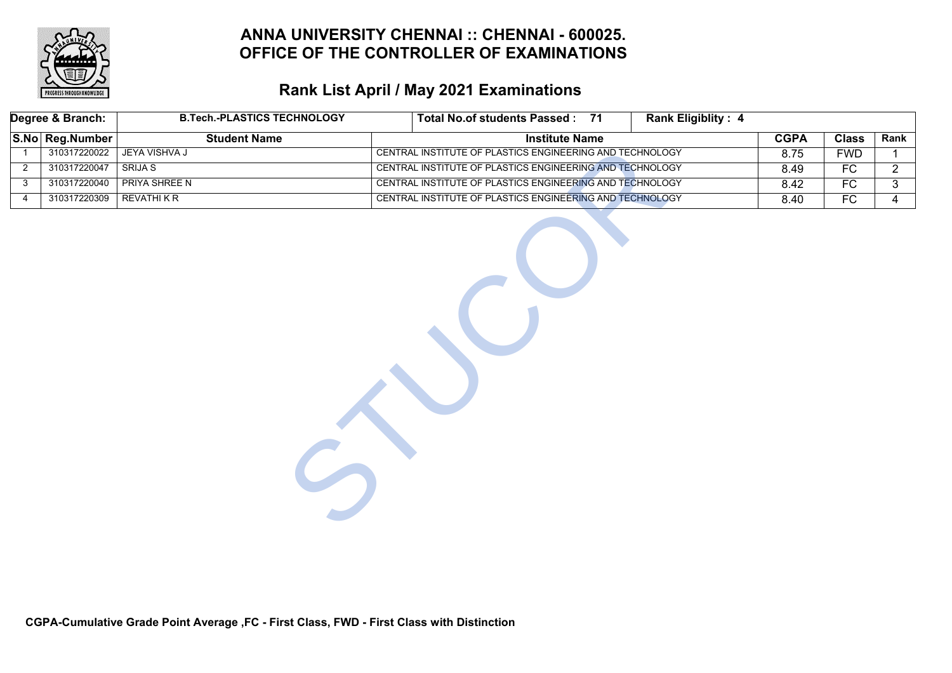

# **Rank List April / May 2021 Examinations**

| Degree & Branch: |                 | <b>B.Tech.-PLASTICS TECHNOLOGY</b> | Total No.of students Passed : 71                         | <b>Rank Eligiblity: 4</b> |             |                 |                |
|------------------|-----------------|------------------------------------|----------------------------------------------------------|---------------------------|-------------|-----------------|----------------|
|                  | S.No Reg.Number | <b>Student Name</b>                | <b>Institute Name</b>                                    |                           | <b>CGPA</b> | <b>Class</b>    | Rank           |
| $\overline{1}$   | 310317220022    | <b>JEYA VISHVA J</b>               | CENTRAL INSTITUTE OF PLASTICS ENGINEERING AND TECHNOLOGY |                           | 8.75        | <b>FWD</b>      | $\mathbf 1$    |
| $\overline{2}$   | 310317220047    | <b>SRIJA S</b>                     | CENTRAL INSTITUTE OF PLASTICS ENGINEERING AND TECHNOLOGY |                           | 8.49        | $\overline{FC}$ | $2^{\circ}$    |
| 3                | 310317220040    | <b>PRIYA SHREE N</b>               | CENTRAL INSTITUTE OF PLASTICS ENGINEERING AND TECHNOLOGY |                           | 8.42        | FC              | 3              |
| 4                | 310317220309    | <b>REVATHIKR</b>                   | CENTRAL INSTITUTE OF PLASTICS ENGINEERING AND TECHNOLOGY |                           | 8.40        | $\overline{FC}$ | $\overline{4}$ |
|                  |                 |                                    |                                                          |                           |             |                 |                |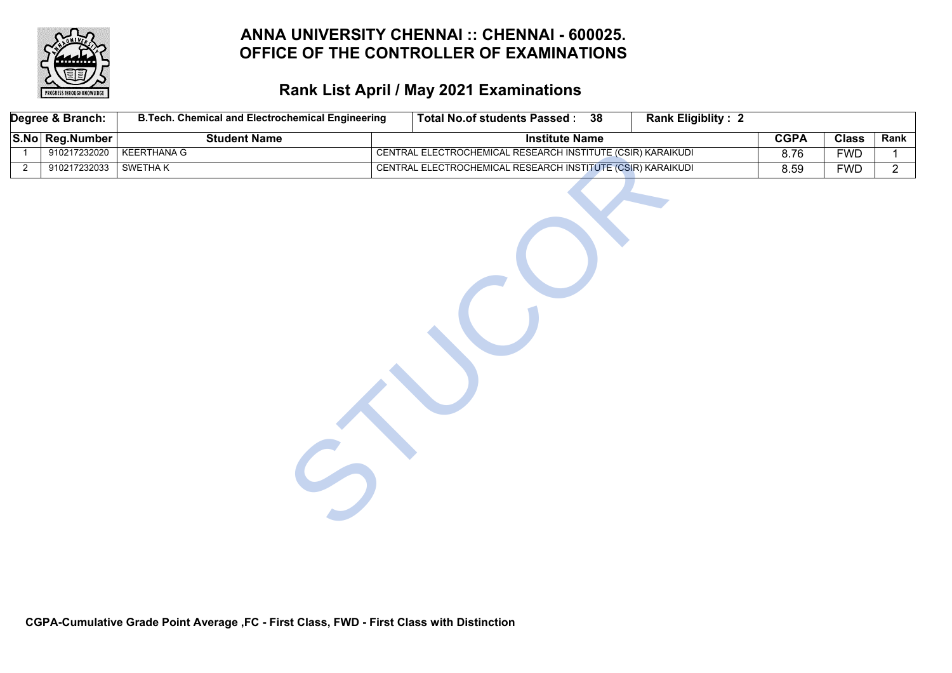

| Degree & Branch: |                 | <b>B.Tech. Chemical and Electrochemical Engineering</b> | <b>Total No.of students Passed:</b><br>$\overline{38}$      | <b>Rank Eligiblity: 2</b> |             |              |                |
|------------------|-----------------|---------------------------------------------------------|-------------------------------------------------------------|---------------------------|-------------|--------------|----------------|
|                  | S.No Reg.Number | <b>Student Name</b>                                     | <b>Institute Name</b>                                       |                           | <b>CGPA</b> | <b>Class</b> | Rank           |
|                  | 910217232020    | <b>KEERTHANA G</b>                                      | CENTRAL ELECTROCHEMICAL RESEARCH INSTITUTE (CSIR) KARAIKUDI |                           | 8.76        | <b>FWD</b>   | 1              |
| $\overline{2}$   | 910217232033    | <b>SWETHAK</b>                                          | CENTRAL ELECTROCHEMICAL RESEARCH INSTITUTE (CSIR) KARAIKUDI |                           | 8.59        | <b>FWD</b>   | $\overline{2}$ |
|                  |                 |                                                         |                                                             |                           |             |              |                |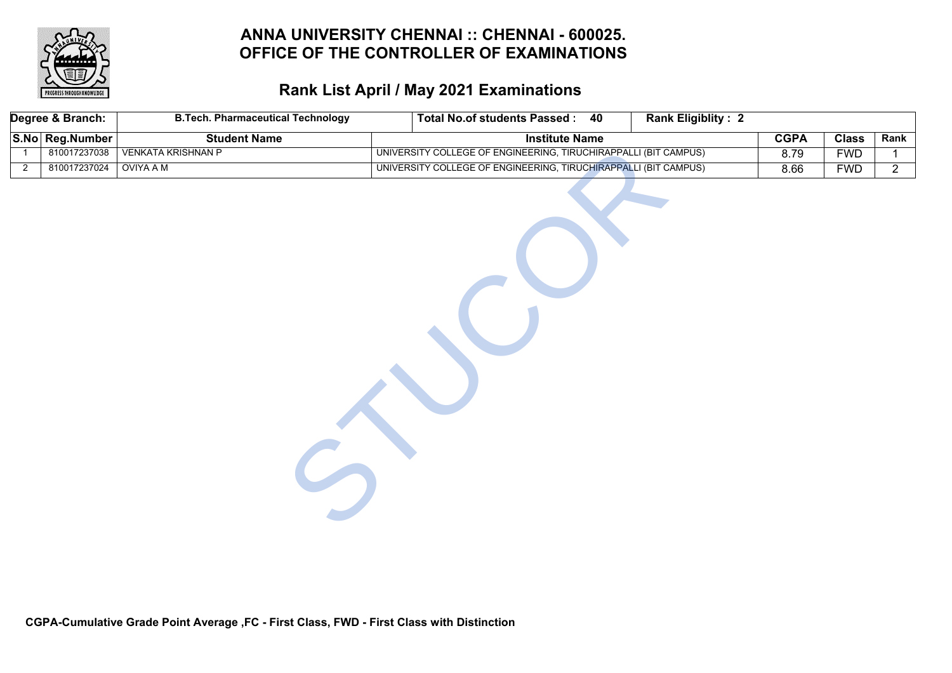

| Degree & Branch: |              | <b>B.Tech. Pharmaceutical Technology</b> | <b>Total No.of students Passed:</b><br><b>Rank Eligiblity: 2</b><br>40 |             |              |                |
|------------------|--------------|------------------------------------------|------------------------------------------------------------------------|-------------|--------------|----------------|
| S.No Reg.Number  |              | <b>Student Name</b>                      | <b>Institute Name</b>                                                  | <b>CGPA</b> | <b>Class</b> | Rank           |
|                  | 810017237038 | <b>VENKATA KRISHNAN P</b>                | UNIVERSITY COLLEGE OF ENGINEERING, TIRUCHIRAPPALLI (BIT CAMPUS)        | 8.79        | <b>FWD</b>   | 1              |
| $\overline{2}$   | 810017237024 | <b>OVIYA A M</b>                         | UNIVERSITY COLLEGE OF ENGINEERING, TIRUCHIRAPPALLI (BIT CAMPUS)        | 8.66        | <b>FWD</b>   | $\overline{2}$ |
|                  |              |                                          |                                                                        |             |              |                |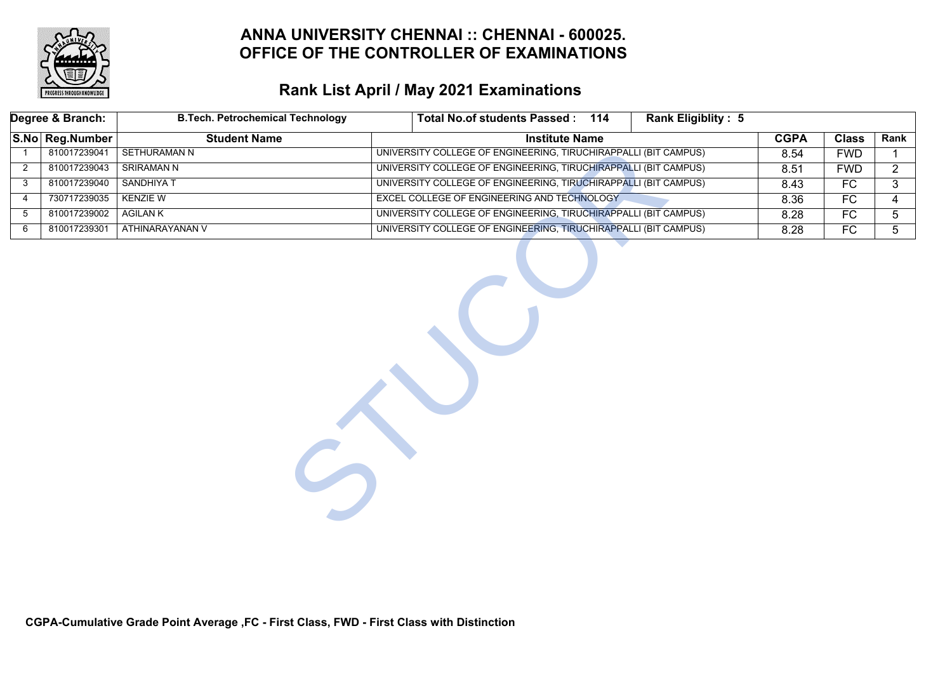

# **Rank List April / May 2021 Examinations**

|                | Degree & Branch: | <b>B.Tech. Petrochemical Technology</b> | <b>Rank Eligiblity: 5</b><br>Total No.of students Passed: 114   |             |                 |                |
|----------------|------------------|-----------------------------------------|-----------------------------------------------------------------|-------------|-----------------|----------------|
|                | S.No Reg.Number  | <b>Student Name</b>                     | <b>Institute Name</b>                                           | <b>CGPA</b> | <b>Class</b>    | Rank           |
| $\mathbf{1}$   | 810017239041     | <b>SETHURAMAN N</b>                     | UNIVERSITY COLLEGE OF ENGINEERING, TIRUCHIRAPPALLI (BIT CAMPUS) | 8.54        | <b>FWD</b>      |                |
| $\overline{2}$ | 810017239043     | <b>SRIRAMAN N</b>                       | UNIVERSITY COLLEGE OF ENGINEERING, TIRUCHIRAPPALLI (BIT CAMPUS) | 8.51        | <b>FWD</b>      | $\overline{2}$ |
| 3              | 810017239040     | <b>SANDHIYAT</b>                        | UNIVERSITY COLLEGE OF ENGINEERING, TIRUCHIRAPPALLI (BIT CAMPUS) | 8.43        | $\overline{FC}$ | 3              |
| $\overline{4}$ | 730717239035     | <b>KENZIE W</b>                         | EXCEL COLLEGE OF ENGINEERING AND TECHNOLOGY                     | 8.36        | FC              | 4              |
| 5              | 810017239002     | AGILAN K                                | UNIVERSITY COLLEGE OF ENGINEERING, TIRUCHIRAPPALLI (BIT CAMPUS) | 8.28        | FC              | 5              |
| 6              | 810017239301     | ATHINARAYANAN V                         | UNIVERSITY COLLEGE OF ENGINEERING, TIRUCHIRAPPALLI (BIT CAMPUS) | 8.28        | FC              | 5 <sup>5</sup> |
|                |                  |                                         |                                                                 |             |                 |                |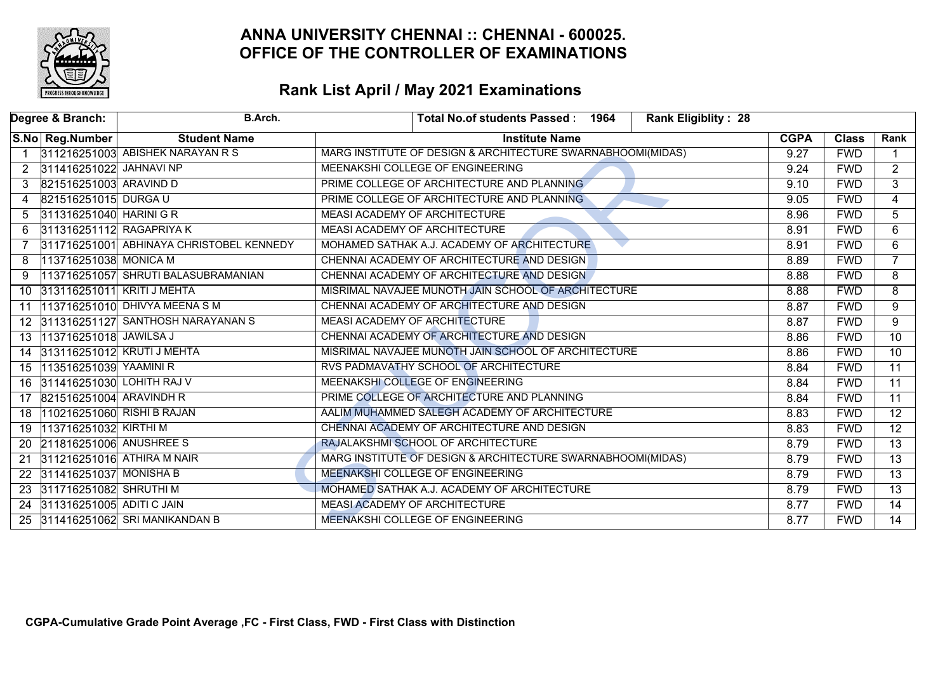

|                | Degree & Branch:           | B.Arch.                                  | <b>Rank Eligiblity: 28</b><br>Total No.of students Passed: 1964 |             |              |                 |
|----------------|----------------------------|------------------------------------------|-----------------------------------------------------------------|-------------|--------------|-----------------|
|                | S.No Reg.Number            | <b>Student Name</b>                      | <b>Institute Name</b>                                           | <b>CGPA</b> | <b>Class</b> | Rank            |
|                |                            | 311216251003 ABISHEK NARAYAN R S         | MARG INSTITUTE OF DESIGN & ARCHITECTURE SWARNABHOOMI(MIDAS)     | 9.27        | <b>FWD</b>   |                 |
| $\overline{2}$ | 311416251022 JAHNAVI NP    |                                          | MEENAKSHI COLLEGE OF ENGINEERING                                | 9.24        | <b>FWD</b>   | $\overline{2}$  |
| 3              | 821516251003 ARAVIND D     |                                          | PRIME COLLEGE OF ARCHITECTURE AND PLANNING                      | 9.10        | <b>FWD</b>   | $\mathbf{3}$    |
| 4              | 821516251015 DURGA U       |                                          | PRIME COLLEGE OF ARCHITECTURE AND PLANNING                      | 9.05        | <b>FWD</b>   | $\overline{4}$  |
| 5              | 311316251040 HARINI G R    |                                          | <b>MEASI ACADEMY OF ARCHITECTURE</b>                            | 8.96        | <b>FWD</b>   | $\overline{5}$  |
| 6              | 311316251112 RAGAPRIYA K   |                                          | MEASI ACADEMY OF ARCHITECTURE                                   | 8.91        | <b>FWD</b>   | 6               |
|                |                            | 311716251001 ABHINAYA CHRISTOBEL KENNEDY | MOHAMED SATHAK A.J. ACADEMY OF ARCHITECTURE                     | 8.91        | <b>FWD</b>   | $\overline{6}$  |
| 8              | 113716251038 MONICA M      |                                          | CHENNAI ACADEMY OF ARCHITECTURE AND DESIGN                      | 8.89        | <b>FWD</b>   | $\overline{7}$  |
|                |                            | 113716251057 SHRUTI BALASUBRAMANIAN      | CHENNAI ACADEMY OF ARCHITECTURE AND DESIGN                      | 8.88        | <b>FWD</b>   | 8               |
| 10             | 313116251011 KRITI J MEHTA |                                          | MISRIMAL NAVAJEE MUNOTH JAIN SCHOOL OF ARCHITECTURE             | 8.88        | <b>FWD</b>   | 8               |
| 11             |                            | 113716251010 DHIVYA MEENA S M            | CHENNAI ACADEMY OF ARCHITECTURE AND DESIGN                      | 8.87        | <b>FWD</b>   | $\overline{9}$  |
|                |                            | 12 311316251127 SANTHOSH NARAYANAN S     | <b>MEASI ACADEMY OF ARCHITECTURE</b>                            | 8.87        | <b>FWD</b>   | 9               |
| 13             | 113716251018 JAWILSA J     |                                          | CHENNAI ACADEMY OF ARCHITECTURE AND DESIGN                      | 8.86        | <b>FWD</b>   | $\overline{10}$ |
| 14             |                            | 313116251012 KRUTI J MEHTA               | MISRIMAL NAVAJEE MUNOTH JAIN SCHOOL OF ARCHITECTURE             | 8.86        | <b>FWD</b>   | $\overline{10}$ |
| 15             | 113516251039 YAAMINI R     |                                          | RVS PADMAVATHY SCHOOL OF ARCHITECTURE                           | 8.84        | <b>FWD</b>   | $\overline{11}$ |
| 16             | 311416251030 LOHITH RAJ V  |                                          | MEENAKSHI COLLEGE OF ENGINEERING                                | 8.84        | <b>FWD</b>   | $\overline{11}$ |
| 17             | 821516251004 ARAVINDH R    |                                          | PRIME COLLEGE OF ARCHITECTURE AND PLANNING                      | 8.84        | <b>FWD</b>   | $\overline{11}$ |
| 18             | 110216251060 RISHI B RAJAN |                                          | AALIM MUHAMMED SALEGH ACADEMY OF ARCHITECTURE                   | 8.83        | <b>FWD</b>   | $\overline{12}$ |
| 19             | 113716251032 KIRTHI M      |                                          | CHENNAI ACADEMY OF ARCHITECTURE AND DESIGN                      | 8.83        | <b>FWD</b>   | $\overline{12}$ |
| <b>20</b>      | 211816251006 ANUSHREE S    |                                          | RAJALAKSHMI SCHOOL OF ARCHITECTURE                              | 8.79        | <b>FWD</b>   | $\overline{13}$ |
| 21             |                            | 311216251016 ATHIRA M NAIR               | MARG INSTITUTE OF DESIGN & ARCHITECTURE SWARNABHOOMI(MIDAS)     | 8.79        | <b>FWD</b>   | $\overline{13}$ |
| 22             | 311416251037 MONISHA B     |                                          | MEENAKSHI COLLEGE OF ENGINEERING                                | 8.79        | <b>FWD</b>   | $\overline{13}$ |
| 23             | 311716251082 SHRUTHI M     |                                          | MOHAMED SATHAK A.J. ACADEMY OF ARCHITECTURE                     | 8.79        | <b>FWD</b>   | $\overline{13}$ |
| 24             | 311316251005 ADITI C JAIN  |                                          | <b>MEASI ACADEMY OF ARCHITECTURE</b>                            | 8.77        | <b>FWD</b>   | $\overline{14}$ |
|                |                            | 25 311416251062 SRI MANIKANDAN B         | MEENAKSHI COLLEGE OF ENGINEERING                                | 8.77        | <b>FWD</b>   | $\overline{14}$ |